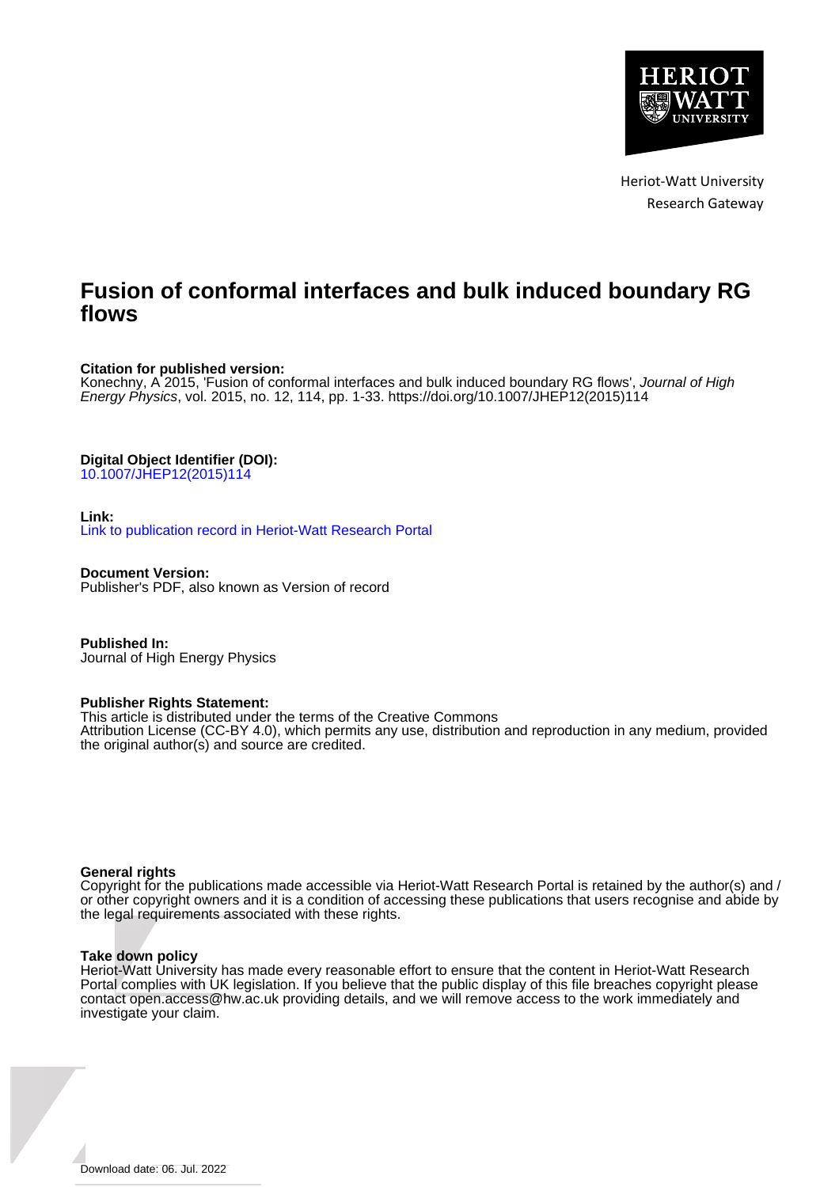

Heriot-Watt University Research Gateway

# **Fusion of conformal interfaces and bulk induced boundary RG flows**

## **Citation for published version:**

Konechny, A 2015, 'Fusion of conformal interfaces and bulk induced boundary RG flows', Journal of High Energy Physics, vol. 2015, no. 12, 114, pp. 1-33. [https://doi.org/10.1007/JHEP12\(2015\)114](https://doi.org/10.1007/JHEP12(2015)114)

# **Digital Object Identifier (DOI):**

[10.1007/JHEP12\(2015\)114](https://doi.org/10.1007/JHEP12(2015)114)

## **Link:**

[Link to publication record in Heriot-Watt Research Portal](https://researchportal.hw.ac.uk/en/publications/5915a3e1-26d0-4626-b948-4939238d9cbf)

**Document Version:** Publisher's PDF, also known as Version of record

**Published In:** Journal of High Energy Physics

### **Publisher Rights Statement:**

This article is distributed under the terms of the Creative Commons

Attribution License (CC-BY 4.0), which permits any use, distribution and reproduction in any medium, provided the original author(s) and source are credited.

### **General rights**

Copyright for the publications made accessible via Heriot-Watt Research Portal is retained by the author(s) and / or other copyright owners and it is a condition of accessing these publications that users recognise and abide by the legal requirements associated with these rights.

### **Take down policy**

Heriot-Watt University has made every reasonable effort to ensure that the content in Heriot-Watt Research Portal complies with UK legislation. If you believe that the public display of this file breaches copyright please contact open.access@hw.ac.uk providing details, and we will remove access to the work immediately and investigate your claim.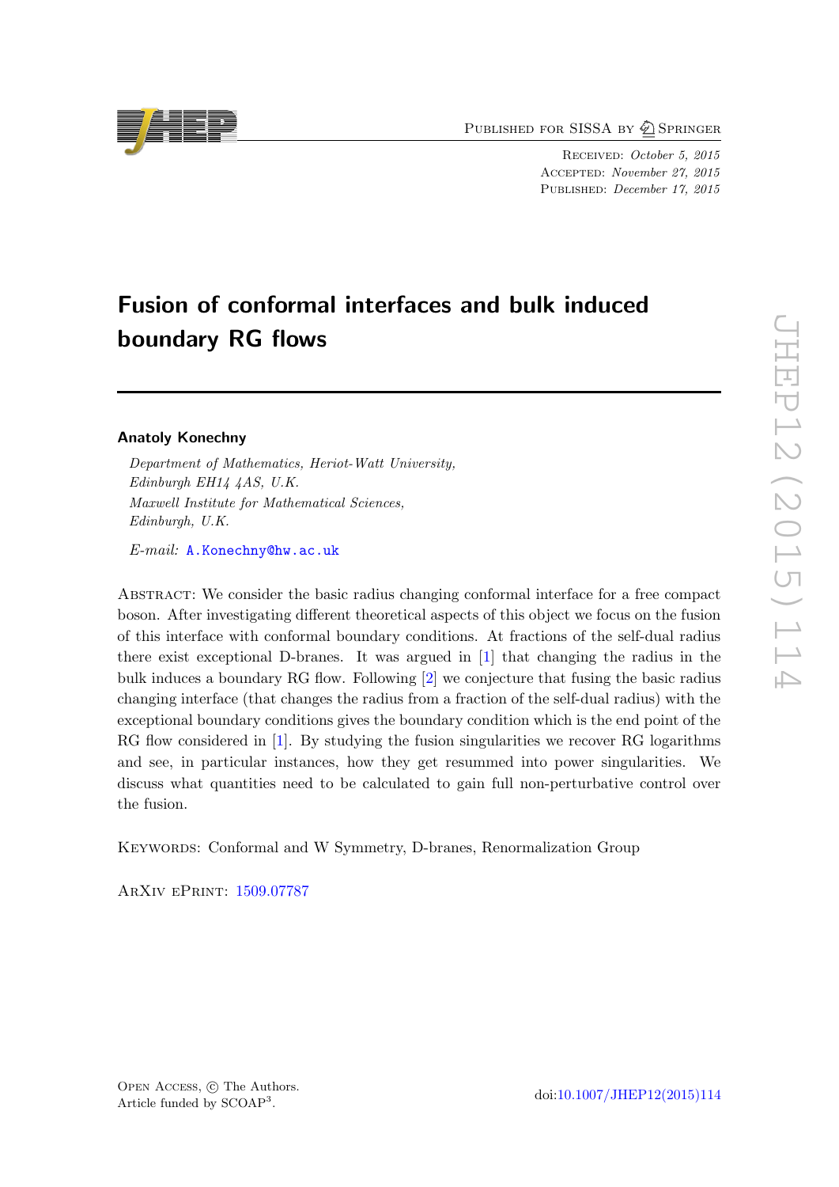PUBLISHED FOR SISSA BY 2 SPRINGER

Received: October 5, 2015 Accepted: November 27, 2015 PUBLISHED: December 17, 2015

# Fusion of conformal interfaces and bulk induced boundary RG flows

# Anatoly Konechny

Department of Mathematics, Heriot-Watt University, Edinburgh EH14 4AS, U.K. Maxwell Institute for Mathematical Sciences, Edinburgh, U.K.

E-mail: [A.Konechny@hw.ac.uk](mailto:A.Konechny@hw.ac.uk)

Abstract: We consider the basic radius changing conformal interface for a free compact boson. After investigating different theoretical aspects of this object we focus on the fusion of this interface with conformal boundary conditions. At fractions of the self-dual radius there exist exceptional D-branes. It was argued in [\[1\]](#page-31-0) that changing the radius in the bulk induces a boundary RG flow. Following [\[2\]](#page-31-1) we conjecture that fusing the basic radius changing interface (that changes the radius from a fraction of the self-dual radius) with the exceptional boundary conditions gives the boundary condition which is the end point of the RG flow considered in [\[1\]](#page-31-0). By studying the fusion singularities we recover RG logarithms and see, in particular instances, how they get resummed into power singularities. We discuss what quantities need to be calculated to gain full non-perturbative control over the fusion.

KEYWORDS: Conformal and W Symmetry, D-branes, Renormalization Group

ArXiv ePrint: [1509.07787](http://arxiv.org/abs/1509.07787)

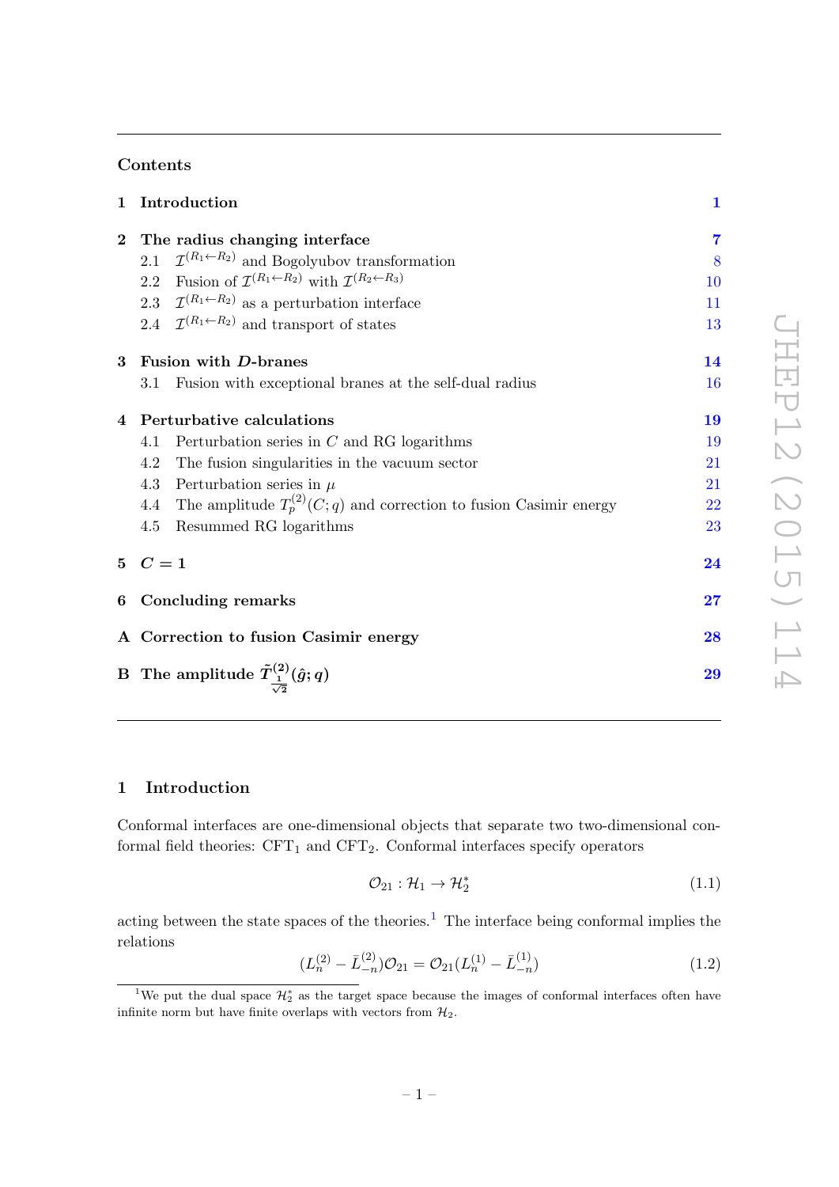# Contents

|                         | 1 Introduction                                                                                                   | $\mathbf{1}$             |
|-------------------------|------------------------------------------------------------------------------------------------------------------|--------------------------|
|                         | 2 The radius changing interface                                                                                  | $\overline{7}$           |
|                         | $\mathcal{I}^{(R_1 \leftarrow R_2)}$ and Bogolyubov transformation<br>2.1                                        | 8                        |
|                         | Fusion of $\mathcal{I}^{(R_1 \leftarrow R_2)}$ with $\mathcal{I}^{(R_2 \leftarrow R_3)}$<br>2.2                  | 10                       |
|                         | 2.3 $\mathcal{I}^{(R_1 \leftarrow R_2)}$ as a perturbation interface                                             | 11                       |
|                         | 2.4 $\mathcal{I}^{(R_1 \leftarrow R_2)}$ and transport of states                                                 | 13                       |
| $\overline{\mathbf{3}}$ | Fusion with D-branes                                                                                             | 14                       |
|                         | Fusion with exceptional branes at the self-dual radius<br>3.1                                                    | 16                       |
|                         | 4 Perturbative calculations                                                                                      | 19                       |
|                         | Perturbation series in $C$ and RG logarithms<br>4.1                                                              | 19                       |
|                         | 4.2<br>The fusion singularities in the vacuum sector                                                             | 21                       |
|                         | 4.3<br>Perturbation series in $\mu$                                                                              | 21                       |
|                         | 4.4 The amplitude $T_p^{(2)}(C;q)$ and correction to fusion Casimir energy                                       | 22                       |
|                         | Resummed RG logarithms<br>4.5                                                                                    | 23                       |
|                         | $5\quad C=1$                                                                                                     | 24                       |
|                         | 6 Concluding remarks                                                                                             | $\overline{\mathbf{27}}$ |
|                         | A Correction to fusion Casimir energy                                                                            | 28                       |
|                         | $\begin{array}{ll} \hbox{B}\ \hbox{The amplitude $\tilde{T}^{(2)}_{\frac{1}{\sqrt{2}}}(\hat{g};q)$} \end{array}$ | 29                       |
|                         |                                                                                                                  |                          |

# <span id="page-2-0"></span>1 Introduction

Conformal interfaces are one-dimensional objects that separate two two-dimensional conformal field theories:  $CFT_1$  and  $CFT_2$ . Conformal interfaces specify operators

<span id="page-2-2"></span>
$$
\mathcal{O}_{21} : \mathcal{H}_1 \to \mathcal{H}_2^* \tag{1.1}
$$

acting between the state spaces of the theories.<sup>[1](#page-2-1)</sup> The interface being conformal implies the relations

$$
(L_n^{(2)} - \bar{L}_{-n}^{(2)})\mathcal{O}_{21} = \mathcal{O}_{21}(L_n^{(1)} - \bar{L}_{-n}^{(1)})
$$
\n(1.2)

<span id="page-2-1"></span><sup>&</sup>lt;sup>1</sup>We put the dual space  $\mathcal{H}_2^*$  as the target space because the images of conformal interfaces often have infinite norm but have finite overlaps with vectors from  $\mathcal{H}_2$ .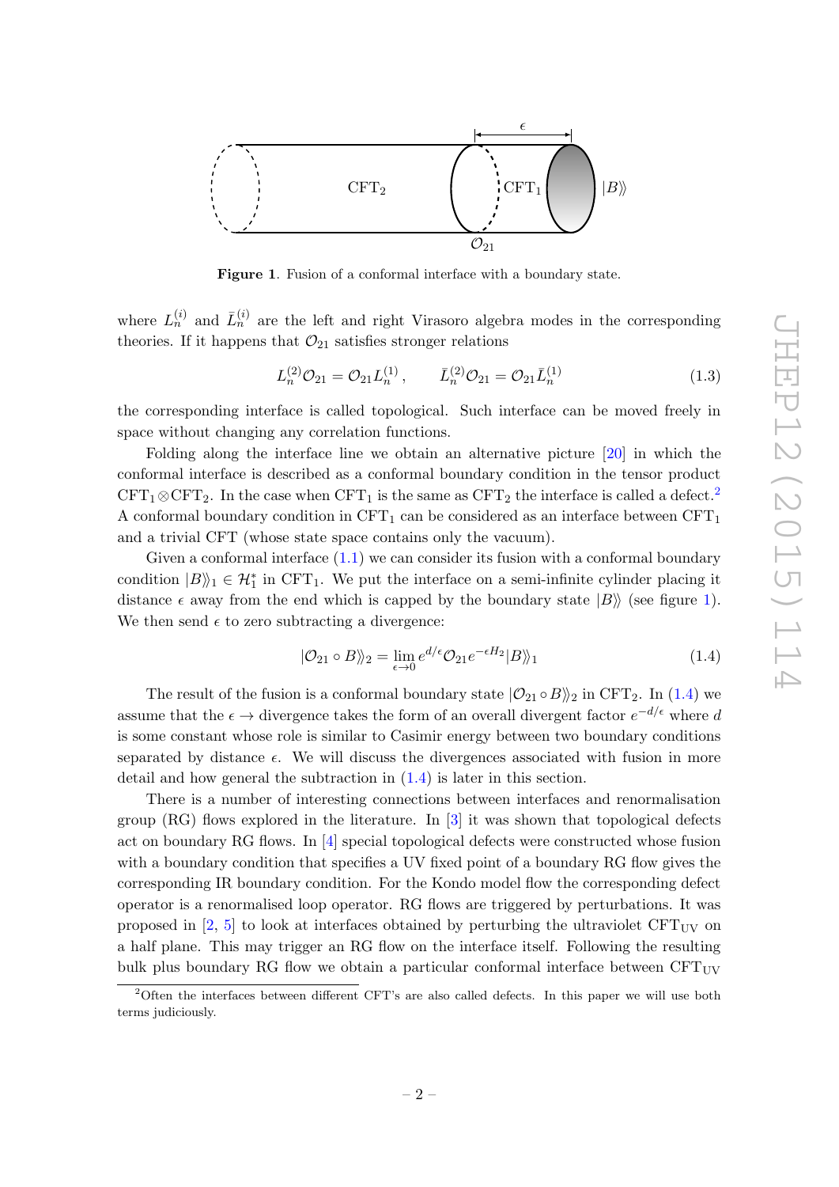

<span id="page-3-1"></span>Figure 1. Fusion of a conformal interface with a boundary state.

where  $L_n^{(i)}$  and  $\bar{L}_n^{(i)}$  are the left and right Virasoro algebra modes in the corresponding theories. If it happens that  $\mathcal{O}_{21}$  satisfies stronger relations

$$
L_n^{(2)}\mathcal{O}_{21} = \mathcal{O}_{21}L_n^{(1)}, \qquad \bar{L}_n^{(2)}\mathcal{O}_{21} = \mathcal{O}_{21}\bar{L}_n^{(1)} \tag{1.3}
$$

the corresponding interface is called topological. Such interface can be moved freely in space without changing any correlation functions.

Folding along the interface line we obtain an alternative picture [\[20\]](#page-32-0) in which the conformal interface is described as a conformal boundary condition in the tensor product  $CFT_1\otimes CFT_2$  $CFT_1\otimes CFT_2$ . In the case when  $CFT_1$  is the same as  $CFT_2$  the interface is called a defect.<sup>2</sup> A conformal boundary condition in  $CFT_1$  can be considered as an interface between  $CFT_1$ and a trivial CFT (whose state space contains only the vacuum).

Given a conformal interface  $(1.1)$  we can consider its fusion with a conformal boundary condition  $|B\rangle\!\rangle_1 \in \mathcal{H}_1^*$  in CFT<sub>1</sub>. We put the interface on a semi-infinite cylinder placing it distance  $\epsilon$  away from the end which is capped by the boundary state  $|B\rangle$  (see figure [1\)](#page-3-1). We then send  $\epsilon$  to zero subtracting a divergence:

<span id="page-3-2"></span>
$$
|\mathcal{O}_{21} \circ B\rangle\!\rangle_2 = \lim_{\epsilon \to 0} e^{d/\epsilon} \mathcal{O}_{21} e^{-\epsilon H_2} |B\rangle\!\rangle_1 \tag{1.4}
$$

The result of the fusion is a conformal boundary state  $|O_{21} \circ B\rangle$ <sub>2</sub> in CFT<sub>2</sub>. In [\(1.4\)](#page-3-2) we assume that the  $\epsilon \to$  divergence takes the form of an overall divergent factor  $e^{-d/\epsilon}$  where d is some constant whose role is similar to Casimir energy between two boundary conditions separated by distance  $\epsilon$ . We will discuss the divergences associated with fusion in more detail and how general the subtraction in [\(1.4\)](#page-3-2) is later in this section.

There is a number of interesting connections between interfaces and renormalisation group  $(RG)$  flows explored in the literature. In [\[3\]](#page-31-2) it was shown that topological defects act on boundary RG flows. In [\[4\]](#page-31-3) special topological defects were constructed whose fusion with a boundary condition that specifies a UV fixed point of a boundary RG flow gives the corresponding IR boundary condition. For the Kondo model flow the corresponding defect operator is a renormalised loop operator. RG flows are triggered by perturbations. It was proposed in [\[2,](#page-31-1) [5\]](#page-31-4) to look at interfaces obtained by perturbing the ultraviolet  $CFT_{UV}$  on a half plane. This may trigger an RG flow on the interface itself. Following the resulting bulk plus boundary RG flow we obtain a particular conformal interface between  $CFT_{UV}$ 

<span id="page-3-0"></span><sup>&</sup>lt;sup>2</sup>Often the interfaces between different CFT's are also called defects. In this paper we will use both terms judiciously.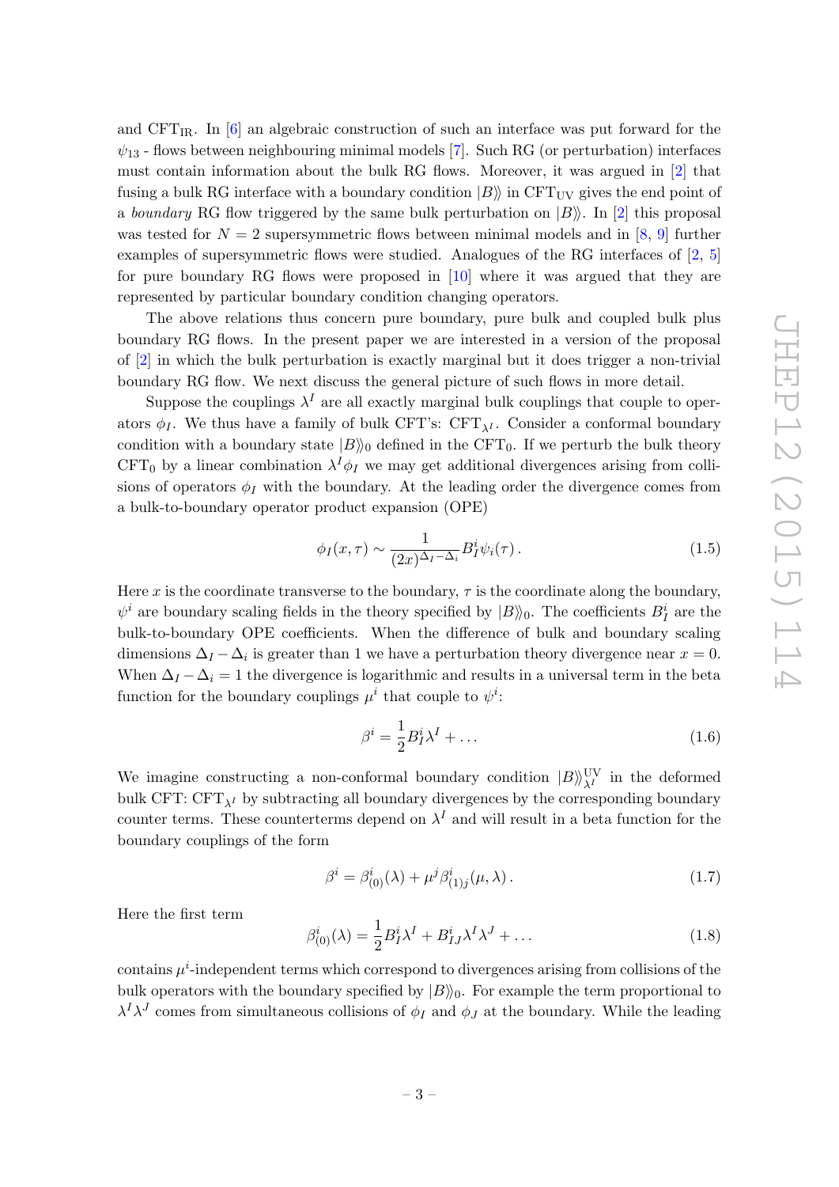and CFT<sub>IR</sub>. In  $[6]$  an algebraic construction of such an interface was put forward for the  $\psi_{13}$  - flows between neighbouring minimal models [\[7\]](#page-31-6). Such RG (or perturbation) interfaces must contain information about the bulk RG flows. Moreover, it was argued in [\[2\]](#page-31-1) that fusing a bulk RG interface with a boundary condition  $|B\rangle$  in CFT<sub>UV</sub> gives the end point of a boundary RG flow triggered by the same bulk perturbation on  $|B\rangle$ . In [\[2\]](#page-31-1) this proposal was tested for  $N = 2$  supersymmetric flows between minimal models and in [\[8,](#page-31-7) [9\]](#page-31-8) further examples of supersymmetric flows were studied. Analogues of the RG interfaces of [\[2,](#page-31-1) [5\]](#page-31-4) for pure boundary RG flows were proposed in [\[10\]](#page-32-1) where it was argued that they are represented by particular boundary condition changing operators.

The above relations thus concern pure boundary, pure bulk and coupled bulk plus boundary RG flows. In the present paper we are interested in a version of the proposal of [\[2\]](#page-31-1) in which the bulk perturbation is exactly marginal but it does trigger a non-trivial boundary RG flow. We next discuss the general picture of such flows in more detail.

Suppose the couplings  $\lambda^I$  are all exactly marginal bulk couplings that couple to operators  $\phi_I$ . We thus have a family of bulk CFT's: CFT<sub> $\lambda$ I</sub>. Consider a conformal boundary condition with a boundary state  $|B\rangle_0$  defined in the CFT<sub>0</sub>. If we perturb the bulk theory CFT<sub>0</sub> by a linear combination  $\lambda^I \phi_I$  we may get additional divergences arising from collisions of operators  $\phi_I$  with the boundary. At the leading order the divergence comes from a bulk-to-boundary operator product expansion (OPE)

$$
\phi_I(x,\tau) \sim \frac{1}{(2x)^{\Delta_I - \Delta_i}} B_I^i \psi_i(\tau). \tag{1.5}
$$

Here x is the coordinate transverse to the boundary,  $\tau$  is the coordinate along the boundary,  $\psi^i$  are boundary scaling fields in the theory specified by  $|B\rangle\!\rangle_0$ . The coefficients  $B_I^i$  are the bulk-to-boundary OPE coefficients. When the difference of bulk and boundary scaling dimensions  $\Delta_I - \Delta_i$  is greater than 1 we have a perturbation theory divergence near  $x = 0$ . When  $\Delta_I - \Delta_i = 1$  the divergence is logarithmic and results in a universal term in the beta function for the boundary couplings  $\mu^i$  that couple to  $\psi^i$ :

<span id="page-4-1"></span>
$$
\beta^i = \frac{1}{2} B_I^i \lambda^I + \dots \tag{1.6}
$$

We imagine constructing a non-conformal boundary condition  $|B\rangle^{\text{UV}}_{\lambda^I}$  in the deformed bulk CFT: CFT<sub> $\lambda$ I</sub> by subtracting all boundary divergences by the corresponding boundary counter terms. These counterterms depend on  $\lambda^I$  and will result in a beta function for the boundary couplings of the form

<span id="page-4-0"></span>
$$
\beta^{i} = \beta^{i}_{(0)}(\lambda) + \mu^{j} \beta^{i}_{(1)j}(\mu, \lambda).
$$
 (1.7)

Here the first term

<span id="page-4-2"></span>
$$
\beta^i_{(0)}(\lambda) = \frac{1}{2} B^i_I \lambda^I + B^i_{IJ} \lambda^I \lambda^J + \dots \tag{1.8}
$$

contains  $\mu^i$ -independent terms which correspond to divergences arising from collisions of the bulk operators with the boundary specified by  $|B\rangle\langle 0|$ . For example the term proportional to  $\lambda^I \lambda^J$  comes from simultaneous collisions of  $\phi_I$  and  $\phi_J$  at the boundary. While the leading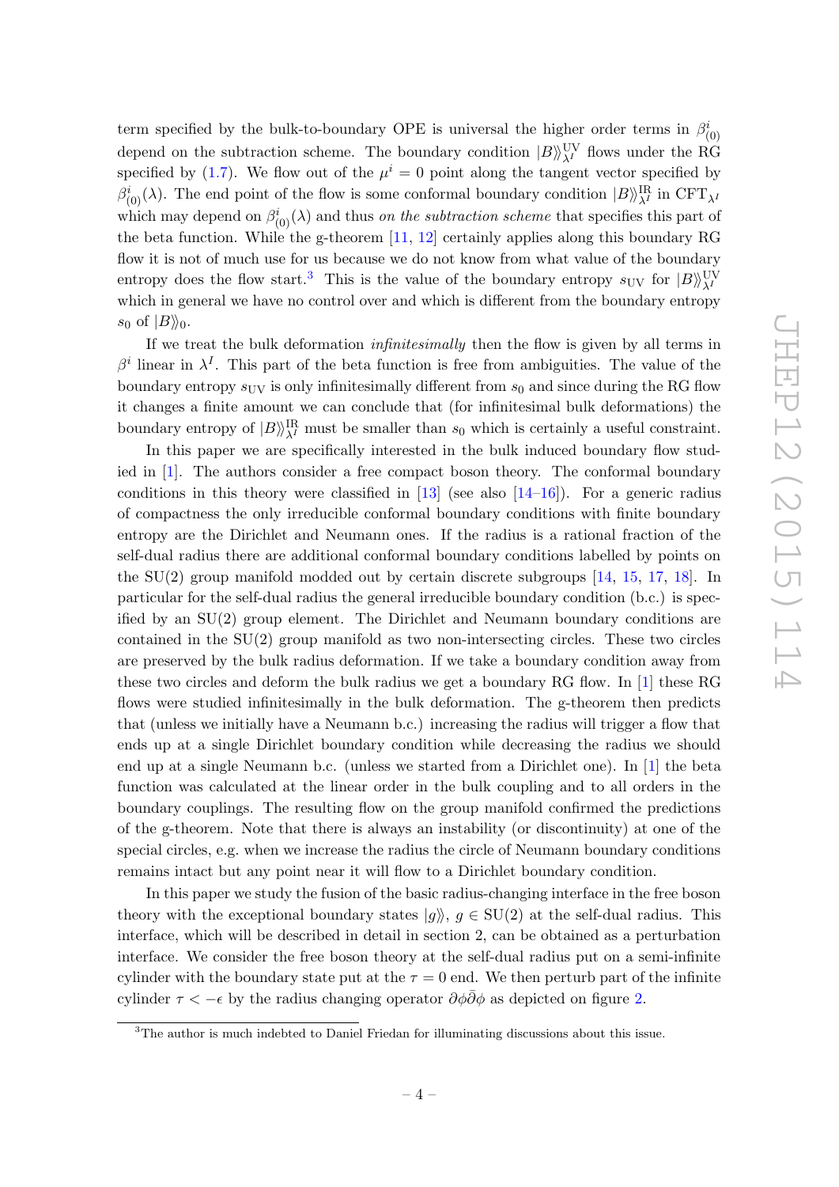term specified by the bulk-to-boundary OPE is universal the higher order terms in  $\beta_{(0)}^i$ depend on the subtraction scheme. The boundary condition  $|B\rangle\rangle^{\text{UV}}_{\lambda^I}$  flows under the RG specified by [\(1.7\)](#page-4-0). We flow out of the  $\mu^{i} = 0$  point along the tangent vector specified by  $\beta_{(0)}^i(\lambda)$ . The end point of the flow is some conformal boundary condition  $|B\rangle^{\text{IR}}_{\lambda^I}$  in CFT<sub> $\lambda^I$ </sub> which may depend on  $\beta^i_{(0)}(\lambda)$  and thus *on the subtraction scheme* that specifies this part of the beta function. While the g-theorem [\[11,](#page-32-2) [12\]](#page-32-3) certainly applies along this boundary RG flow it is not of much use for us because we do not know from what value of the boundary entropy does the flow start.<sup>[3](#page-5-0)</sup> This is the value of the boundary entropy  $s_{\text{UV}}$  for  $|B\rangle\substack{VV\\A^I}$ which in general we have no control over and which is different from the boundary entropy  $s_0$  of  $|B\rangle\!\rangle_0$ .

If we treat the bulk deformation infinitesimally then the flow is given by all terms in β<sup>i</sup> linear in  $\lambda^I$ . This part of the beta function is free from ambiguities. The value of the boundary entropy  $s_{\text{UV}}$  is only infinitesimally different from  $s_0$  and since during the RG flow it changes a finite amount we can conclude that (for infinitesimal bulk deformations) the boundary entropy of  $|B\rangle^{\text{IR}}_{\lambda^I}$  must be smaller than  $s_0$  which is certainly a useful constraint.

In this paper we are specifically interested in the bulk induced boundary flow studied in [\[1\]](#page-31-0). The authors consider a free compact boson theory. The conformal boundary conditions in this theory were classified in  $[13]$  (see also  $[14–16]$  $[14–16]$ ). For a generic radius of compactness the only irreducible conformal boundary conditions with finite boundary entropy are the Dirichlet and Neumann ones. If the radius is a rational fraction of the self-dual radius there are additional conformal boundary conditions labelled by points on the SU(2) group manifold modded out by certain discrete subgroups [\[14,](#page-32-5) [15,](#page-32-7) [17,](#page-32-8) [18\]](#page-32-9). In particular for the self-dual radius the general irreducible boundary condition (b.c.) is specified by an SU(2) group element. The Dirichlet and Neumann boundary conditions are contained in the SU(2) group manifold as two non-intersecting circles. These two circles are preserved by the bulk radius deformation. If we take a boundary condition away from these two circles and deform the bulk radius we get a boundary RG flow. In [\[1\]](#page-31-0) these RG flows were studied infinitesimally in the bulk deformation. The g-theorem then predicts that (unless we initially have a Neumann b.c.) increasing the radius will trigger a flow that ends up at a single Dirichlet boundary condition while decreasing the radius we should end up at a single Neumann b.c. (unless we started from a Dirichlet one). In [\[1\]](#page-31-0) the beta function was calculated at the linear order in the bulk coupling and to all orders in the boundary couplings. The resulting flow on the group manifold confirmed the predictions of the g-theorem. Note that there is always an instability (or discontinuity) at one of the special circles, e.g. when we increase the radius the circle of Neumann boundary conditions remains intact but any point near it will flow to a Dirichlet boundary condition.

In this paper we study the fusion of the basic radius-changing interface in the free boson theory with the exceptional boundary states  $|g\rangle, g \in SU(2)$  at the self-dual radius. This interface, which will be described in detail in section 2, can be obtained as a perturbation interface. We consider the free boson theory at the self-dual radius put on a semi-infinite cylinder with the boundary state put at the  $\tau = 0$  end. We then perturb part of the infinite cylinder  $\tau < -\epsilon$  by the radius changing operator  $\partial \phi \overline{\partial} \phi$  as depicted on figure [2.](#page-6-0)

<span id="page-5-0"></span><sup>3</sup>The author is much indebted to Daniel Friedan for illuminating discussions about this issue.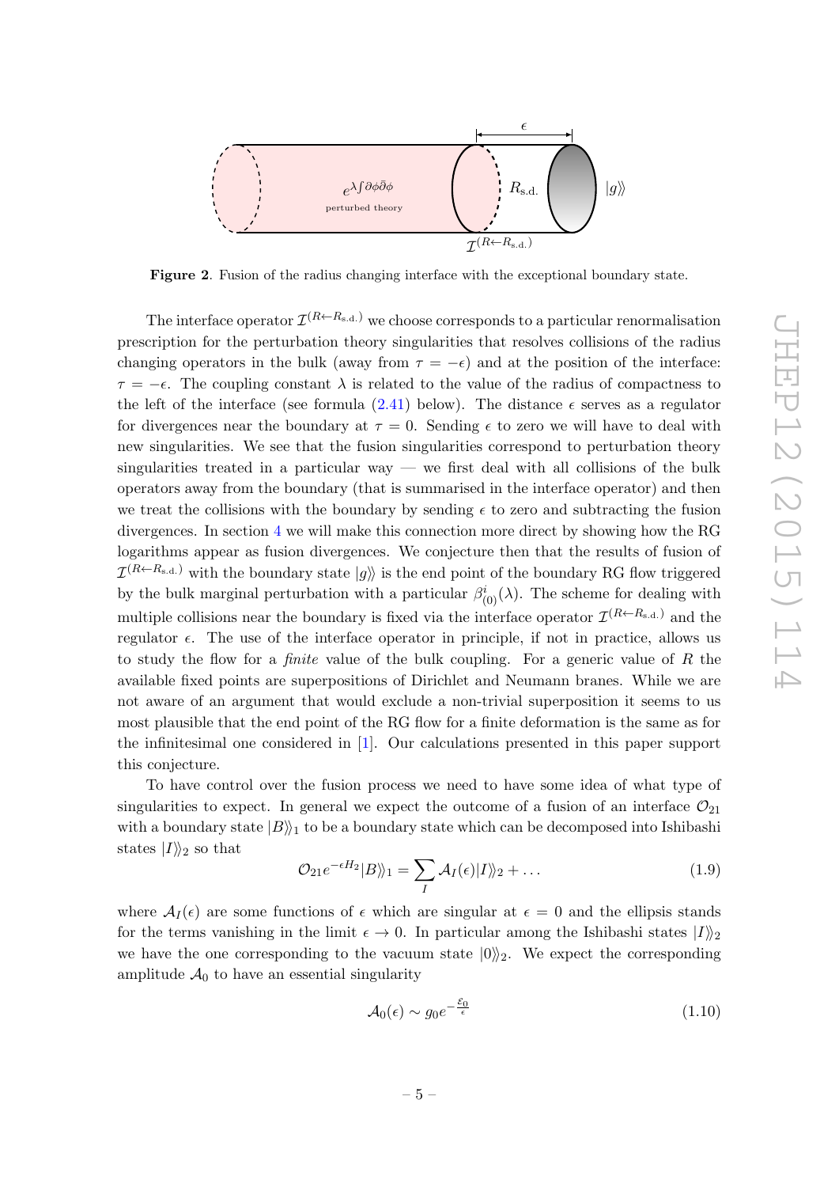

<span id="page-6-0"></span>Figure 2. Fusion of the radius changing interface with the exceptional boundary state.

The interface operator  $\mathcal{I}^{(R\leftarrow R_{\rm s.d.})}$  we choose corresponds to a particular renormalisation prescription for the perturbation theory singularities that resolves collisions of the radius changing operators in the bulk (away from  $\tau = -\epsilon$ ) and at the position of the interface:  $\tau = -\epsilon$ . The coupling constant  $\lambda$  is related to the value of the radius of compactness to the left of the interface (see formula  $(2.41)$  below). The distance  $\epsilon$  serves as a regulator for divergences near the boundary at  $\tau = 0$ . Sending  $\epsilon$  to zero we will have to deal with new singularities. We see that the fusion singularities correspond to perturbation theory singularities treated in a particular way — we first deal with all collisions of the bulk operators away from the boundary (that is summarised in the interface operator) and then we treat the collisions with the boundary by sending  $\epsilon$  to zero and subtracting the fusion divergences. In section [4](#page-20-0) we will make this connection more direct by showing how the RG logarithms appear as fusion divergences. We conjecture then that the results of fusion of  $\mathcal{I}^{(R\leftarrow R_{\rm s.d.})}$  with the boundary state  $|g\rangle\!\rangle$  is the end point of the boundary RG flow triggered by the bulk marginal perturbation with a particular  $\beta^i_{(0)}(\lambda)$ . The scheme for dealing with multiple collisions near the boundary is fixed via the interface operator  $\mathcal{I}^{(R\leftarrow R_{s.d.})}$  and the regulator  $\epsilon$ . The use of the interface operator in principle, if not in practice, allows us to study the flow for a *finite* value of the bulk coupling. For a generic value of R the available fixed points are superpositions of Dirichlet and Neumann branes. While we are not aware of an argument that would exclude a non-trivial superposition it seems to us most plausible that the end point of the RG flow for a finite deformation is the same as for the infinitesimal one considered in [\[1\]](#page-31-0). Our calculations presented in this paper support this conjecture.

To have control over the fusion process we need to have some idea of what type of singularities to expect. In general we expect the outcome of a fusion of an interface  $\mathcal{O}_{21}$ with a boundary state  $|B\rangle\!\rangle_1$  to be a boundary state which can be decomposed into Ishibashi states  $|I\rangle\!\rangle_2$  so that

<span id="page-6-1"></span>
$$
\mathcal{O}_{21}e^{-\epsilon H_2}|B\rangle\!\rangle_1 = \sum_{I} \mathcal{A}_I(\epsilon)|I\rangle\!\rangle_2 + \dots \qquad (1.9)
$$

where  $A_I(\epsilon)$  are some functions of  $\epsilon$  which are singular at  $\epsilon = 0$  and the ellipsis stands for the terms vanishing in the limit  $\epsilon \to 0$ . In particular among the Ishibashi states  $|I|\rangle_2$ we have the one corresponding to the vacuum state  $|0\rangle$ <sub>2</sub>. We expect the corresponding amplitude  $A_0$  to have an essential singularity

$$
\mathcal{A}_0(\epsilon) \sim g_0 e^{-\frac{\mathcal{E}_0}{\epsilon}} \tag{1.10}
$$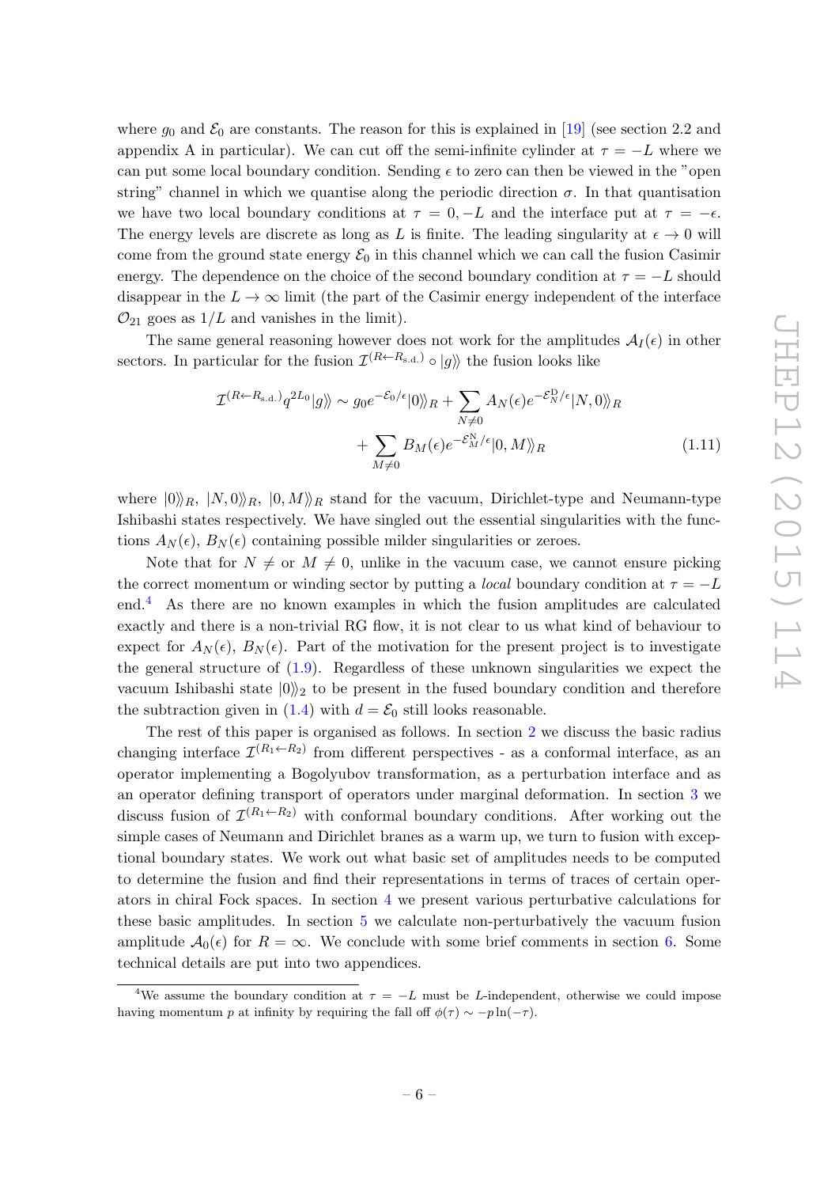where  $g_0$  and  $\mathcal{E}_0$  are constants. The reason for this is explained in [\[19\]](#page-32-10) (see section 2.2 and appendix A in particular). We can cut off the semi-infinite cylinder at  $\tau = -L$  where we can put some local boundary condition. Sending  $\epsilon$  to zero can then be viewed in the "open string" channel in which we quantise along the periodic direction  $\sigma$ . In that quantisation we have two local boundary conditions at  $\tau = 0, -L$  and the interface put at  $\tau = -\epsilon$ . The energy levels are discrete as long as L is finite. The leading singularity at  $\epsilon \to 0$  will come from the ground state energy  $\mathcal{E}_0$  in this channel which we can call the fusion Casimir energy. The dependence on the choice of the second boundary condition at  $\tau = -L$  should disappear in the  $L \to \infty$  limit (the part of the Casimir energy independent of the interface  $\mathcal{O}_{21}$  goes as  $1/L$  and vanishes in the limit).

The same general reasoning however does not work for the amplitudes  $A_I(\epsilon)$  in other sectors. In particular for the fusion  $\mathcal{I}^{(R\leftarrow R_{s,d.})} \circ |g\rangle$  the fusion looks like

$$
\mathcal{I}^{(R \leftarrow R_{\rm s.d.})} q^{2L_0} |g\rangle\rangle \sim g_0 e^{-\mathcal{E}_0/\epsilon} |0\rangle\rangle_R + \sum_{N \neq 0} A_N(\epsilon) e^{-\mathcal{E}_N^{\rm D}/\epsilon} |N,0\rangle\rangle_R \n+ \sum_{M \neq 0} B_M(\epsilon) e^{-\mathcal{E}_M^{\rm N}/\epsilon} |0,M\rangle\rangle_R
$$
\n(1.11)

where  $|0\rangle_R$ ,  $|N, 0\rangle_R$ ,  $|0, M\rangle_R$  stand for the vacuum, Dirichlet-type and Neumann-type Ishibashi states respectively. We have singled out the essential singularities with the functions  $A_N(\epsilon)$ ,  $B_N(\epsilon)$  containing possible milder singularities or zeroes.

Note that for  $N \neq 0$ , unlike in the vacuum case, we cannot ensure picking the correct momentum or winding sector by putting a *local* boundary condition at  $\tau = -L$ end.[4](#page-7-0) As there are no known examples in which the fusion amplitudes are calculated exactly and there is a non-trivial RG flow, it is not clear to us what kind of behaviour to expect for  $A_N(\epsilon)$ ,  $B_N(\epsilon)$ . Part of the motivation for the present project is to investigate the general structure of [\(1.9\)](#page-6-1). Regardless of these unknown singularities we expect the vacuum Ishibashi state  $|0\rangle$ <sub>2</sub> to be present in the fused boundary condition and therefore the subtraction given in [\(1.4\)](#page-3-2) with  $d = \mathcal{E}_0$  still looks reasonable.

The rest of this paper is organised as follows. In section [2](#page-8-0) we discuss the basic radius changing interface  $\mathcal{I}^{(R_1 \leftarrow R_2)}$  from different perspectives - as a conformal interface, as an operator implementing a Bogolyubov transformation, as a perturbation interface and as an operator defining transport of operators under marginal deformation. In section [3](#page-15-0) we discuss fusion of  $\mathcal{I}^{(R_1 \leftarrow R_2)}$  with conformal boundary conditions. After working out the simple cases of Neumann and Dirichlet branes as a warm up, we turn to fusion with exceptional boundary states. We work out what basic set of amplitudes needs to be computed to determine the fusion and find their representations in terms of traces of certain operators in chiral Fock spaces. In section [4](#page-20-0) we present various perturbative calculations for these basic amplitudes. In section [5](#page-25-0) we calculate non-perturbatively the vacuum fusion amplitude  $A_0(\epsilon)$  for  $R = \infty$ . We conclude with some brief comments in section [6.](#page-28-0) Some technical details are put into two appendices.

<span id="page-7-0"></span><sup>&</sup>lt;sup>4</sup>We assume the boundary condition at  $\tau = -L$  must be L-independent, otherwise we could impose having momentum p at infinity by requiring the fall off  $\phi(\tau) \sim -p \ln(-\tau)$ .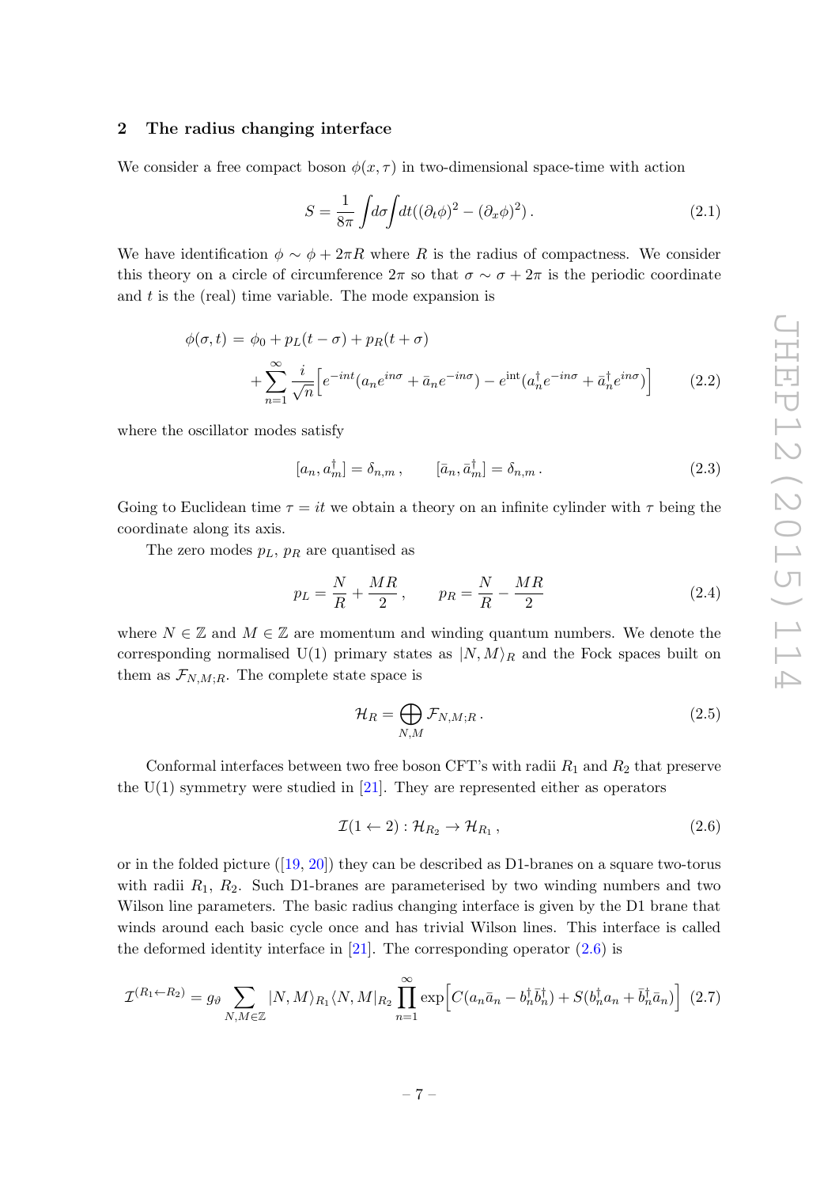# <span id="page-8-0"></span>2 The radius changing interface

We consider a free compact boson  $\phi(x, \tau)$  in two-dimensional space-time with action

$$
S = \frac{1}{8\pi} \int d\sigma \int dt ((\partial_t \phi)^2 - (\partial_x \phi)^2). \tag{2.1}
$$

We have identification  $\phi \sim \phi + 2\pi R$  where R is the radius of compactness. We consider this theory on a circle of circumference  $2\pi$  so that  $\sigma \sim \sigma + 2\pi$  is the periodic coordinate and  $t$  is the (real) time variable. The mode expansion is

<span id="page-8-3"></span>
$$
\phi(\sigma, t) = \phi_0 + p_L(t - \sigma) + p_R(t + \sigma)
$$

$$
+ \sum_{n=1}^{\infty} \frac{i}{\sqrt{n}} \left[ e^{-int} (a_n e^{in\sigma} + \bar{a}_n e^{-in\sigma}) - e^{int} (a_n^{\dagger} e^{-in\sigma} + \bar{a}_n^{\dagger} e^{in\sigma}) \right]
$$
(2.2)

where the oscillator modes satisfy

$$
[a_n, a_m^{\dagger}] = \delta_{n,m}, \qquad [\bar{a}_n, \bar{a}_m^{\dagger}] = \delta_{n,m}. \qquad (2.3)
$$

Going to Euclidean time  $\tau = it$  we obtain a theory on an infinite cylinder with  $\tau$  being the coordinate along its axis.

The zero modes  $p_L$ ,  $p_R$  are quantised as

$$
p_L = \frac{N}{R} + \frac{MR}{2}, \qquad p_R = \frac{N}{R} - \frac{MR}{2}
$$
\n
$$
(2.4)
$$

where  $N \in \mathbb{Z}$  and  $M \in \mathbb{Z}$  are momentum and winding quantum numbers. We denote the corresponding normalised U(1) primary states as  $|N, M\rangle_R$  and the Fock spaces built on them as  $\mathcal{F}_{N,M;R}$ . The complete state space is

$$
\mathcal{H}_R = \bigoplus_{N,M} \mathcal{F}_{N,M;R} \,. \tag{2.5}
$$

Conformal interfaces between two free boson CFT's with radii  $R_1$  and  $R_2$  that preserve the  $U(1)$  symmetry were studied in [\[21\]](#page-32-11). They are represented either as operators

<span id="page-8-1"></span>
$$
\mathcal{I}(1 \leftarrow 2) : \mathcal{H}_{R_2} \rightarrow \mathcal{H}_{R_1},\tag{2.6}
$$

orin the folded picture  $([19, 20])$  $([19, 20])$  $([19, 20])$  $([19, 20])$  $([19, 20])$  they can be described as D1-branes on a square two-torus with radii  $R_1$ ,  $R_2$ . Such D1-branes are parameterised by two winding numbers and two Wilson line parameters. The basic radius changing interface is given by the D1 brane that winds around each basic cycle once and has trivial Wilson lines. This interface is called the deformed identity interface in  $[21]$ . The corresponding operator  $(2.6)$  is

<span id="page-8-2"></span>
$$
\mathcal{I}^{(R_1 \leftarrow R_2)} = g_\vartheta \sum_{N,M \in \mathbb{Z}} |N,M\rangle_{R_1} \langle N,M|_{R_2} \prod_{n=1}^{\infty} \exp \left[ C(a_n \bar{a}_n - b_n^{\dagger} \bar{b}_n^{\dagger}) + S(b_n^{\dagger} a_n + \bar{b}_n^{\dagger} \bar{a}_n) \right] (2.7)
$$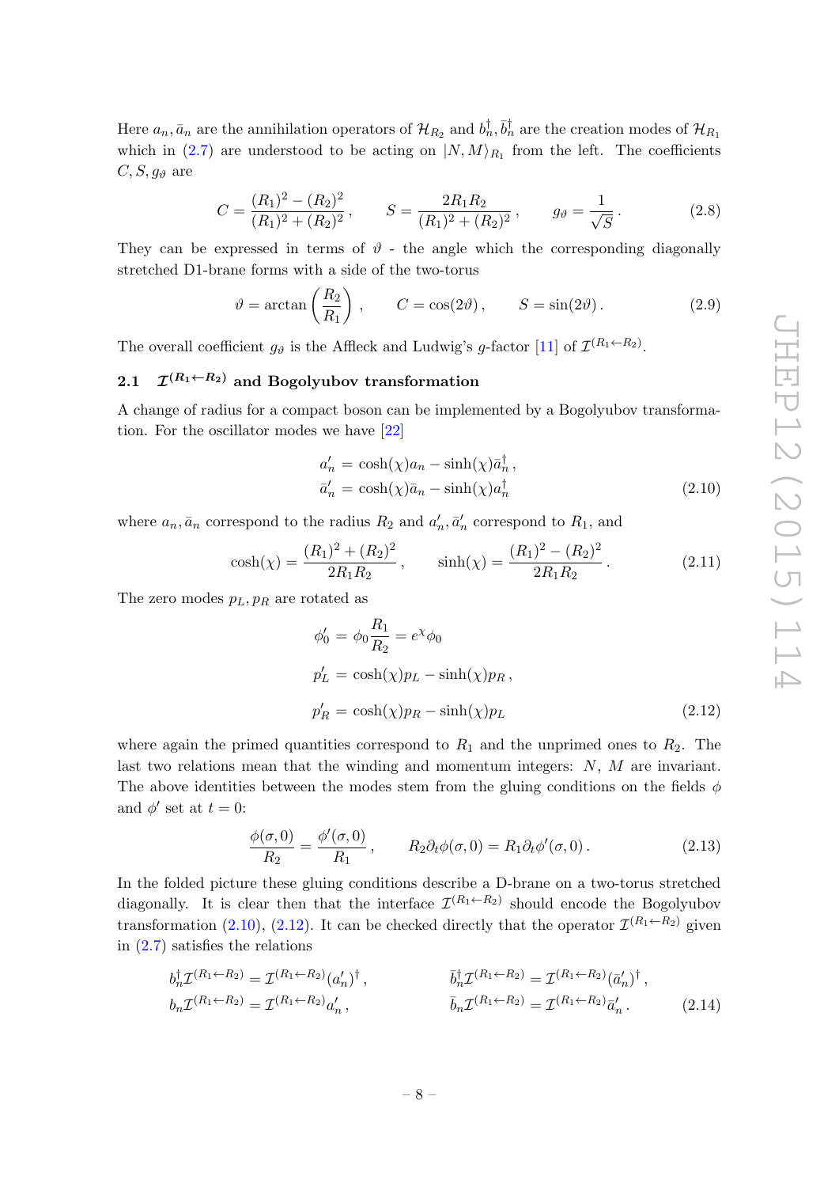Here  $a_n$ ,  $\bar{a}_n$  are the annihilation operators of  $\mathcal{H}_{R_2}$  and  $b_n^{\dagger}$ ,  $\bar{b}_n^{\dagger}$  are the creation modes of  $\mathcal{H}_{R_1}$ which in [\(2.7\)](#page-8-2) are understood to be acting on  $|N, M\rangle_{R_1}$  from the left. The coefficients  $C, S, g_{\theta}$  are

$$
C = \frac{(R_1)^2 - (R_2)^2}{(R_1)^2 + (R_2)^2}, \qquad S = \frac{2R_1R_2}{(R_1)^2 + (R_2)^2}, \qquad g_{\vartheta} = \frac{1}{\sqrt{S}}.
$$
 (2.8)

They can be expressed in terms of  $\vartheta$  - the angle which the corresponding diagonally stretched D1-brane forms with a side of the two-torus

$$
\vartheta = \arctan\left(\frac{R_2}{R_1}\right)
$$
,  $C = \cos(2\vartheta)$ ,  $S = \sin(2\vartheta)$ . (2.9)

The overall coefficient  $g_{\vartheta}$  is the Affleck and Ludwig's g-factor [\[11\]](#page-32-2) of  $\mathcal{I}^{(R_1 \leftarrow R_2)}$ .

#### <span id="page-9-0"></span> $2.1$  $\mathcal{I}^{(R_1 \leftarrow R_2)}$  and Bogolyubov transformation

A change of radius for a compact boson can be implemented by a Bogolyubov transformation. For the oscillator modes we have [\[22\]](#page-32-12)

<span id="page-9-1"></span>
$$
a'_{n} = \cosh(\chi)a_{n} - \sinh(\chi)\bar{a}_{n}^{\dagger},
$$
  
\n
$$
\bar{a}'_{n} = \cosh(\chi)\bar{a}_{n} - \sinh(\chi)a_{n}^{\dagger}
$$
\n(2.10)

where  $a_n, \bar{a}_n$  correspond to the radius  $R_2$  and  $a'_n, \bar{a}'_n$  correspond to  $R_1$ , and

$$
\cosh(\chi) = \frac{(R_1)^2 + (R_2)^2}{2R_1R_2}, \qquad \sinh(\chi) = \frac{(R_1)^2 - (R_2)^2}{2R_1R_2}.
$$
 (2.11)

The zero modes  $p_L, p_R$  are rotated as

<span id="page-9-2"></span>
$$
\phi'_0 = \phi_0 \frac{R_1}{R_2} = e^{\chi} \phi_0
$$
  
\n
$$
p'_L = \cosh(\chi)p_L - \sinh(\chi)p_R,
$$
  
\n
$$
p'_R = \cosh(\chi)p_R - \sinh(\chi)p_L
$$
\n(2.12)

where again the primed quantities correspond to  $R_1$  and the unprimed ones to  $R_2$ . The last two relations mean that the winding and momentum integers:  $N$ ,  $M$  are invariant. The above identities between the modes stem from the gluing conditions on the fields  $\phi$ and  $\phi'$  set at  $t = 0$ :

$$
\frac{\phi(\sigma,0)}{R_2} = \frac{\phi'(\sigma,0)}{R_1}, \qquad R_2 \partial_t \phi(\sigma,0) = R_1 \partial_t \phi'(\sigma,0).
$$
\n(2.13)

In the folded picture these gluing conditions describe a D-brane on a two-torus stretched diagonally. It is clear then that the interface  $\mathcal{I}^{(R_1 \leftarrow R_2)}$  should encode the Bogolyubov transformation [\(2.10\)](#page-9-1), [\(2.12\)](#page-9-2). It can be checked directly that the operator  $\mathcal{I}^{(R_1 \leftarrow R_2)}$  given in  $(2.7)$  satisfies the relations

$$
b_n^{\dagger} \mathcal{I}^{(R_1 \leftarrow R_2)} = \mathcal{I}^{(R_1 \leftarrow R_2)} (a'_n)^{\dagger}, \qquad \qquad \bar{b}_n^{\dagger} \mathcal{I}^{(R_1 \leftarrow R_2)} = \mathcal{I}^{(R_1 \leftarrow R_2)} (\bar{a}'_n)^{\dagger}, b_n \mathcal{I}^{(R_1 \leftarrow R_2)} = \mathcal{I}^{(R_1 \leftarrow R_2)} a'_n, \qquad \qquad \bar{b}_n \mathcal{I}^{(R_1 \leftarrow R_2)} = \mathcal{I}^{(R_1 \leftarrow R_2)} \bar{a}'_n. \qquad (2.14)
$$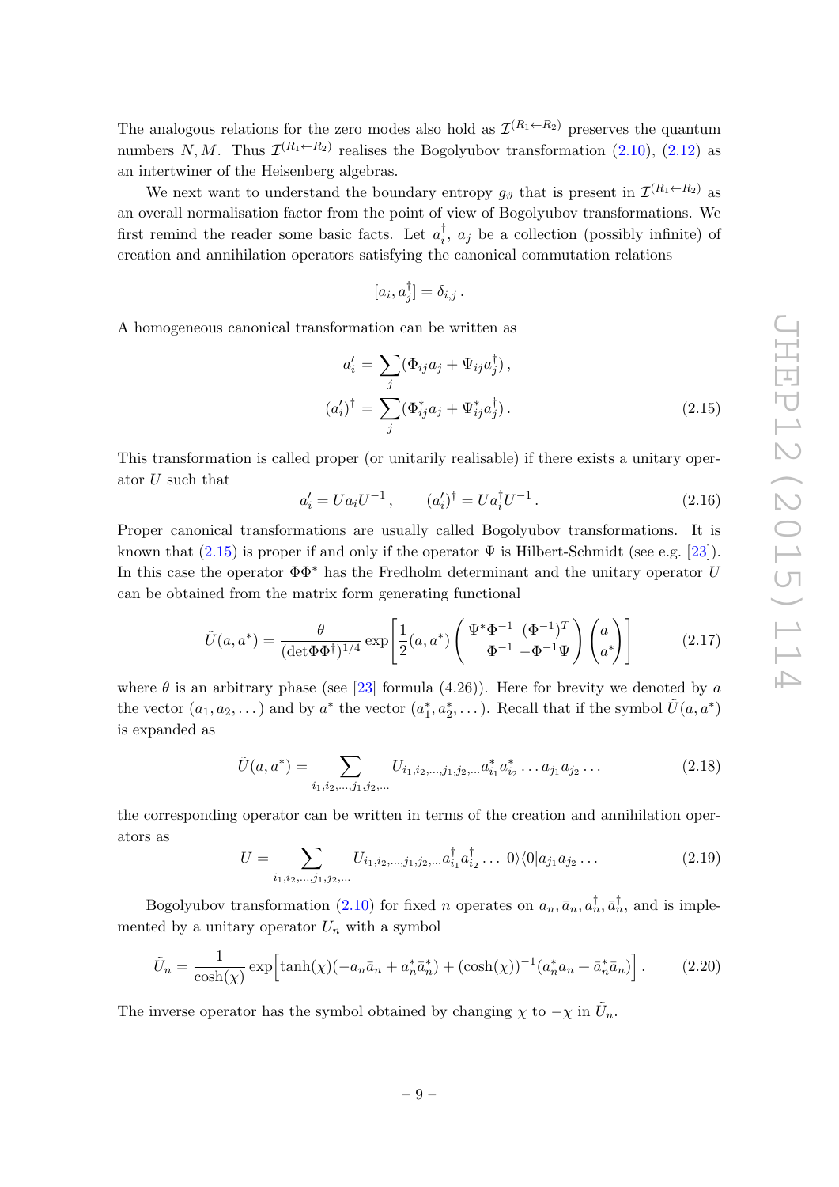The analogous relations for the zero modes also hold as  $\mathcal{I}^{(R_1 \leftarrow R_2)}$  preserves the quantum numbers N, M. Thus  $\mathcal{I}^{(R_1 \leftarrow R_2)}$  realises the Bogolyubov transformation  $(2.10)$ ,  $(2.12)$  as an intertwiner of the Heisenberg algebras.

We next want to understand the boundary entropy  $g_{\vartheta}$  that is present in  $\mathcal{I}^{(R_1 \leftarrow R_2)}$  as an overall normalisation factor from the point of view of Bogolyubov transformations. We first remind the reader some basic facts. Let  $a_i^{\dagger}$  $i<sub>i</sub>$ ,  $a<sub>j</sub>$  be a collection (possibly infinite) of creation and annihilation operators satisfying the canonical commutation relations

$$
[a_i, a_j^{\dagger}] = \delta_{i,j} .
$$

A homogeneous canonical transformation can be written as

<span id="page-10-0"></span>
$$
a'_{i} = \sum_{j} (\Phi_{ij} a_j + \Psi_{ij} a_j^{\dagger}),
$$
  

$$
(a'_{i})^{\dagger} = \sum_{j} (\Phi_{ij}^{*} a_j + \Psi_{ij}^{*} a_j^{\dagger}).
$$
 (2.15)

This transformation is called proper (or unitarily realisable) if there exists a unitary operator U such that

<span id="page-10-2"></span>
$$
a'_{i} = U a_{i} U^{-1}, \qquad (a'_{i})^{\dagger} = U a_{i}^{\dagger} U^{-1}. \qquad (2.16)
$$

Proper canonical transformations are usually called Bogolyubov transformations. It is known that  $(2.15)$  is proper if and only if the operator  $\Psi$  is Hilbert-Schmidt (see e.g. [\[23\]](#page-32-13)). In this case the operator  $\Phi \Phi^*$  has the Fredholm determinant and the unitary operator U can be obtained from the matrix form generating functional

$$
\tilde{U}(a,a^*) = \frac{\theta}{(\det \Phi \Phi^\dagger)^{1/4}} \exp\left[\frac{1}{2}(a,a^*) \left(\frac{\Psi^* \Phi^{-1}}{\Phi^{-1} - \Phi^{-1} \Psi}\right) \begin{pmatrix} a\\a^* \end{pmatrix}\right]
$$
(2.17)

where  $\theta$  is an arbitrary phase (see [\[23\]](#page-32-13) formula (4.26)). Here for brevity we denoted by a the vector  $(a_1, a_2, \dots)$  and by  $a^*$  the vector  $(a_1^*, a_2^*, \dots)$ . Recall that if the symbol  $\tilde{U}(a, a^*)$ is expanded as

$$
\tilde{U}(a, a^*) = \sum_{i_1, i_2, \dots, j_1, j_2, \dots} U_{i_1, i_2, \dots, j_1, j_2, \dots} a_{i_1}^* a_{i_2}^* \dots a_{j_1} a_{j_2} \dots
$$
\n(2.18)

the corresponding operator can be written in terms of the creation and annihilation operators as

$$
U = \sum_{i_1, i_2, \dots, j_1, j_2, \dots} U_{i_1, i_2, \dots, j_1, j_2, \dots} a_{i_1}^{\dagger} a_{i_2}^{\dagger} \dots |0\rangle\langle 0| a_{j_1} a_{j_2} \dots
$$
\n(2.19)

Bogolyubov transformation [\(2.10\)](#page-9-1) for fixed *n* operates on  $a_n$ ,  $\bar{a}_n$ ,  $a_n^{\dagger}$ ,  $\bar{a}_n^{\dagger}$ , and is implemented by a unitary operator  $U_n$  with a symbol

<span id="page-10-1"></span>
$$
\tilde{U}_n = \frac{1}{\cosh(\chi)} \exp\left[\tanh(\chi)(-a_n\bar{a}_n + a_n^*\bar{a}_n^*) + (\cosh(\chi))^{-1}(a_n^*a_n + \bar{a}_n^*\bar{a}_n)\right].\tag{2.20}
$$

The inverse operator has the symbol obtained by changing  $\chi$  to  $-\chi$  in  $\tilde{U}_n$ .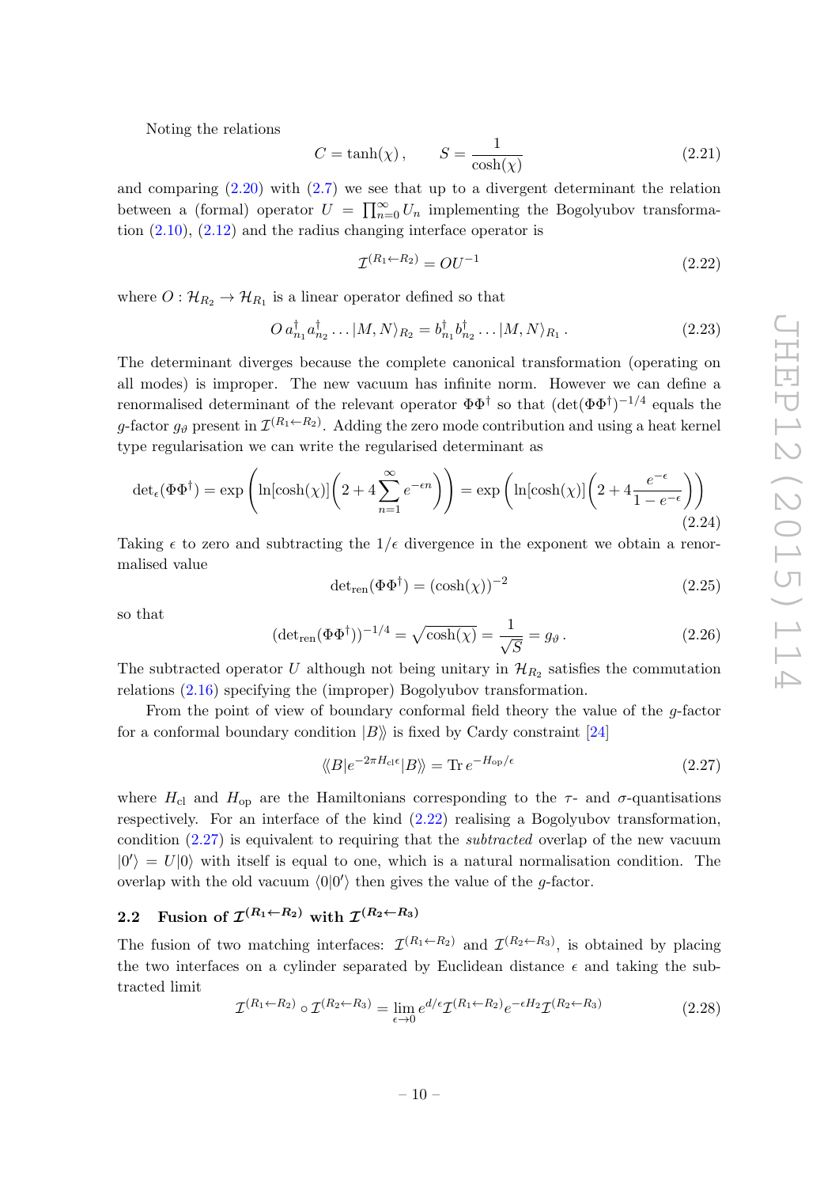Noting the relations

$$
C = \tanh(\chi), \qquad S = \frac{1}{\cosh(\chi)}\tag{2.21}
$$

and comparing [\(2.20\)](#page-10-1) with [\(2.7\)](#page-8-2) we see that up to a divergent determinant the relation between a (formal) operator  $U = \prod_{n=0}^{\infty} U_n$  implementing the Bogolyubov transformation  $(2.10)$ ,  $(2.12)$  and the radius changing interface operator is

<span id="page-11-1"></span>
$$
\mathcal{I}^{(R_1 \leftarrow R_2)} = O U^{-1} \tag{2.22}
$$

where  $O: \mathcal{H}_{R_2} \to \mathcal{H}_{R_1}$  is a linear operator defined so that

$$
O a_{n_1}^{\dagger} a_{n_2}^{\dagger} \dots |M, N\rangle_{R_2} = b_{n_1}^{\dagger} b_{n_2}^{\dagger} \dots |M, N\rangle_{R_1}.
$$
 (2.23)

The determinant diverges because the complete canonical transformation (operating on all modes) is improper. The new vacuum has infinite norm. However we can define a renormalised determinant of the relevant operator  $\Phi \Phi^{\dagger}$  so that  $(\det(\Phi \Phi^{\dagger})^{-1/4}$  equals the g-factor  $g_{\theta}$  present in  $\mathcal{I}^{(R_1 \leftarrow R_2)}$ . Adding the zero mode contribution and using a heat kernel type regularisation we can write the regularised determinant as

$$
\det_{\epsilon}(\Phi \Phi^{\dagger}) = \exp\left(\ln[\cosh(\chi)] \left(2 + 4 \sum_{n=1}^{\infty} e^{-\epsilon n}\right)\right) = \exp\left(\ln[\cosh(\chi)] \left(2 + 4 \frac{e^{-\epsilon}}{1 - e^{-\epsilon}}\right)\right)
$$
\n(2.24)

Taking  $\epsilon$  to zero and subtracting the  $1/\epsilon$  divergence in the exponent we obtain a renormalised value

$$
\det_{ren}(\Phi \Phi^{\dagger}) = (\cosh(\chi))^{-2} \tag{2.25}
$$

so that

$$
(\det_{\text{ren}}(\Phi \Phi^{\dagger}))^{-1/4} = \sqrt{\cosh(\chi)} = \frac{1}{\sqrt{S}} = g_{\vartheta}.
$$
 (2.26)

The subtracted operator U although not being unitary in  $\mathcal{H}_{R_2}$  satisfies the commutation relations [\(2.16\)](#page-10-2) specifying the (improper) Bogolyubov transformation.

From the point of view of boundary conformal field theory the value of the g-factor for a conformal boundary condition  $|B\rangle$  is fixed by Cardy constraint [\[24\]](#page-32-14)

<span id="page-11-2"></span>
$$
\langle \langle B|e^{-2\pi H_{\rm cl}\epsilon}|B\rangle \rangle = \text{Tr} \, e^{-H_{\rm op}/\epsilon} \tag{2.27}
$$

where  $H_{\rm cl}$  and  $H_{\rm op}$  are the Hamiltonians corresponding to the  $\tau$ - and  $\sigma$ -quantisations respectively. For an interface of the kind [\(2.22\)](#page-11-1) realising a Bogolyubov transformation, condition  $(2.27)$  is equivalent to requiring that the *subtracted* overlap of the new vacuum  $|0'\rangle = U|0\rangle$  with itself is equal to one, which is a natural normalisation condition. The overlap with the old vacuum  $\langle 0|0'\rangle$  then gives the value of the g-factor.

# <span id="page-11-0"></span>2.2 Fusion of  $\mathcal{I}^{(R_1 \leftarrow R_2)}$  with  $\mathcal{I}^{(R_2 \leftarrow R_3)}$

The fusion of two matching interfaces:  $\mathcal{I}^{(R_1 \leftarrow R_2)}$  and  $\mathcal{I}^{(R_2 \leftarrow R_3)}$ , is obtained by placing the two interfaces on a cylinder separated by Euclidean distance  $\epsilon$  and taking the subtracted limit

$$
\mathcal{I}^{(R_1 \leftarrow R_2)} \circ \mathcal{I}^{(R_2 \leftarrow R_3)} = \lim_{\epsilon \to 0} e^{d/\epsilon} \mathcal{I}^{(R_1 \leftarrow R_2)} e^{-\epsilon H_2} \mathcal{I}^{(R_2 \leftarrow R_3)} \tag{2.28}
$$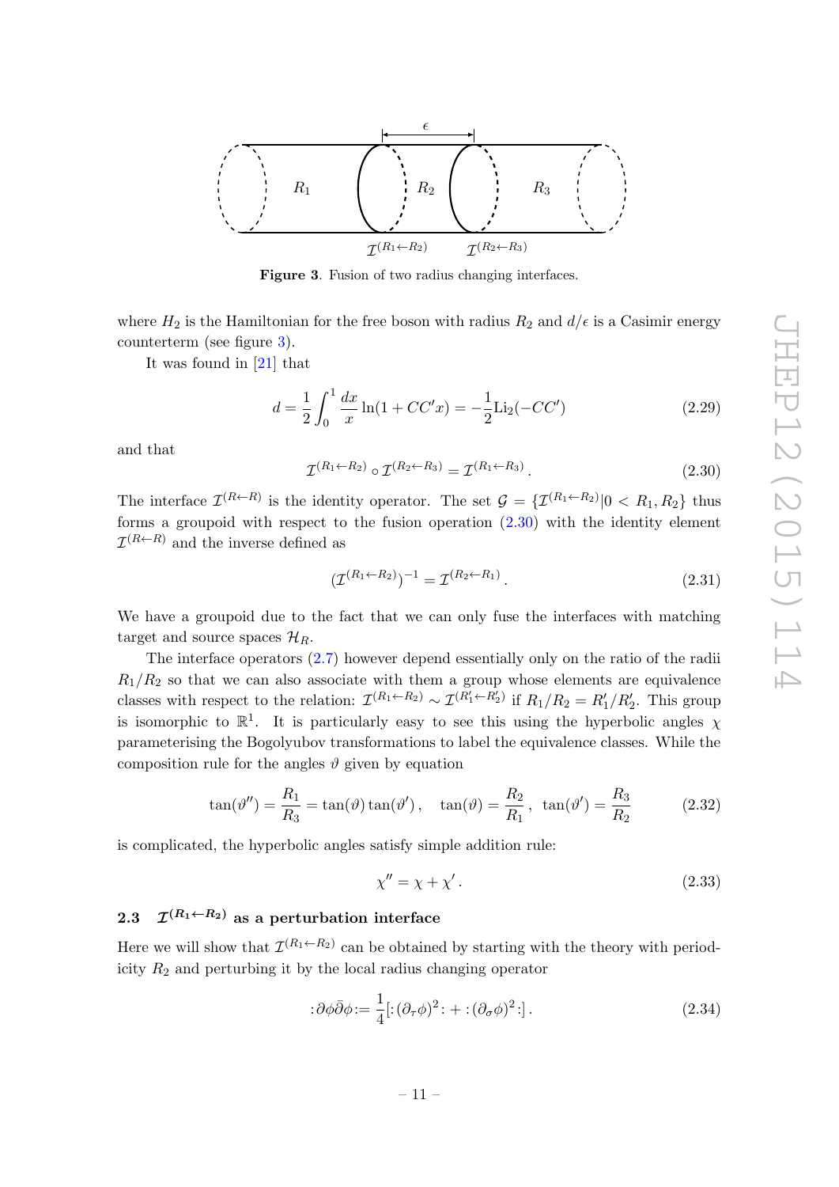

<span id="page-12-1"></span>Figure 3. Fusion of two radius changing interfaces.

where  $H_2$  is the Hamiltonian for the free boson with radius  $R_2$  and  $d/\epsilon$  is a Casimir energy counterterm (see figure [3\)](#page-12-1).

It was found in [\[21\]](#page-32-11) that

$$
d = \frac{1}{2} \int_0^1 \frac{dx}{x} \ln(1 + CC'x) = -\frac{1}{2} \text{Li}_2(-CC')
$$
 (2.29)

and that

<span id="page-12-2"></span>
$$
\mathcal{I}^{(R_1 \leftarrow R_2)} \circ \mathcal{I}^{(R_2 \leftarrow R_3)} = \mathcal{I}^{(R_1 \leftarrow R_3)}.
$$
\n
$$
(2.30)
$$

The interface  $\mathcal{I}^{(R\leftarrow R)}$  is the identity operator. The set  $\mathcal{G} = {\{\mathcal{I}^{(R_1\leftarrow R_2)} | 0 \lt R_1, R_2\}}$  thus forms a groupoid with respect to the fusion operation  $(2.30)$  with the identity element  $\mathcal{I}^{(R\leftarrow R)}$  and the inverse defined as

$$
(\mathcal{I}^{(R_1 \leftarrow R_2)})^{-1} = \mathcal{I}^{(R_2 \leftarrow R_1)}.
$$
\n(2.31)

We have a groupoid due to the fact that we can only fuse the interfaces with matching target and source spaces  $\mathcal{H}_R$ .

The interface operators [\(2.7\)](#page-8-2) however depend essentially only on the ratio of the radii  $R_1/R_2$  so that we can also associate with them a group whose elements are equivalence classes with respect to the relation:  $\mathcal{I}^{(R_1 \leftarrow R_2)} \sim \mathcal{I}^{(R'_1 \leftarrow R'_2)}$  if  $R_1/R_2 = R'_1/R'_2$ . This group is isomorphic to  $\mathbb{R}^1$ . It is particularly easy to see this using the hyperbolic angles  $\chi$ parameterising the Bogolyubov transformations to label the equivalence classes. While the composition rule for the angles  $\vartheta$  given by equation

$$
\tan(\theta'') = \frac{R_1}{R_3} = \tan(\theta)\tan(\theta'), \quad \tan(\theta) = \frac{R_2}{R_1}, \quad \tan(\theta') = \frac{R_3}{R_2}
$$
 (2.32)

is complicated, the hyperbolic angles satisfy simple addition rule:

$$
\chi'' = \chi + \chi'.\tag{2.33}
$$

#### <span id="page-12-0"></span> $2.3$  $\mathcal{I}^{(R_1 \leftarrow R_2)}$  as a perturbation interface

Here we will show that  $\mathcal{I}^{(R_1 \leftarrow R_2)}$  can be obtained by starting with the theory with periodicity  $R_2$  and perturbing it by the local radius changing operator

$$
:\partial\phi\overline{\partial}\phi:=\frac{1}{4}[(\partial_{\tau}\phi)^{2}:\cdot+:(\partial_{\sigma}\phi)^{2}:\cdot].
$$
\n(2.34)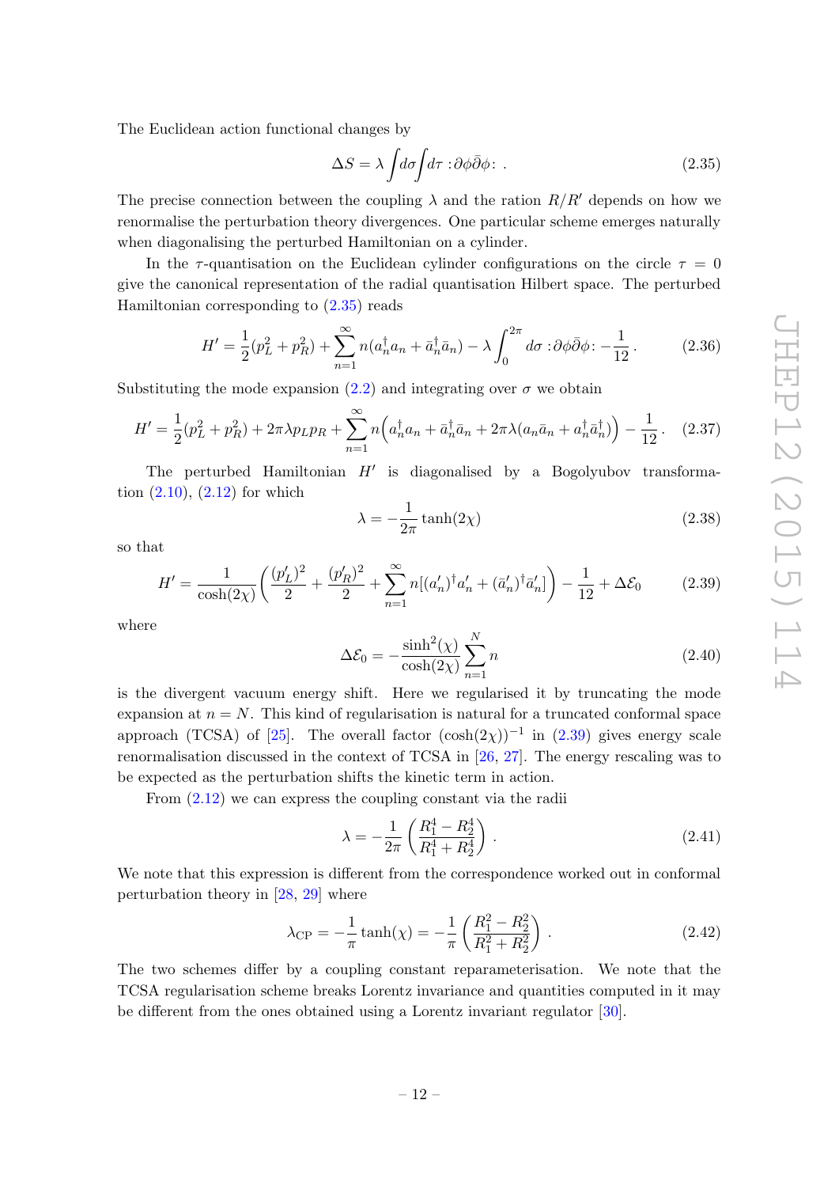The Euclidean action functional changes by

<span id="page-13-1"></span>
$$
\Delta S = \lambda \int d\sigma \int d\tau \, \, : \partial \phi \bar{\partial} \phi \, : \tag{2.35}
$$

The precise connection between the coupling  $\lambda$  and the ration  $R/R'$  depends on how we renormalise the perturbation theory divergences. One particular scheme emerges naturally when diagonalising the perturbed Hamiltonian on a cylinder.

In the  $\tau$ -quantisation on the Euclidean cylinder configurations on the circle  $\tau = 0$ give the canonical representation of the radial quantisation Hilbert space. The perturbed Hamiltonian corresponding to [\(2.35\)](#page-13-1) reads

$$
H' = \frac{1}{2}(p_L^2 + p_R^2) + \sum_{n=1}^{\infty} n(a_n^{\dagger} a_n + \bar{a}_n^{\dagger} \bar{a}_n) - \lambda \int_0^{2\pi} d\sigma \; \, : \partial \phi \bar{\partial} \phi \, \, : -\frac{1}{12} \,. \tag{2.36}
$$

Substituting the mode expansion [\(2.2\)](#page-8-3) and integrating over  $\sigma$  we obtain

$$
H' = \frac{1}{2}(p_L^2 + p_R^2) + 2\pi\lambda p_L p_R + \sum_{n=1}^{\infty} n \left( a_n^{\dagger} a_n + \bar{a}_n^{\dagger} \bar{a}_n + 2\pi\lambda (a_n \bar{a}_n + a_n^{\dagger} \bar{a}_n^{\dagger}) \right) - \frac{1}{12}.
$$
 (2.37)

The perturbed Hamiltonian  $H'$  is diagonalised by a Bogolyubov transformation  $(2.10)$ ,  $(2.12)$  for which

$$
\lambda = -\frac{1}{2\pi} \tanh(2\chi) \tag{2.38}
$$

so that

<span id="page-13-2"></span>
$$
H' = \frac{1}{\cosh(2\chi)} \left( \frac{(p'_L)^2}{2} + \frac{(p'_R)^2}{2} + \sum_{n=1}^{\infty} n[(a'_n)^\dagger a'_n + (\bar{a}'_n)^\dagger \bar{a}'_n] \right) - \frac{1}{12} + \Delta \mathcal{E}_0 \tag{2.39}
$$

where

$$
\Delta \mathcal{E}_0 = -\frac{\sinh^2(\chi)}{\cosh(2\chi)} \sum_{n=1}^{N} n
$$
\n(2.40)

is the divergent vacuum energy shift. Here we regularised it by truncating the mode expansion at  $n = N$ . This kind of regularisation is natural for a truncated conformal space approach (TCSA) of [\[25\]](#page-32-15). The overall factor  $(\cosh(2\chi))^{-1}$  in  $(2.39)$  gives energy scale renormalisation discussed in the context of TCSA in [\[26,](#page-32-16) [27\]](#page-32-17). The energy rescaling was to be expected as the perturbation shifts the kinetic term in action.

From [\(2.12\)](#page-9-2) we can express the coupling constant via the radii

<span id="page-13-0"></span>
$$
\lambda = -\frac{1}{2\pi} \left( \frac{R_1^4 - R_2^4}{R_1^4 + R_2^4} \right) \,. \tag{2.41}
$$

We note that this expression is different from the correspondence worked out in conformal perturbation theory in [\[28,](#page-32-18) [29\]](#page-32-19) where

$$
\lambda_{\rm CP} = -\frac{1}{\pi} \tanh(\chi) = -\frac{1}{\pi} \left( \frac{R_1^2 - R_2^2}{R_1^2 + R_2^2} \right) . \tag{2.42}
$$

The two schemes differ by a coupling constant reparameterisation. We note that the TCSA regularisation scheme breaks Lorentz invariance and quantities computed in it may be different from the ones obtained using a Lorentz invariant regulator [\[30\]](#page-33-0).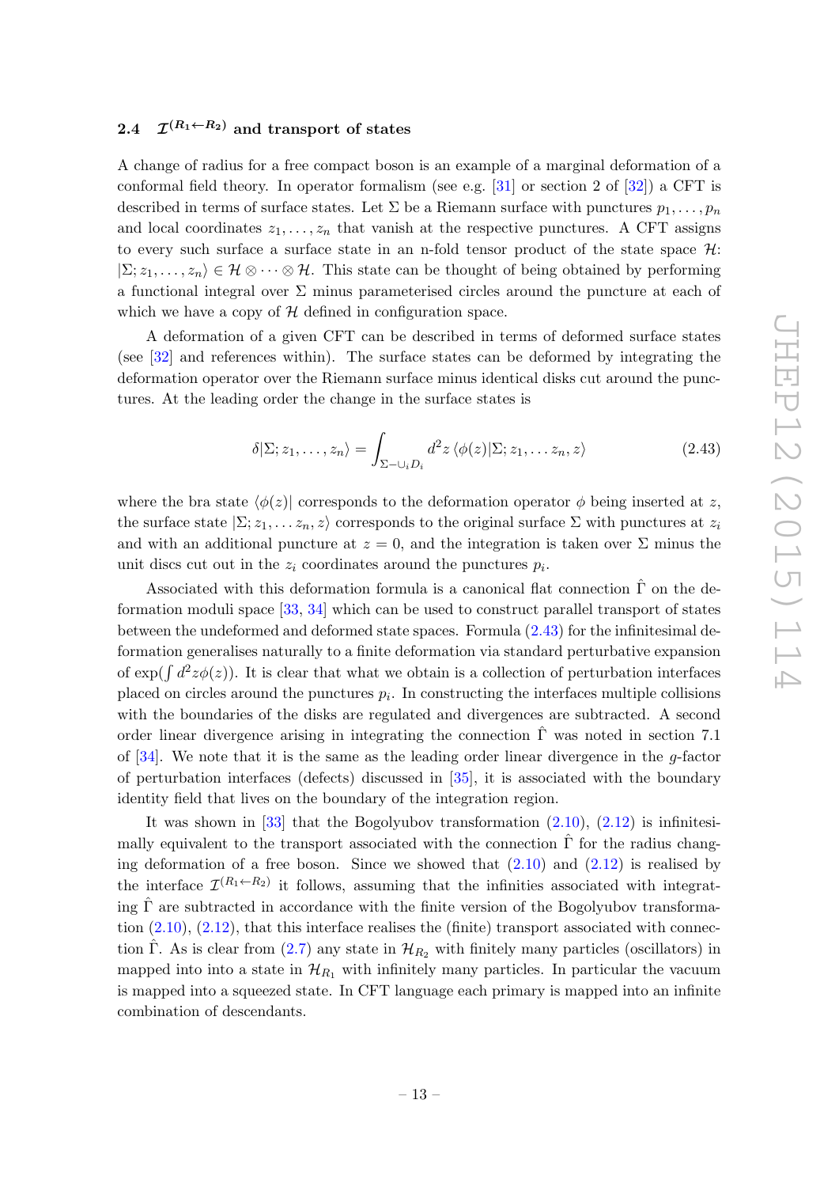#### <span id="page-14-0"></span> $2.4$  $\mathcal{I}^{(R_1 \leftarrow R_2)}$  and transport of states

A change of radius for a free compact boson is an example of a marginal deformation of a conformal field theory. In operator formalism (see e.g. [\[31\]](#page-33-1) or section 2 of [\[32\]](#page-33-2)) a CFT is described in terms of surface states. Let  $\Sigma$  be a Riemann surface with punctures  $p_1, \ldots, p_n$ and local coordinates  $z_1, \ldots, z_n$  that vanish at the respective punctures. A CFT assigns to every such surface a surface state in an n-fold tensor product of the state space  $\mathcal{H}$ :  $|\Sigma; z_1, \ldots, z_n\rangle \in \mathcal{H} \otimes \cdots \otimes \mathcal{H}$ . This state can be thought of being obtained by performing a functional integral over  $\Sigma$  minus parameterised circles around the puncture at each of which we have a copy of  $H$  defined in configuration space.

A deformation of a given CFT can be described in terms of deformed surface states (see [\[32\]](#page-33-2) and references within). The surface states can be deformed by integrating the deformation operator over the Riemann surface minus identical disks cut around the punctures. At the leading order the change in the surface states is

<span id="page-14-1"></span>
$$
\delta|\Sigma; z_1,\ldots,z_n\rangle = \int_{\Sigma-\cup_i D_i} d^2z \, \langle \phi(z)|\Sigma; z_1,\ldots z_n, z\rangle \tag{2.43}
$$

where the bra state  $\langle \phi(z) |$  corresponds to the deformation operator  $\phi$  being inserted at z, the surface state  $\sum z_1, \ldots z_n, z$  corresponds to the original surface  $\Sigma$  with punctures at  $z_i$ and with an additional puncture at  $z = 0$ , and the integration is taken over  $\Sigma$  minus the unit discs cut out in the  $z_i$  coordinates around the punctures  $p_i$ .

Associated with this deformation formula is a canonical flat connection  $\hat{\Gamma}$  on the deformation moduli space [\[33,](#page-33-3) [34\]](#page-33-4) which can be used to construct parallel transport of states between the undeformed and deformed state spaces. Formula [\(2.43\)](#page-14-1) for the infinitesimal deformation generalises naturally to a finite deformation via standard perturbative expansion of  $\exp(\int d^2z \phi(z)$ ). It is clear that what we obtain is a collection of perturbation interfaces placed on circles around the punctures  $p_i$ . In constructing the interfaces multiple collisions with the boundaries of the disks are regulated and divergences are subtracted. A second order linear divergence arising in integrating the connection  $\hat{\Gamma}$  was noted in section 7.1 of  $[34]$ . We note that it is the same as the leading order linear divergence in the g-factor of perturbation interfaces (defects) discussed in [\[35\]](#page-33-5), it is associated with the boundary identity field that lives on the boundary of the integration region.

It was shown in [\[33\]](#page-33-3) that the Bogolyubov transformation  $(2.10)$ ,  $(2.12)$  is infinitesimally equivalent to the transport associated with the connection  $\Gamma$  for the radius changing deformation of a free boson. Since we showed that  $(2.10)$  and  $(2.12)$  is realised by the interface  $\mathcal{I}^{(R_1 \leftarrow R_2)}$  it follows, assuming that the infinities associated with integrating  $\hat{\Gamma}$  are subtracted in accordance with the finite version of the Bogolyubov transformation  $(2.10)$ ,  $(2.12)$ , that this interface realises the (finite) transport associated with connection  $\hat{\Gamma}$ . As is clear from ([2.7\)](#page-8-2) any state in  $\mathcal{H}_{R_2}$  with finitely many particles (oscillators) in mapped into into a state in  $\mathcal{H}_{R_1}$  with infinitely many particles. In particular the vacuum is mapped into a squeezed state. In CFT language each primary is mapped into an infinite combination of descendants.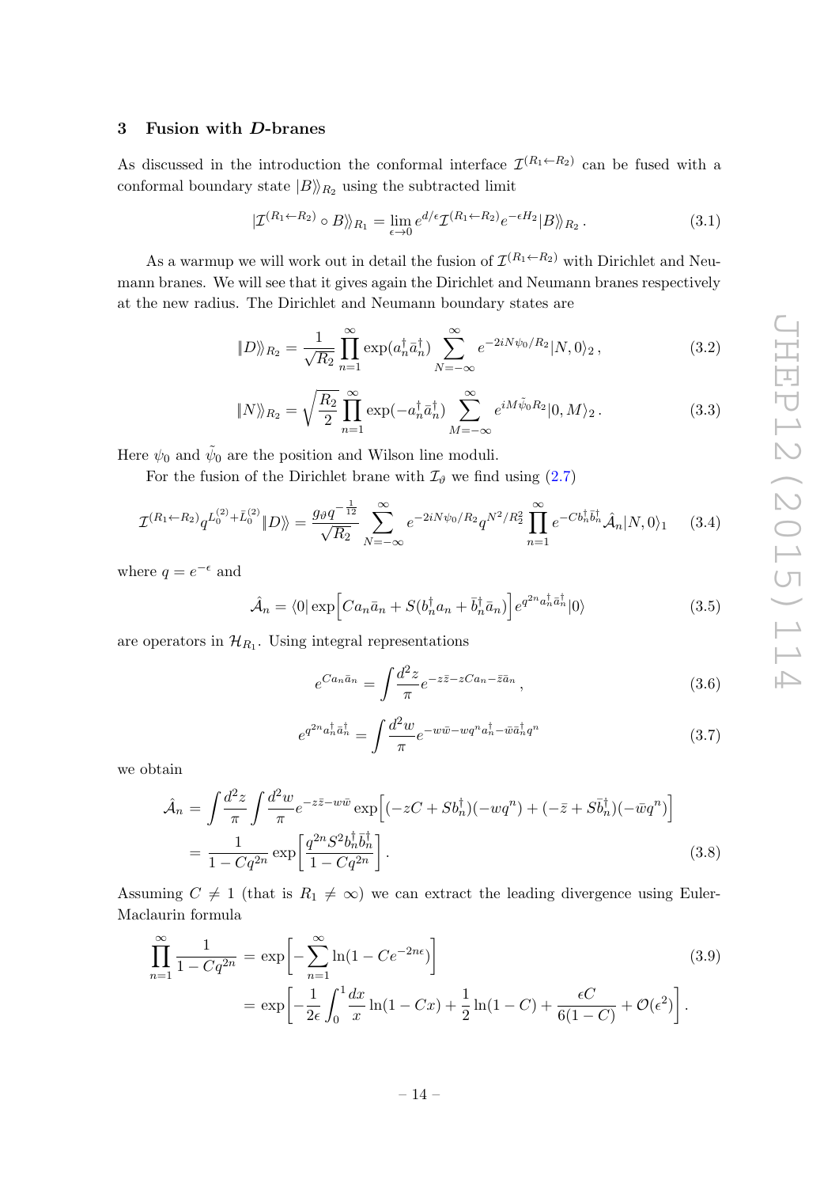# <span id="page-15-0"></span>3 Fusion with D-branes

As discussed in the introduction the conformal interface  $\mathcal{I}^{(R_1 \leftarrow R_2)}$  can be fused with a conformal boundary state  $|B\rangle_{R_2}$  using the subtracted limit

$$
|\mathcal{I}^{(R_1 \leftarrow R_2)} \circ B\rangle\rangle_{R_1} = \lim_{\epsilon \to 0} e^{d/\epsilon} \mathcal{I}^{(R_1 \leftarrow R_2)} e^{-\epsilon H_2} |B\rangle\rangle_{R_2}.
$$
 (3.1)

As a warmup we will work out in detail the fusion of  $\mathcal{I}^{(R_1 \leftarrow R_2)}$  with Dirichlet and Neumann branes. We will see that it gives again the Dirichlet and Neumann branes respectively at the new radius. The Dirichlet and Neumann boundary states are

$$
||D\rangle_{R_2} = \frac{1}{\sqrt{R_2}} \prod_{n=1}^{\infty} \exp(a_n^{\dagger} \bar{a}_n^{\dagger}) \sum_{N=-\infty}^{\infty} e^{-2iN\psi_0/R_2} |N, 0\rangle_2, \qquad (3.2)
$$

$$
\|N\rangle_{R_2} = \sqrt{\frac{R_2}{2}} \prod_{n=1}^{\infty} \exp(-a_n^{\dagger} \bar{a}_n^{\dagger}) \sum_{M=-\infty}^{\infty} e^{iM\tilde{\psi}_0 R_2} |0, M\rangle_2.
$$
 (3.3)

Here  $\psi_0$  and  $\tilde{\psi}_0$  are the position and Wilson line moduli.

For the fusion of the Dirichlet brane with  $\mathcal{I}_{\vartheta}$  we find using [\(2.7\)](#page-8-2)

$$
\mathcal{I}^{(R_1 \leftarrow R_2)} q^{L_0^{(2)} + \bar{L}_0^{(2)}} \left\| D \right\rangle = \frac{g_\vartheta q^{-\frac{1}{12}}}{\sqrt{R_2}} \sum_{N=-\infty}^{\infty} e^{-2iN\psi_0/R_2} q^{N^2/R_2^2} \prod_{n=1}^{\infty} e^{-Cb_n^{\dagger} \bar{b}_n^{\dagger}} \hat{\mathcal{A}}_n \left| N, 0 \right\rangle_1 \tag{3.4}
$$

where  $q = e^{-\epsilon}$  and

$$
\hat{\mathcal{A}}_n = \langle 0 | \exp \left[ C a_n \bar{a}_n + S(b_n^\dagger a_n + \bar{b}_n^\dagger \bar{a}_n) \right] e^{q^{2n} a_n^\dagger \bar{a}_n^\dagger} |0\rangle \tag{3.5}
$$

are operators in  $\mathcal{H}_{R_1}$ . Using integral representations

<span id="page-15-1"></span>
$$
e^{Ca_n\bar{a}_n} = \int \frac{d^2z}{\pi} e^{-z\bar{z} - zCa_n - \bar{z}\bar{a}_n}, \qquad (3.6)
$$

<span id="page-15-2"></span>
$$
e^{q^{2n}a_n^{\dagger}\bar{a}_n^{\dagger}} = \int \frac{d^2w}{\pi} e^{-w\bar{w} - wq^n a_n^{\dagger} - \bar{w}\bar{a}_n^{\dagger}q^n}
$$
(3.7)

we obtain

$$
\hat{\mathcal{A}}_n = \int \frac{d^2 z}{\pi} \int \frac{d^2 w}{\pi} e^{-z \bar{z} - w \bar{w}} \exp \left[ (-zC + Sb_n^{\dagger})(-wq^n) + (-\bar{z} + S\bar{b}_n^{\dagger})(-\bar{w}q^n) \right]
$$
  
= 
$$
\frac{1}{1 - Cq^{2n}} \exp \left[ \frac{q^{2n} S^2 b_n^{\dagger} \bar{b}_n^{\dagger}}{1 - Cq^{2n}} \right].
$$
 (3.8)

Assuming  $C \neq 1$  (that is  $R_1 \neq \infty$ ) we can extract the leading divergence using Euler-Maclaurin formula

<span id="page-15-3"></span>
$$
\prod_{n=1}^{\infty} \frac{1}{1 - Cq^{2n}} = \exp\left[-\sum_{n=1}^{\infty} \ln(1 - Ce^{-2n\epsilon})\right]
$$
\n
$$
= \exp\left[-\frac{1}{2\epsilon} \int_{0}^{1} \frac{dx}{x} \ln(1 - Cx) + \frac{1}{2} \ln(1 - C) + \frac{\epsilon C}{6(1 - C)} + \mathcal{O}(\epsilon^2)\right].
$$
\n(3.9)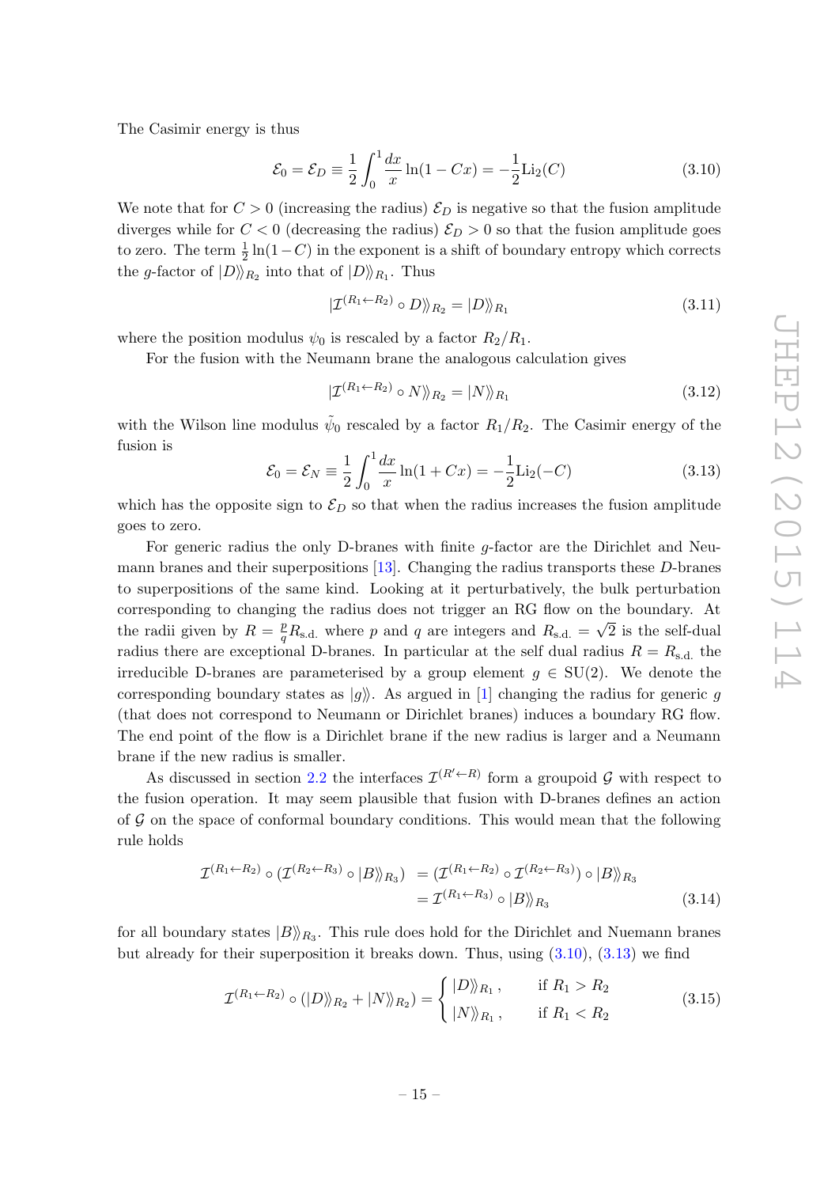The Casimir energy is thus

<span id="page-16-0"></span>
$$
\mathcal{E}_0 = \mathcal{E}_D \equiv \frac{1}{2} \int_0^1 \frac{dx}{x} \ln(1 - Cx) = -\frac{1}{2} \text{Li}_2(C) \tag{3.10}
$$

We note that for  $C > 0$  (increasing the radius)  $\mathcal{E}_D$  is negative so that the fusion amplitude diverges while for  $C < 0$  (decreasing the radius)  $\mathcal{E}_D > 0$  so that the fusion amplitude goes to zero. The term  $\frac{1}{2} \ln(1 - C)$  in the exponent is a shift of boundary entropy which corrects the g-factor of  $|D\rangle\!\rangle_{R_2}$  into that of  $|D\rangle\!\rangle_{R_1}$ . Thus

$$
|\mathcal{I}^{(R_1 \leftarrow R_2)} \circ D\rangle|_{R_2} = |D\rangle|_{R_1}
$$
\n(3.11)

where the position modulus  $\psi_0$  is rescaled by a factor  $R_2/R_1$ .

For the fusion with the Neumann brane the analogous calculation gives

$$
|\mathcal{I}^{(R_1 \leftarrow R_2)} \circ N \rangle_{R_2} = |N \rangle_{R_1}
$$
\n(3.12)

with the Wilson line modulus  $\tilde{\psi}_0$  rescaled by a factor  $R_1/R_2$ . The Casimir energy of the fusion is

<span id="page-16-1"></span>
$$
\mathcal{E}_0 = \mathcal{E}_N \equiv \frac{1}{2} \int_0^1 \frac{dx}{x} \ln(1 + Cx) = -\frac{1}{2} \text{Li}_2(-C) \tag{3.13}
$$

which has the opposite sign to  $\mathcal{E}_D$  so that when the radius increases the fusion amplitude goes to zero.

For generic radius the only D-branes with finite g-factor are the Dirichlet and Neumann branes and their superpositions [\[13\]](#page-32-4). Changing the radius transports these D-branes to superpositions of the same kind. Looking at it perturbatively, the bulk perturbation corresponding to changing the radius does not trigger an RG flow on the boundary. At the radii given by  $R = \frac{p}{q}$  $\frac{p}{q}R_{\rm s.d.}$  where p and q are integers and  $R_{\rm s.d.} = \sqrt{2}$  is the self-dual radius there are exceptional D-branes. In particular at the self dual radius  $R = R_{s,d}$ , the irreducible D-branes are parameterised by a group element  $g \in SU(2)$ . We denote the corresponding boundary states as  $|q\rangle$ . As argued in [\[1\]](#page-31-0) changing the radius for generic q (that does not correspond to Neumann or Dirichlet branes) induces a boundary RG flow. The end point of the flow is a Dirichlet brane if the new radius is larger and a Neumann brane if the new radius is smaller.

As discussed in section [2.2](#page-11-0) the interfaces  $\mathcal{I}^{(R'\leftarrow R)}$  form a groupoid G with respect to the fusion operation. It may seem plausible that fusion with D-branes defines an action of  $G$  on the space of conformal boundary conditions. This would mean that the following rule holds

$$
\mathcal{I}^{(R_1 \leftarrow R_2)} \circ (\mathcal{I}^{(R_2 \leftarrow R_3)} \circ |B\rangle)_{R_3}) = (\mathcal{I}^{(R_1 \leftarrow R_2)} \circ \mathcal{I}^{(R_2 \leftarrow R_3)}) \circ |B\rangle)_{R_3}
$$
  
=  $\mathcal{I}^{(R_1 \leftarrow R_3)} \circ |B\rangle)_{R_3}$  (3.14)

for all boundary states  $|B\rangle_{R_3}$ . This rule does hold for the Dirichlet and Nuemann branes but already for their superposition it breaks down. Thus, using [\(3.10\)](#page-16-0), [\(3.13\)](#page-16-1) we find

$$
\mathcal{I}^{(R_1 \leftarrow R_2)} \circ (|D\rangle\rangle_{R_2} + |N\rangle\rangle_{R_2}) = \begin{cases} |D\rangle\rangle_{R_1}, & \text{if } R_1 > R_2 \\ |N\rangle\rangle_{R_1}, & \text{if } R_1 < R_2 \end{cases}
$$
(3.15)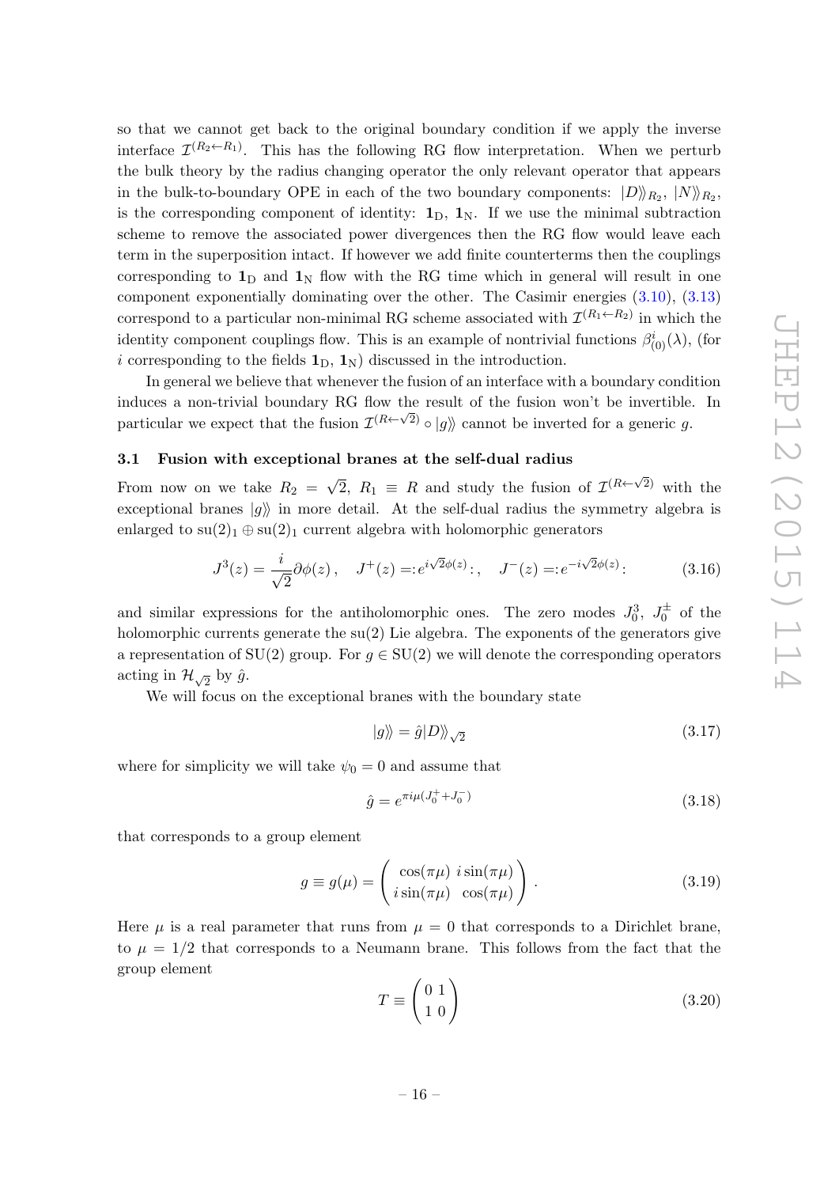so that we cannot get back to the original boundary condition if we apply the inverse interface  $\mathcal{I}^{(R_2 \leftarrow R_1)}$ . This has the following RG flow interpretation. When we perturb the bulk theory by the radius changing operator the only relevant operator that appears in the bulk-to-boundary OPE in each of the two boundary components:  $|D\rangle_{R_2}, |N\rangle_{R_2},$ is the corresponding component of identity:  $\mathbf{1}_D$ ,  $\mathbf{1}_N$ . If we use the minimal subtraction scheme to remove the associated power divergences then the RG flow would leave each term in the superposition intact. If however we add finite counterterms then the couplings corresponding to  $\mathbf{1}_D$  and  $\mathbf{1}_N$  flow with the RG time which in general will result in one component exponentially dominating over the other. The Casimir energies [\(3.10\)](#page-16-0), [\(3.13\)](#page-16-1) correspond to a particular non-minimal RG scheme associated with  $\mathcal{I}^{(R_1 \leftarrow R_2)}$  in which the identity component couplings flow. This is an example of nontrivial functions  $\beta^i_{(0)}(\lambda)$ , (for i corresponding to the fields  $\mathbf{1}_D$ ,  $\mathbf{1}_N$ ) discussed in the introduction.

In general we believe that whenever the fusion of an interface with a boundary condition induces a non-trivial boundary RG flow the result of the fusion won't be invertible. In particular we expect that the fusion  $\mathcal{I}^{(R\leftarrow \sqrt{2})} \circ |g\rangle$  cannot be inverted for a generic g.

## <span id="page-17-0"></span>3.1 Fusion with exceptional branes at the self-dual radius

From now on we take  $R_2 =$ √  $\overline{2}$ ,  $R_1 \equiv R$  and study the fusion of  $\mathcal{I}^{(R \leftarrow \sqrt{2})}$  with the exceptional branes  $|g\rangle$  in more detail. At the self-dual radius the symmetry algebra is enlarged to  $su(2)_1 \oplus su(2)_1$  current algebra with holomorphic generators

<span id="page-17-3"></span>
$$
J^{3}(z) = \frac{i}{\sqrt{2}} \partial \phi(z), \quad J^{+}(z) = :e^{i\sqrt{2}\phi(z)}: , \quad J^{-}(z) = :e^{-i\sqrt{2}\phi(z)}: \tag{3.16}
$$

and similar expressions for the antiholomorphic ones. The zero modes  $J_0^3$ ,  $J_0^{\pm}$  of the holomorphic currents generate the  $su(2)$  Lie algebra. The exponents of the generators give a representation of SU(2) group. For  $g \in SU(2)$  we will denote the corresponding operators acting in  $\mathcal{H}_{\sqrt{2}}$  by  $\hat{g}$ .

We will focus on the exceptional branes with the boundary state

$$
|g\rangle\!\rangle = \hat{g}|D\rangle\!\rangle_{\sqrt{2}}\tag{3.17}
$$

where for simplicity we will take  $\psi_0 = 0$  and assume that

<span id="page-17-1"></span>
$$
\hat{g} = e^{\pi i \mu (J_0^+ + J_0^-)} \tag{3.18}
$$

that corresponds to a group element

<span id="page-17-2"></span>
$$
g \equiv g(\mu) = \begin{pmatrix} \cos(\pi \mu) & i \sin(\pi \mu) \\ i \sin(\pi \mu) & \cos(\pi \mu) \end{pmatrix} . \tag{3.19}
$$

Here  $\mu$  is a real parameter that runs from  $\mu = 0$  that corresponds to a Dirichlet brane, to  $\mu = 1/2$  that corresponds to a Neumann brane. This follows from the fact that the group element

$$
T \equiv \begin{pmatrix} 0 & 1 \\ 1 & 0 \end{pmatrix} \tag{3.20}
$$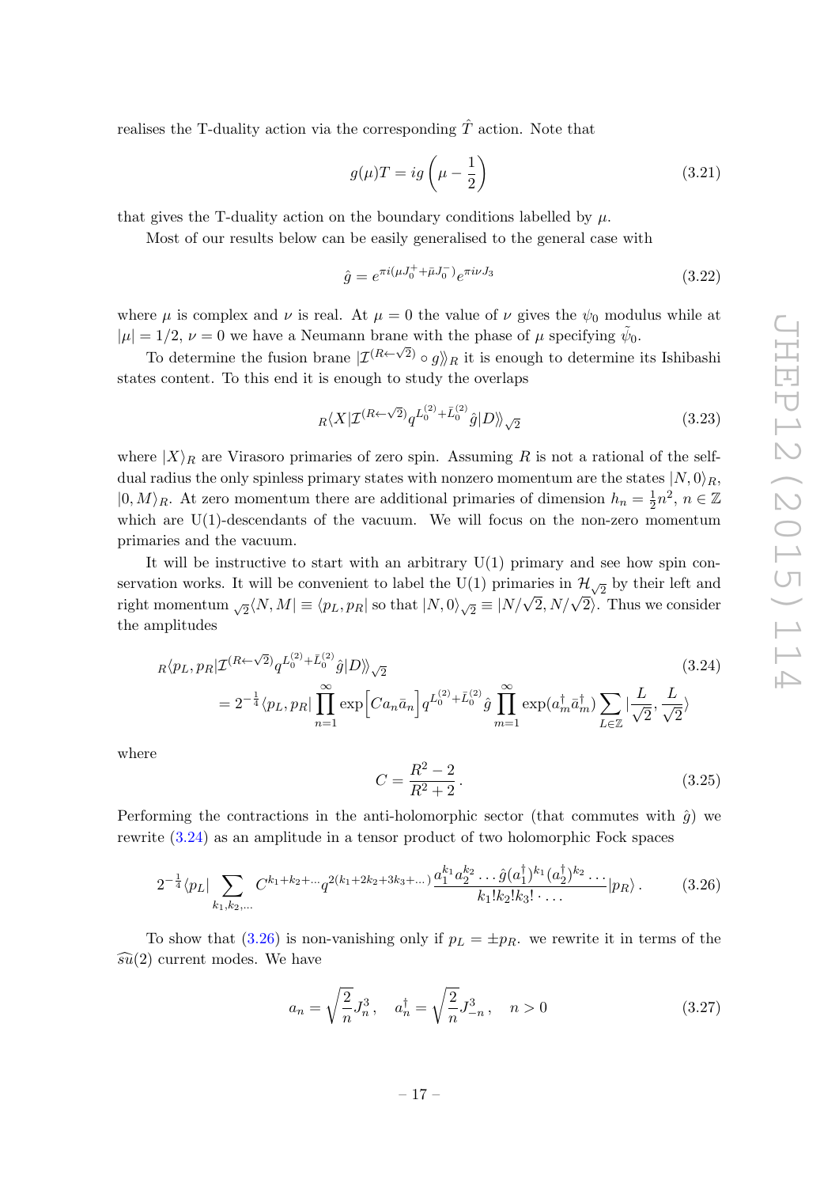realises the T-duality action via the corresponding  $\hat{T}$  action. Note that

$$
g(\mu)T = ig\left(\mu - \frac{1}{2}\right) \tag{3.21}
$$

that gives the T-duality action on the boundary conditions labelled by  $\mu$ .

Most of our results below can be easily generalised to the general case with

$$
\hat{g} = e^{\pi i (\mu J_0^+ + \bar{\mu} J_0^-)} e^{\pi i \nu J_3} \tag{3.22}
$$

where  $\mu$  is complex and  $\nu$  is real. At  $\mu = 0$  the value of  $\nu$  gives the  $\psi_0$  modulus while at  $|\mu| = 1/2, \nu = 0$  we have a Neumann brane with the phase of  $\mu$  specifying  $\tilde{\psi}_0$ .

To determine the fusion brane  $|\mathcal{I}^{(R\leftarrow \sqrt{2})} \circ g \rangle|_R$  it is enough to determine its Ishibashi states content. To this end it is enough to study the overlaps

$$
{}_R\langle X|\mathcal{I}^{(R\leftarrow\sqrt{2})}q^{L_0^{(2)} + \bar{L}_0^{(2)}}\hat{g}|D\rangle\!\rangle_{\sqrt{2}}\tag{3.23}
$$

where  $|X\rangle_R$  are Virasoro primaries of zero spin. Assuming R is not a rational of the selfdual radius the only spinless primary states with nonzero momentum are the states  $|N,0\rangle_R$ ,  $|0, M\rangle_R$ . At zero momentum there are additional primaries of dimension  $h_n = \frac{1}{2}$  $\frac{1}{2}n^2$ ,  $n \in \mathbb{Z}$ which are  $U(1)$ -descendants of the vacuum. We will focus on the non-zero momentum primaries and the vacuum.

It will be instructive to start with an arbitrary  $U(1)$  primary and see how spin conservation works. It will be convenient to label the U(1) primaries in  $\mathcal{H}_{\sqrt{2}}$  by their left and For valid works. It will be convenient to laber the  $O(1)$  primaries in  $N_{\sqrt{2}}$  by then felt and right momentum  $\sqrt{2} \langle N, M \rangle \equiv \langle p_L, p_R \rangle$  so that  $|N, 0\rangle \sqrt{2} \equiv |N/\sqrt{2}, N/\sqrt{2} \rangle$ . Thus we consider the amplitudes

<span id="page-18-0"></span>
$$
R\langle p_L, p_R | \mathcal{I}^{(R \leftarrow \sqrt{2})} q^{L_0^{(2)} + \bar{L}_0^{(2)}} \hat{g} | D \rangle \rangle_{\sqrt{2}}
$$
\n
$$
= 2^{-\frac{1}{4}} \langle p_L, p_R | \prod_{n=1}^{\infty} \exp \left[ C a_n \bar{a}_n \right] q^{L_0^{(2)} + \bar{L}_0^{(2)}} \hat{g} \prod_{m=1}^{\infty} \exp(a_m^{\dagger} \bar{a}_m^{\dagger}) \sum_{L \in \mathbb{Z}} |\frac{L}{\sqrt{2}}, \frac{L}{\sqrt{2}} \rangle
$$
\n(3.24)

where

$$
C = \frac{R^2 - 2}{R^2 + 2}.
$$
\n(3.25)

Performing the contractions in the anti-holomorphic sector (that commutes with  $\hat{q}$ ) we rewrite [\(3.24\)](#page-18-0) as an amplitude in a tensor product of two holomorphic Fock spaces

<span id="page-18-1"></span>
$$
2^{-\frac{1}{4}}\langle p_L \vert \sum_{k_1, k_2, \dots} C^{k_1 + k_2 + \dots + q^{2(k_1 + 2k_2 + 3k_3 + \dots)} \frac{a_1^{k_1} a_2^{k_2} \dots \hat{g}(a_1^{\dagger})^{k_1} (a_2^{\dagger})^{k_2} \dots}{k_1! k_2! k_3! \dots} \vert p_R \rangle. \tag{3.26}
$$

To show that [\(3.26\)](#page-18-1) is non-vanishing only if  $p_L = \pm p_R$ , we rewrite it in terms of the  $\widehat{\mathfrak{su}}(2)$  current modes. We have

$$
a_n = \sqrt{\frac{2}{n}} J_n^3, \quad a_n^{\dagger} = \sqrt{\frac{2}{n}} J_{-n}^3, \quad n > 0 \tag{3.27}
$$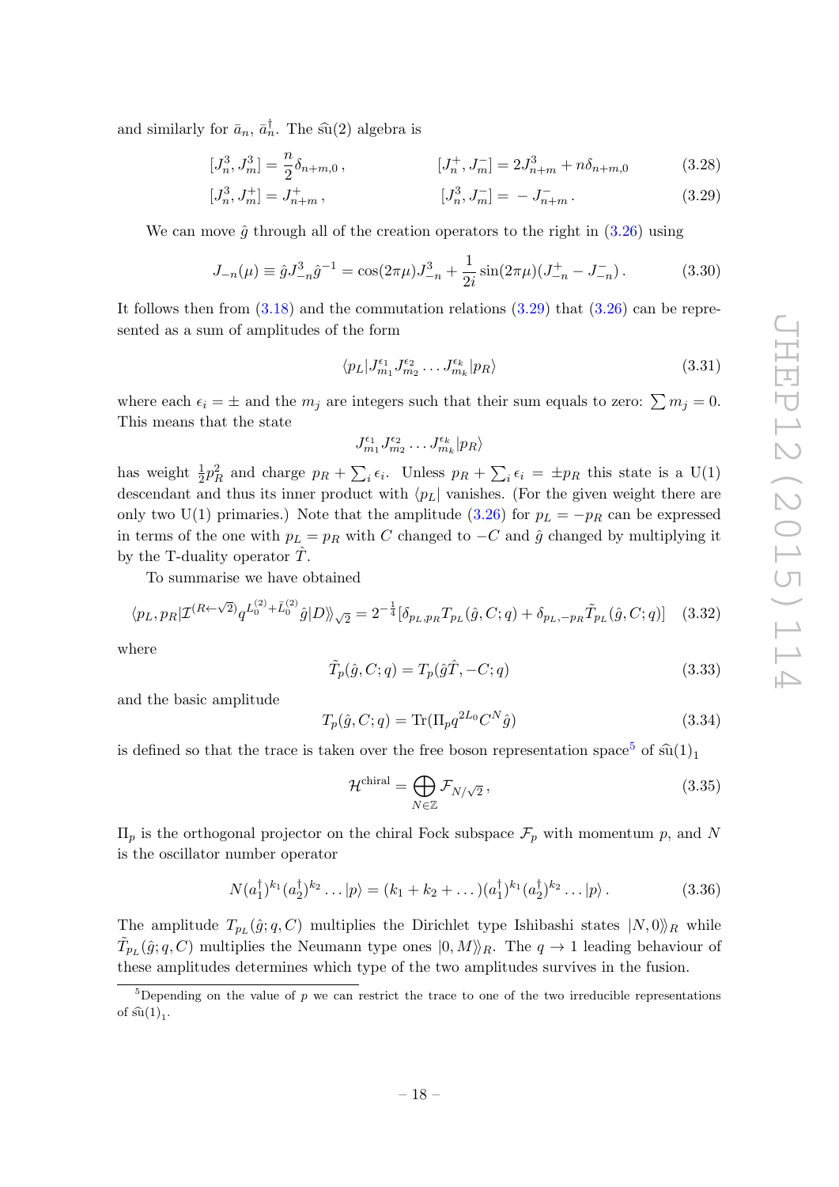and similarly for  $\bar{a}_n$ ,  $\bar{a}_n^{\dagger}$ . The su(2) algebra is

$$
[J_n^3, J_m^3] = \frac{n}{2} \delta_{n+m,0} , \qquad [J_n^+, J_m^-] = 2J_{n+m}^3 + n \delta_{n+m,0} \qquad (3.28)
$$

$$
[J_n^3, J_m^+] = J_{n+m}^+, \qquad [J_n^3, J_m^-] = -J_{n+m}^-.
$$
\n(3.29)

We can move  $\hat{q}$  through all of the creation operators to the right in [\(3.26\)](#page-18-1) using

<span id="page-19-2"></span>
$$
J_{-n}(\mu) \equiv \hat{g} J_{-n}^3 \hat{g}^{-1} = \cos(2\pi\mu) J_{-n}^3 + \frac{1}{2i} \sin(2\pi\mu) (J_{-n}^+ - J_{-n}^-).
$$
 (3.30)

It follows then from  $(3.18)$  and the commutation relations  $(3.29)$  that  $(3.26)$  can be represented as a sum of amplitudes of the form

<span id="page-19-0"></span>
$$
\langle p_L | J_{m_1}^{\epsilon_1} J_{m_2}^{\epsilon_2} \dots J_{m_k}^{\epsilon_k} | p_R \rangle \tag{3.31}
$$

where each  $\epsilon_i = \pm$  and the  $m_j$  are integers such that their sum equals to zero:  $\sum m_j = 0$ . This means that the state

$$
J_{m_1}^{\epsilon_1} J_{m_2}^{\epsilon_2} \dots J_{m_k}^{\epsilon_k} | p_R \rangle
$$

has weight  $\frac{1}{2}p_R^2$  and charge  $p_R + \sum_i \epsilon_i$ . Unless  $p_R + \sum_i \epsilon_i = \pm p_R$  this state is a U(1) descendant and thus its inner product with  $\langle p_L|$  vanishes. (For the given weight there are only two U(1) primaries.) Note that the amplitude [\(3.26\)](#page-18-1) for  $p_L = -p_R$  can be expressed in terms of the one with  $p_L = p_R$  with C changed to  $-C$  and  $\hat{g}$  changed by multiplying it by the T-duality operator  $\hat{T}$ .

To summarise we have obtained

$$
\langle p_L, p_R | \mathcal{I}^{(R \leftarrow \sqrt{2})} q^{L_0^{(2)} + \bar{L}_0^{(2)}} \hat{g} | D \rangle \rangle_{\sqrt{2}} = 2^{-\frac{1}{4}} [\delta_{p_L, p_R} T_{p_L}(\hat{g}, C; q) + \delta_{p_L, -p_R} \tilde{T}_{p_L}(\hat{g}, C; q)] \quad (3.32)
$$

where

$$
\tilde{T}_p(\hat{g}, C; q) = T_p(\hat{g}\hat{T}, -C; q)
$$
\n(3.33)

and the basic amplitude

<span id="page-19-3"></span>
$$
T_p(\hat{g}, C; q) = \text{Tr}(\Pi_p q^{2L_0} C^N \hat{g})
$$
\n(3.34)

is defined so that the trace is taken over the free boson representation space<sup>[5](#page-19-1)</sup> of  $\hat{\mathfrak{su}}(1)_1$ 

<span id="page-19-4"></span>
$$
\mathcal{H}^{\text{chiral}} = \bigoplus_{N \in \mathbb{Z}} \mathcal{F}_{N/\sqrt{2}},\tag{3.35}
$$

 $\Pi_p$  is the orthogonal projector on the chiral Fock subspace  $\mathcal{F}_p$  with momentum p, and N is the oscillator number operator

$$
N(a_1^{\dagger})^{k_1}(a_2^{\dagger})^{k_2}\dots|p\rangle = (k_1 + k_2 + \dots)(a_1^{\dagger})^{k_1}(a_2^{\dagger})^{k_2}\dots|p\rangle.
$$
 (3.36)

The amplitude  $T_{p_L}(\hat{g}; q, C)$  multiplies the Dirichlet type Ishibashi states  $|N, 0\rangle_R$  while  $\tilde{T}_{p_L}(\hat{g}; q, C)$  multiplies the Neumann type ones  $|0, M \rangle\!\rangle_R$ . The  $q \to 1$  leading behaviour of these amplitudes determines which type of the two amplitudes survives in the fusion.

<span id="page-19-1"></span><sup>&</sup>lt;sup>5</sup>Depending on the value of p we can restrict the trace to one of the two irreducible representations of  $\widehat{\mathrm{su}}(1)_1$ .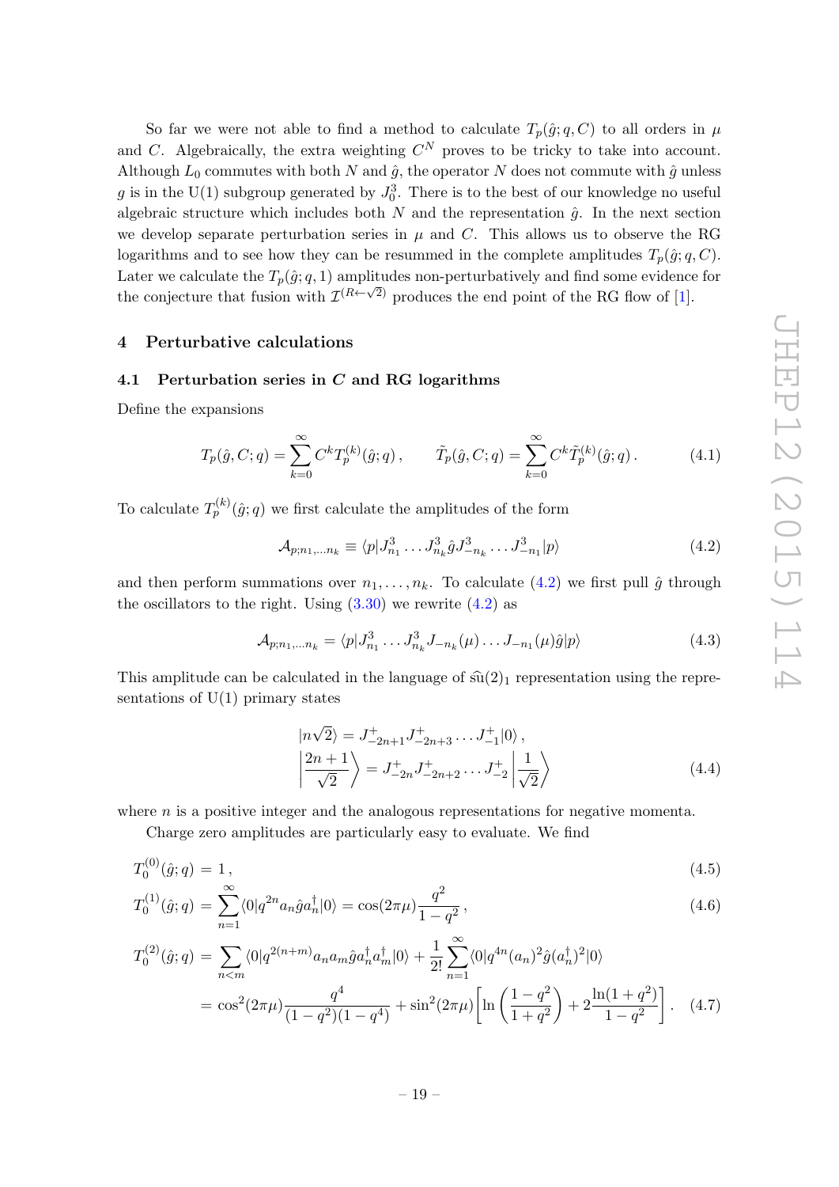So far we were not able to find a method to calculate  $T_p(\hat{g}; q, C)$  to all orders in  $\mu$ and C. Algebraically, the extra weighting  $C^N$  proves to be tricky to take into account. Although  $L_0$  commutes with both N and  $\hat{g}$ , the operator N does not commute with  $\hat{g}$  unless g is in the U(1) subgroup generated by  $J_0^3$ . There is to the best of our knowledge no useful algebraic structure which includes both N and the representation  $\hat{q}$ . In the next section we develop separate perturbation series in  $\mu$  and C. This allows us to observe the RG logarithms and to see how they can be resummed in the complete amplitudes  $T_p(\hat{g}; q, C)$ . Later we calculate the  $T_p(\hat{g}; q, 1)$  amplitudes non-perturbatively and find some evidence for the conjecture that fusion with  $\mathcal{I}^{(R\leftarrow \sqrt{2})}$  produces the end point of the RG flow of [\[1\]](#page-31-0).

# <span id="page-20-0"></span>4 Perturbative calculations

# <span id="page-20-1"></span>4.1 Perturbation series in  $C$  and RG logarithms

Define the expansions

<span id="page-20-4"></span>
$$
T_p(\hat{g}, C; q) = \sum_{k=0}^{\infty} C^k T_p^{(k)}(\hat{g}; q), \qquad \tilde{T}_p(\hat{g}, C; q) = \sum_{k=0}^{\infty} C^k \tilde{T}_p^{(k)}(\hat{g}; q).
$$
 (4.1)

To calculate  $T_p^{(k)}(\hat{g};q)$  we first calculate the amplitudes of the form

<span id="page-20-2"></span>
$$
\mathcal{A}_{p;n_1,...n_k} \equiv \langle p | J_{n_1}^3 \dots J_{n_k}^3 \hat{g} J_{-n_k}^3 \dots J_{-n_1}^3 | p \rangle \tag{4.2}
$$

and then perform summations over  $n_1, \ldots, n_k$ . To calculate [\(4.2\)](#page-20-2) we first pull  $\hat{g}$  through the oscillators to the right. Using  $(3.30)$  we rewrite  $(4.2)$  as

$$
\mathcal{A}_{p;n_1,...n_k} = \langle p | J_{n_1}^3 \dots J_{n_k}^3 J_{-n_k}(\mu) \dots J_{-n_1}(\mu) \hat{g} | p \rangle \tag{4.3}
$$

This amplitude can be calculated in the language of  $\widehat{\mathfrak{su}}(2)_1$  representation using the representations of  $U(1)$  primary states

$$
\begin{aligned}\n\left|n\sqrt{2}\right\rangle &= J_{-2n+1}^{+} J_{-2n+3}^{+} \dots J_{-1}^{+} |0\rangle \,, \\
\left| \frac{2n+1}{\sqrt{2}} \right\rangle &= J_{-2n}^{+} J_{-2n+2}^{+} \dots J_{-2}^{+} \left| \frac{1}{\sqrt{2}} \right\rangle\n\end{aligned} \tag{4.4}
$$

where  $n$  is a positive integer and the analogous representations for negative momenta.

Charge zero amplitudes are particularly easy to evaluate. We find

<span id="page-20-3"></span>
$$
T_0^{(0)}(\hat{g};q) = 1,
$$
\n<sup>(4.5)</sup>

$$
T_0^{(1)}(\hat{g};q) = \sum_{n=1}^{\infty} \langle 0|q^{2n} a_n \hat{g} a_n^{\dagger} |0\rangle = \cos(2\pi\mu) \frac{q^2}{1-q^2},\tag{4.6}
$$

$$
T_0^{(2)}(\hat{g};q) = \sum_{n < m} \langle 0|q^{2(n+m)}a_n a_m \hat{g} a_n^\dagger a_m^\dagger |0\rangle + \frac{1}{2!} \sum_{n=1}^\infty \langle 0|q^{4n} (a_n)^2 \hat{g} (a_n^\dagger)^2 |0\rangle
$$
\n
$$
= \cos^2(2\pi\mu) \frac{q^4}{(1-q^2)(1-q^4)} + \sin^2(2\pi\mu) \left[ \ln\left(\frac{1-q^2}{1+q^2}\right) + 2\frac{\ln(1+q^2)}{1-q^2} \right]. \tag{4.7}
$$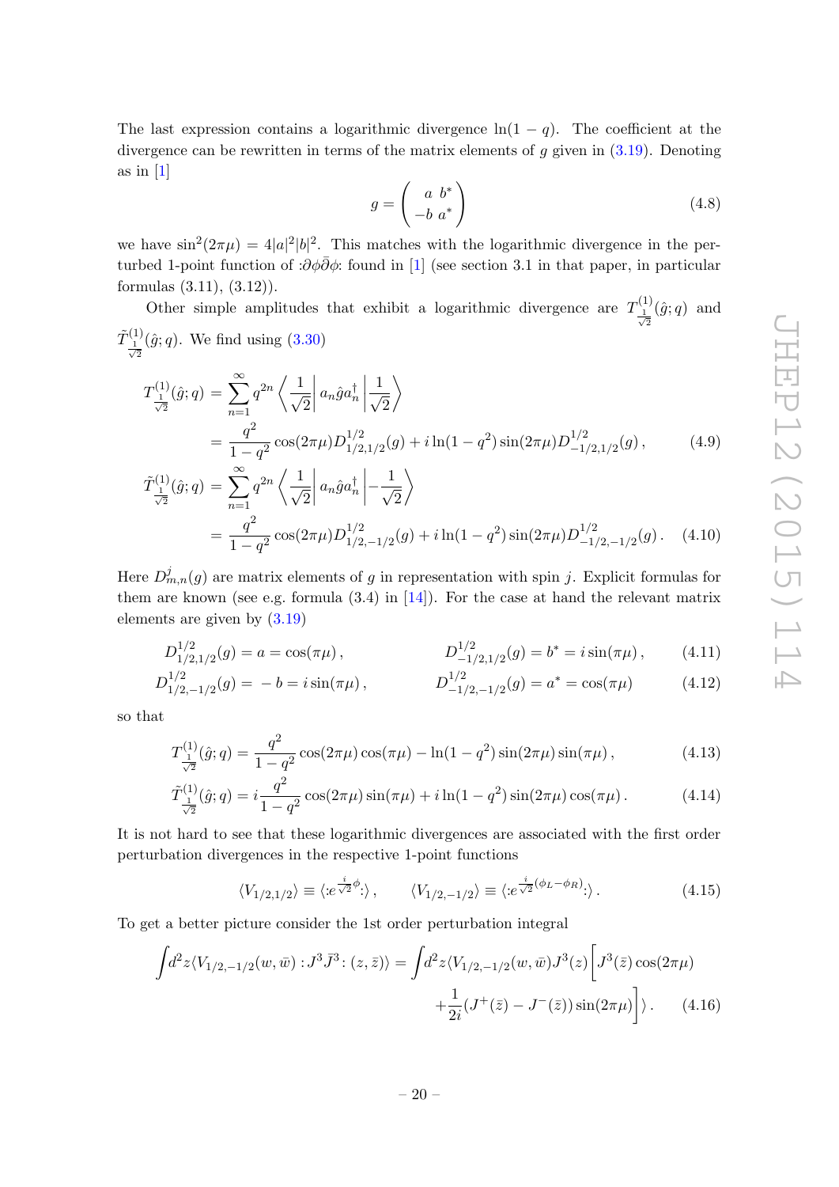The last expression contains a logarithmic divergence  $ln(1 - q)$ . The coefficient at the divergence can be rewritten in terms of the matrix elements of  $g$  given in  $(3.19)$ . Denoting as in  $[1]$ 

$$
g = \begin{pmatrix} a & b^* \\ -b & a^* \end{pmatrix} \tag{4.8}
$$

we have  $\sin^2(2\pi\mu) = 4|a|^2|b|^2$ . This matches with the logarithmic divergence in the perturbed 1-point function of : $\partial \phi \bar{\partial} \phi$ : found in [\[1\]](#page-31-0) (see section 3.1 in that paper, in particular formulas (3.11), (3.12)).

Other simple amplitudes that exhibit a logarithmic divergence are  $T_1^{(1)}$  $\frac{1}{\sqrt{2}}$  $(\hat{g}; q)$  and  $\tilde T^{(1)}_{\;\,1}$  $\frac{1}{\sqrt{2}}$  $(\hat{g}; q)$ . We find using  $(3.30)$ 

$$
T_{\frac{1}{\sqrt{2}}}^{(1)}(\hat{g};q) = \sum_{n=1}^{\infty} q^{2n} \left\langle \frac{1}{\sqrt{2}} \middle| a_n \hat{g} a_n^{\dagger} \middle| \frac{1}{\sqrt{2}} \right\rangle
$$
  
= 
$$
\frac{q^2}{1-q^2} \cos(2\pi\mu) D_{1/2,1/2}^{1/2}(g) + i \ln(1-q^2) \sin(2\pi\mu) D_{-1/2,1/2}^{1/2}(g),
$$
(4.9)

$$
\tilde{T}^{(1)}_{\frac{1}{\sqrt{2}}}(\hat{g};q) = \sum_{n=1}^{\infty} q^{2n} \left\langle \frac{1}{\sqrt{2}} \left| a_n \hat{g} a_n^{\dagger} \right| - \frac{1}{\sqrt{2}} \right\rangle
$$
\n
$$
= \frac{q^2}{1 - q^2} \cos(2\pi\mu) D_{1/2,-1/2}^{1/2}(g) + i \ln(1 - q^2) \sin(2\pi\mu) D_{-1/2,-1/2}^{1/2}(g). \quad (4.10)
$$

Here  $D_{m,n}^j(g)$  are matrix elements of g in representation with spin j. Explicit formulas for them are known (see e.g. formula  $(3.4)$  in  $[14]$ ). For the case at hand the relevant matrix elements are given by [\(3.19\)](#page-17-2)

$$
D_{1/2,1/2}^{1/2}(g) = a = \cos(\pi\mu), \qquad D_{-1/2,1/2}^{1/2}(g) = b^* = i\sin(\pi\mu), \qquad (4.11)
$$

$$
D_{1/2,-1/2}^{1/2}(g) = -b = i \sin(\pi \mu), \qquad D_{-1/2,-1/2}^{1/2}(g) = a^* = \cos(\pi \mu) \qquad (4.12)
$$

so that

$$
T_{\frac{1}{\sqrt{2}}}^{(1)}(\hat{g};q) = \frac{q^2}{1-q^2} \cos(2\pi\mu) \cos(\pi\mu) - \ln(1-q^2) \sin(2\pi\mu) \sin(\pi\mu), \qquad (4.13)
$$

$$
\tilde{T}_{\frac{1}{\sqrt{2}}}^{(1)}(\hat{g};q) = i \frac{q^2}{1-q^2} \cos(2\pi\mu)\sin(\pi\mu) + i\ln(1-q^2)\sin(2\pi\mu)\cos(\pi\mu). \tag{4.14}
$$

It is not hard to see that these logarithmic divergences are associated with the first order perturbation divergences in the respective 1-point functions

<span id="page-21-0"></span>
$$
\langle V_{1/2,1/2} \rangle \equiv \langle e^{\frac{i}{\sqrt{2}}\phi} \cdot \rangle, \qquad \langle V_{1/2,-1/2} \rangle \equiv \langle e^{\frac{i}{\sqrt{2}}(\phi_L - \phi_R)} \cdot \rangle. \tag{4.15}
$$

To get a better picture consider the 1st order perturbation integral

$$
\int d^2 z \langle V_{1/2,-1/2}(w,\bar{w}) : J^3 \bar{J}^3 : (z,\bar{z}) \rangle = \int d^2 z \langle V_{1/2,-1/2}(w,\bar{w}) J^3(z) \left[ J^3(\bar{z}) \cos(2\pi\mu) + \frac{1}{2i} (J^+(\bar{z}) - J^-(\bar{z})) \sin(2\pi\mu) \right] \rangle.
$$
 (4.16)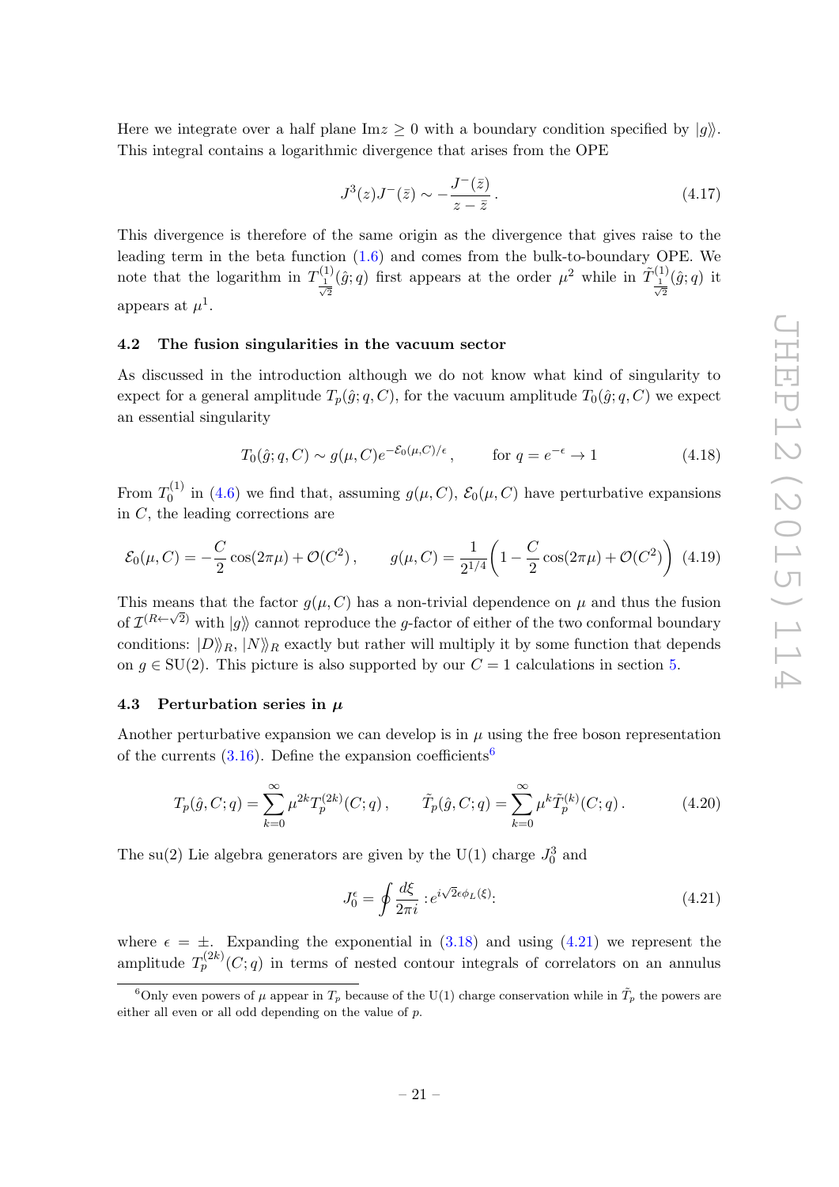Here we integrate over a half plane  $\text{Im} z \geq 0$  with a boundary condition specified by  $|q\rangle$ . This integral contains a logarithmic divergence that arises from the OPE

$$
J^3(z)J^-(\bar{z}) \sim -\frac{J^-(\bar{z})}{z-\bar{z}}\,. \tag{4.17}
$$

This divergence is therefore of the same origin as the divergence that gives raise to the leading term in the beta function [\(1.6\)](#page-4-1) and comes from the bulk-to-boundary OPE. We note that the logarithm in  $T^{(1)}_1$  $\frac{1}{\sqrt{2}}$  $(\hat{g}; q)$  first appears at the order  $\mu^2$  while in  $\tilde{T}^{(1)}_1$  $\frac{1}{\sqrt{2}}$  $(\hat{g}; q)$  it appears at  $\mu^1$ .

### <span id="page-22-0"></span>4.2 The fusion singularities in the vacuum sector

As discussed in the introduction although we do not know what kind of singularity to expect for a general amplitude  $T_p(\hat{g}; q, C)$ , for the vacuum amplitude  $T_0(\hat{g}; q, C)$  we expect an essential singularity

$$
T_0(\hat{g}; q, C) \sim g(\mu, C)e^{-\mathcal{E}_0(\mu, C)/\epsilon}, \qquad \text{for } q = e^{-\epsilon} \to 1 \tag{4.18}
$$

From  $T_0^{(1)}$  $\mathcal{O}_0^{(1)}$  in [\(4.6\)](#page-20-3) we find that, assuming  $g(\mu, C)$ ,  $\mathcal{E}_0(\mu, C)$  have perturbative expansions in  $C$ , the leading corrections are

<span id="page-22-4"></span>
$$
\mathcal{E}_0(\mu, C) = -\frac{C}{2}\cos(2\pi\mu) + \mathcal{O}(C^2), \qquad g(\mu, C) = \frac{1}{2^{1/4}} \left(1 - \frac{C}{2}\cos(2\pi\mu) + \mathcal{O}(C^2)\right)
$$
(4.19)

This means that the factor  $g(\mu, C)$  has a non-trivial dependence on  $\mu$  and thus the fusion of  $\mathcal{I}^{(R\leftarrow\sqrt{2})}$  with  $|g\rangle$  cannot reproduce the g-factor of either of the two conformal boundary conditions:  $|D\rangle_R$ ,  $|N\rangle_R$  exactly but rather will multiply it by some function that depends on  $g \in SU(2)$ . This picture is also supported by our  $C = 1$  calculations in section [5.](#page-25-0)

# <span id="page-22-1"></span>4.3 Perturbation series in  $\mu$

Another perturbative expansion we can develop is in  $\mu$  using the free boson representation of the currents  $(3.16)$  $(3.16)$  $(3.16)$ . Define the expansion coefficients<sup>6</sup>

$$
T_p(\hat{g}, C; q) = \sum_{k=0}^{\infty} \mu^{2k} T_p^{(2k)}(C; q) , \qquad \tilde{T}_p(\hat{g}, C; q) = \sum_{k=0}^{\infty} \mu^k \tilde{T}_p^{(k)}(C; q) .
$$
 (4.20)

The su(2) Lie algebra generators are given by the U(1) charge  $J_0^3$  and

<span id="page-22-3"></span>
$$
J_0^{\epsilon} = \oint \frac{d\xi}{2\pi i} :e^{i\sqrt{2}\epsilon\phi_L(\xi)}:
$$
\n(4.21)

where  $\epsilon = \pm$ . Expanding the exponential in [\(3.18\)](#page-17-1) and using [\(4.21\)](#page-22-3) we represent the amplitude  $T_p^{(2k)}(C; q)$  in terms of nested contour integrals of correlators on an annulus

<span id="page-22-2"></span><sup>&</sup>lt;sup>6</sup>Only even powers of  $\mu$  appear in  $T_p$  because of the U(1) charge conservation while in  $\tilde{T}_p$  the powers are either all even or all odd depending on the value of p.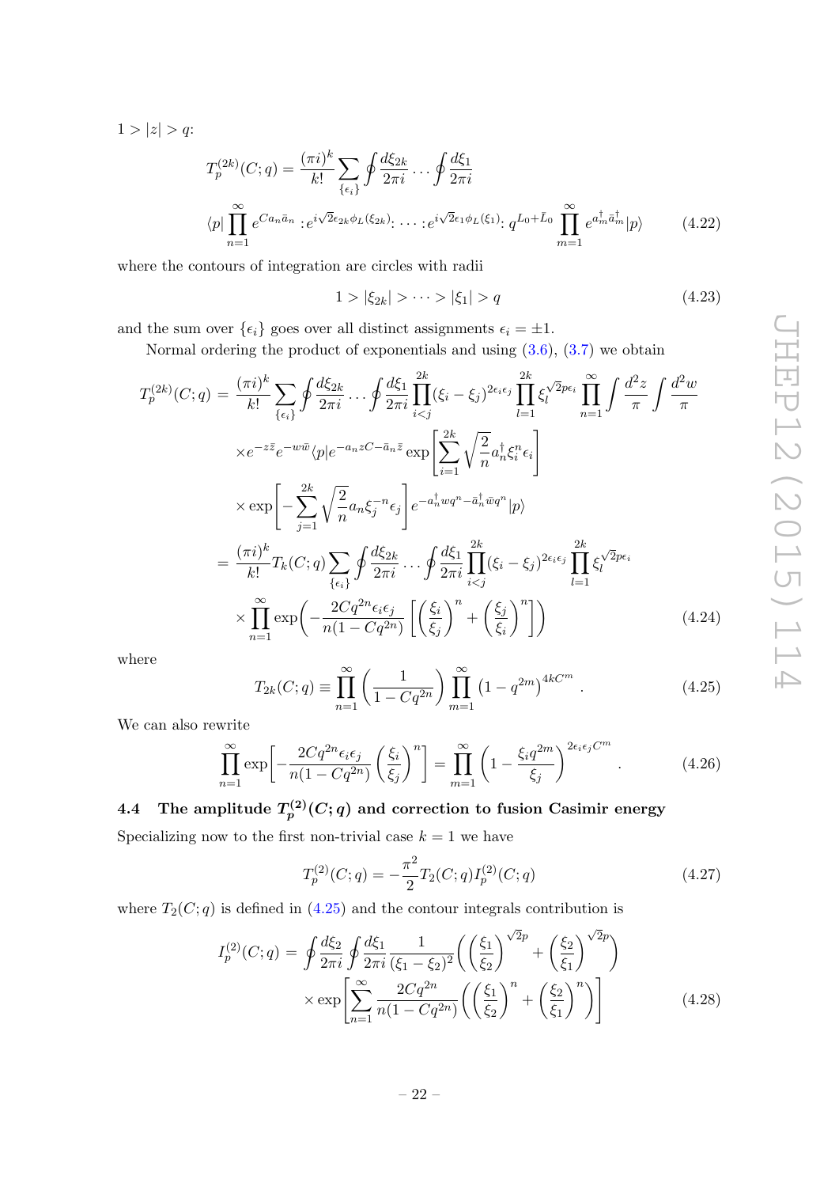$1 > |z| > q$ :

$$
T_p^{(2k)}(C;q) = \frac{(\pi i)^k}{k!} \sum_{\{\epsilon_i\}} \oint \frac{d\xi_{2k}}{2\pi i} \cdots \oint \frac{d\xi_1}{2\pi i}
$$
  

$$
\langle p | \prod_{n=1}^{\infty} e^{Ca_n \bar{a}_n} : e^{i\sqrt{2}\epsilon_{2k}\phi_L(\xi_{2k})} : \cdots : e^{i\sqrt{2}\epsilon_1\phi_L(\xi_1)} : q^{L_0 + \bar{L}_0} \prod_{m=1}^{\infty} e^{a_m^{\dagger} \bar{a}_m^{\dagger}} |p\rangle \qquad (4.22)
$$

where the contours of integration are circles with radii

$$
1 > |\xi_{2k}| > \dots > |\xi_1| > q \tag{4.23}
$$

and the sum over  $\{\epsilon_i\}$  goes over all distinct assignments  $\epsilon_i = \pm 1$ .

Normal ordering the product of exponentials and using [\(3.6\)](#page-15-1), [\(3.7\)](#page-15-2) we obtain

$$
T_p^{(2k)}(C;q) = \frac{(\pi i)^k}{k!} \sum_{\{\epsilon_i\}} \oint \frac{d\xi_{2k}}{2\pi i} \cdots \oint \frac{d\xi_1}{2\pi i} \prod_{i  
\n
$$
\times e^{-z\bar{z}} e^{-w\bar{w}} \langle p|e^{-a_n z C - \bar{a}_n \bar{z}} \exp\left[\sum_{i=1}^{2k} \sqrt{\frac{2}{n}} a_n^{\dagger} \xi_i^{n} \epsilon_i\right]
$$
  
\n
$$
\times \exp\left[-\sum_{j=1}^{2k} \sqrt{\frac{2}{n}} a_n \xi_j^{-n} \epsilon_j\right] e^{-a_n^{\dagger} w q^n - \bar{a}_n^{\dagger} \bar{w} q^n} |p\rangle
$$
  
\n
$$
= \frac{(\pi i)^k}{k!} T_k(C;q) \sum_{\{\epsilon_i\}} \oint \frac{d\xi_{2k}}{2\pi i} \cdots \oint \frac{d\xi_1}{2\pi i} \prod_{i  
\n
$$
\times \prod_{n=1}^{\infty} \exp\left(-\frac{2Cq^{2n} \epsilon_i \epsilon_j}{n(1 - Cq^{2n})} \left[\left(\frac{\xi_i}{\xi_j}\right)^n + \left(\frac{\xi_j}{\xi_i}\right)^n\right]\right)
$$
(4.24)
$$
$$

where

<span id="page-23-1"></span>
$$
T_{2k}(C;q) \equiv \prod_{n=1}^{\infty} \left( \frac{1}{1 - Cq^{2n}} \right) \prod_{m=1}^{\infty} \left( 1 - q^{2m} \right)^{4kC^m} . \tag{4.25}
$$

We can also rewrite

<span id="page-23-3"></span>
$$
\prod_{n=1}^{\infty} \exp\left[-\frac{2Cq^{2n}\epsilon_i\epsilon_j}{n(1-Cq^{2n})}\left(\frac{\xi_i}{\xi_j}\right)^n\right] = \prod_{m=1}^{\infty} \left(1 - \frac{\xi_i q^{2m}}{\xi_j}\right)^{2\epsilon_i\epsilon_j C^m}.
$$
\n(4.26)

# <span id="page-23-0"></span>4.4 The amplitude  $T^{(2)}_p(C; q)$  and correction to fusion Casimir energy

Specializing now to the first non-trivial case  $k = 1$  we have

<span id="page-23-4"></span>
$$
T_p^{(2)}(C;q) = -\frac{\pi^2}{2} T_2(C;q) I_p^{(2)}(C;q)
$$
\n(4.27)

where  $T_2(C; q)$  is defined in [\(4.25\)](#page-23-1) and the contour integrals contribution is

<span id="page-23-2"></span>
$$
I_p^{(2)}(C;q) = \oint \frac{d\xi_2}{2\pi i} \oint \frac{d\xi_1}{2\pi i} \frac{1}{(\xi_1 - \xi_2)^2} \left( \left(\frac{\xi_1}{\xi_2}\right)^{\sqrt{2}p} + \left(\frac{\xi_2}{\xi_1}\right)^{\sqrt{2}p} \right) \times \exp\left[ \sum_{n=1}^{\infty} \frac{2Cq^{2n}}{n(1 - Cq^{2n})} \left( \left(\frac{\xi_1}{\xi_2}\right)^n + \left(\frac{\xi_2}{\xi_1}\right)^n \right) \right]
$$
(4.28)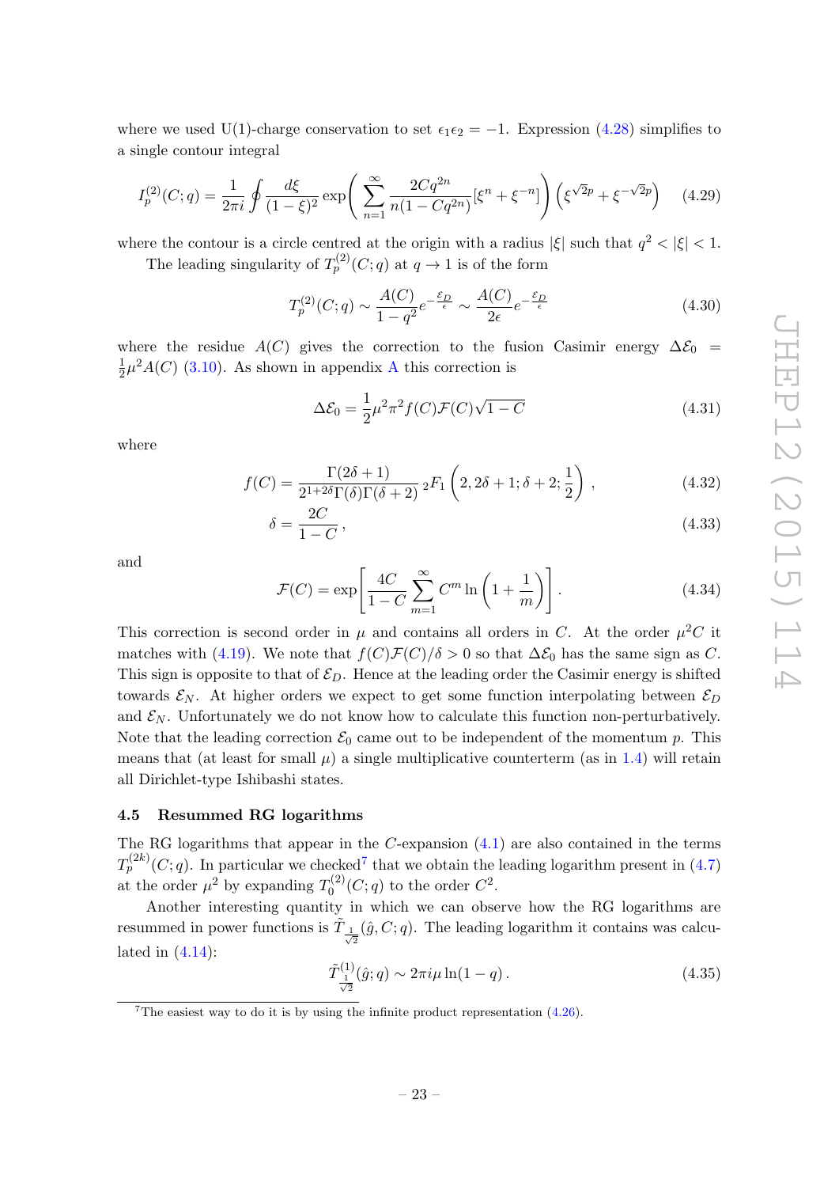where we used U(1)-charge conservation to set  $\epsilon_1 \epsilon_2 = -1$ . Expression [\(4.28\)](#page-23-2) simplifies to a single contour integral

<span id="page-24-3"></span>
$$
I_p^{(2)}(C;q) = \frac{1}{2\pi i} \oint \frac{d\xi}{(1-\xi)^2} \exp\left(\sum_{n=1}^{\infty} \frac{2Cq^{2n}}{n(1-Cq^{2n})} [\xi^n + \xi^{-n}] \right) \left(\xi^{\sqrt{2}p} + \xi^{-\sqrt{2}p}\right) \quad (4.29)
$$

where the contour is a circle centred at the origin with a radius  $|\xi|$  such that  $q^2 < |\xi| < 1$ .

The leading singularity of  $T_p^{(2)}(C;q)$  at  $q \to 1$  is of the form

$$
T_p^{(2)}(C;q) \sim \frac{A(C)}{1-q^2} e^{-\frac{\mathcal{E}_D}{\epsilon}} \sim \frac{A(C)}{2\epsilon} e^{-\frac{\mathcal{E}_D}{\epsilon}} \tag{4.30}
$$

where the residue  $A(C)$  gives the correction to the fusion Casimir energy  $\Delta \mathcal{E}_0$  = 1  $\frac{1}{2}\mu^2 A(C)$  $\frac{1}{2}\mu^2 A(C)$  $\frac{1}{2}\mu^2 A(C)$  [\(3.10\)](#page-16-0). As shown in appendix A this correction is

$$
\Delta \mathcal{E}_0 = \frac{1}{2} \mu^2 \pi^2 f(C) \mathcal{F}(C) \sqrt{1 - C}
$$
\n(4.31)

where

$$
f(C) = \frac{\Gamma(2\delta + 1)}{2^{1+2\delta}\Gamma(\delta)\Gamma(\delta + 2)}{}_2F_1\left(2, 2\delta + 1; \delta + 2; \frac{1}{2}\right),
$$
\n(4.32)

$$
\delta = \frac{2C}{1 - C},\tag{4.33}
$$

and

$$
\mathcal{F}(C) = \exp\left[\frac{4C}{1-C} \sum_{m=1}^{\infty} C^m \ln\left(1 + \frac{1}{m}\right)\right].
$$
 (4.34)

This correction is second order in  $\mu$  and contains all orders in C. At the order  $\mu^2 C$  it matches with [\(4.19\)](#page-22-4). We note that  $f(C)\mathcal{F}(C)/\delta > 0$  so that  $\Delta \mathcal{E}_0$  has the same sign as C. This sign is opposite to that of  $\mathcal{E}_D$ . Hence at the leading order the Casimir energy is shifted towards  $\mathcal{E}_N$ . At higher orders we expect to get some function interpolating between  $\mathcal{E}_D$ and  $\mathcal{E}_N$ . Unfortunately we do not know how to calculate this function non-perturbatively. Note that the leading correction  $\mathcal{E}_0$  came out to be independent of the momentum p. This means that (at least for small  $\mu$ ) a single multiplicative counterterm (as in [1.4\)](#page-3-2) will retain all Dirichlet-type Ishibashi states.

# <span id="page-24-0"></span>4.5 Resummed RG logarithms

The RG logarithms that appear in the  $C$ -expansion  $(4.1)$  are also contained in the terms  $T_p^{(2k)}(C; q)$ . In particular we checked<sup>[7](#page-24-1)</sup> that we obtain the leading logarithm present in [\(4.7\)](#page-20-3) at the order  $\mu^2$  by expanding  $T_0^{(2)}$  $C^{(2)}_0(C;q)$  to the order  $C^2$ .

Another interesting quantity in which we can observe how the RG logarithms are resummed in power functions is  $\tilde{T}_{\frac{1}{\sqrt{2}}}(\hat{g},C;q)$ . The leading logarithm it contains was calculated in  $(4.14)$ :

<span id="page-24-2"></span>
$$
\tilde{T}^{(1)}_{\frac{1}{\sqrt{2}}}(\hat{g};q) \sim 2\pi i\mu \ln(1-q). \tag{4.35}
$$

<span id="page-24-1"></span><sup>&</sup>lt;sup>7</sup>The easiest way to do it is by using the infinite product representation  $(4.26)$ .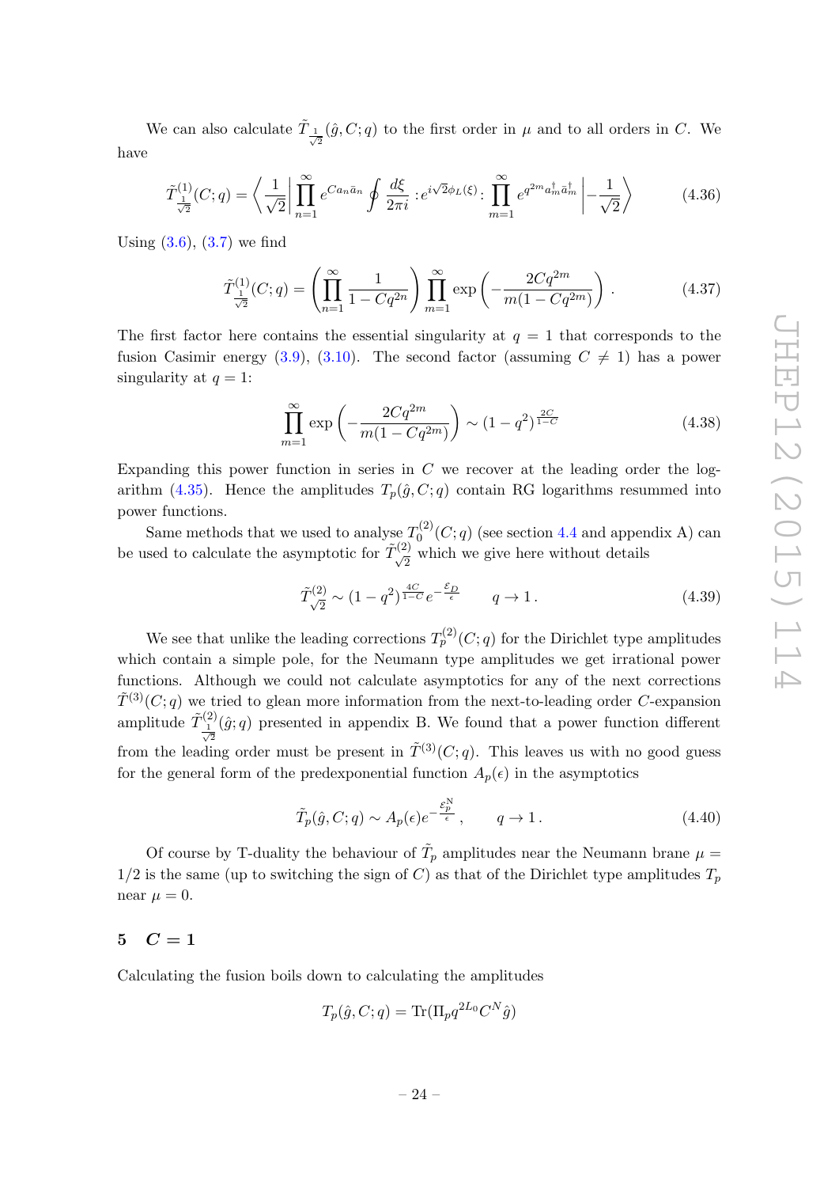We can also calculate  $\tilde{T}_{\frac{1}{\sqrt{2}}}(\hat{g},C;q)$  to the first order in  $\mu$  and to all orders in C. We have

$$
\tilde{T}^{(1)}_{\frac{1}{\sqrt{2}}}(C;q) = \left\langle \frac{1}{\sqrt{2}} \left| \prod_{n=1}^{\infty} e^{Ca_n\bar{a}_n} \oint \frac{d\xi}{2\pi i} : e^{i\sqrt{2}\phi_L(\xi)} : \prod_{m=1}^{\infty} e^{q^{2m}a_m^{\dagger}\bar{a}_m^{\dagger}} \left| -\frac{1}{\sqrt{2}} \right\rangle \right\rangle \tag{4.36}
$$

Using  $(3.6)$ ,  $(3.7)$  we find

$$
\tilde{T}_{\frac{1}{\sqrt{2}}}^{(1)}(C;q) = \left(\prod_{n=1}^{\infty} \frac{1}{1 - Cq^{2n}}\right) \prod_{m=1}^{\infty} \exp\left(-\frac{2Cq^{2m}}{m(1 - Cq^{2m})}\right). \tag{4.37}
$$

The first factor here contains the essential singularity at  $q = 1$  that corresponds to the fusion Casimir energy [\(3.9\)](#page-15-3), [\(3.10\)](#page-16-0). The second factor (assuming  $C \neq 1$ ) has a power singularity at  $q = 1$ :

$$
\prod_{m=1}^{\infty} \exp\left(-\frac{2Cq^{2m}}{m(1-Cq^{2m})}\right) \sim (1-q^2)^{\frac{2C}{1-C}} \tag{4.38}
$$

Expanding this power function in series in  $C$  we recover at the leading order the log-arithm [\(4.35\)](#page-24-2). Hence the amplitudes  $T_p(\hat{g}, C; q)$  contain RG logarithms resummed into power functions.

Same methods that we used to analyse  $T_0^{(2)}$  $C_0^{(2)}(C; q)$  (see section [4.4](#page-23-0) and appendix A) can be used to calculate the asymptotic for  $\tilde{T}_{\sqrt{2}}^{(2)}$  which we give here without details

$$
\tilde{T}_{\sqrt{2}}^{(2)} \sim (1 - q^2)^{\frac{4C}{1 - C}} e^{-\frac{\mathcal{E}_D}{\epsilon}} \qquad q \to 1.
$$
\n(4.39)

We see that unlike the leading corrections  $T_p^{(2)}(C;q)$  for the Dirichlet type amplitudes which contain a simple pole, for the Neumann type amplitudes we get irrational power functions. Although we could not calculate asymptotics for any of the next corrections  $\tilde{T}^{(3)}(C; q)$  we tried to glean more information from the next-to-leading order C-expansion amplitude  $\tilde{T}^{(2)}_{1}$  $\frac{1}{\sqrt{2}}$  $(\hat{g}; q)$  presented in appendix B. We found that a power function different from the leading order must be present in  $\tilde{T}^{(3)}(C; q)$ . This leaves us with no good guess for the general form of the predexponential function  $A_p(\epsilon)$  in the asymptotics

$$
\tilde{T}_p(\hat{g}, C; q) \sim A_p(\epsilon) e^{-\frac{\mathcal{E}_p^N}{\epsilon}}, \qquad q \to 1.
$$
\n(4.40)

Of course by T-duality the behaviour of  $\tilde{T}_p$  amplitudes near the Neumann brane  $\mu =$  $1/2$  is the same (up to switching the sign of C) as that of the Dirichlet type amplitudes  $T_p$ near  $\mu = 0$ .

# <span id="page-25-0"></span> $5 \quad C = 1$

Calculating the fusion boils down to calculating the amplitudes

$$
T_p(\hat{g}, C; q) = \text{Tr}(\Pi_p q^{2L_0} C^N \hat{g})
$$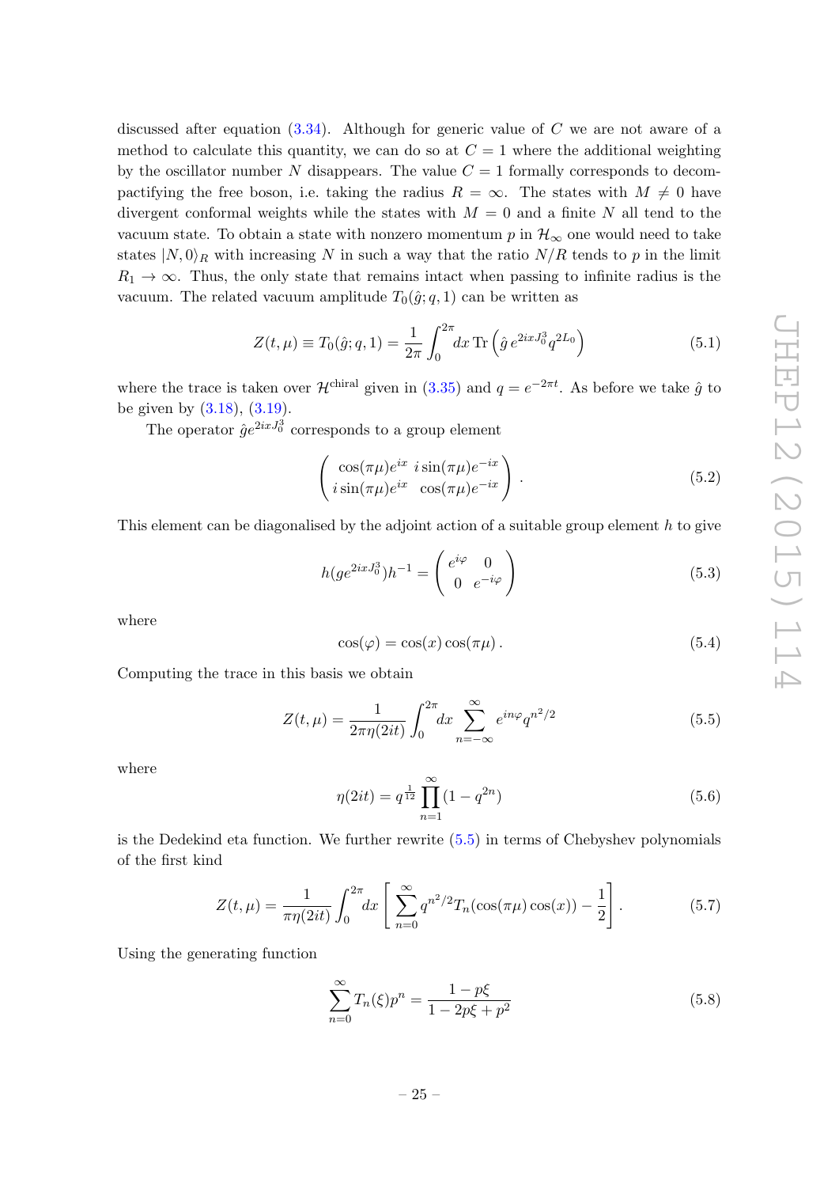discussed after equation  $(3.34)$ . Although for generic value of C we are not aware of a method to calculate this quantity, we can do so at  $C = 1$  where the additional weighting by the oscillator number N disappears. The value  $C = 1$  formally corresponds to decompactifying the free boson, i.e. taking the radius  $R = \infty$ . The states with  $M \neq 0$  have divergent conformal weights while the states with  $M = 0$  and a finite N all tend to the vacuum state. To obtain a state with nonzero momentum p in  $\mathcal{H}_{\infty}$  one would need to take states  $|N,0\rangle_R$  with increasing N in such a way that the ratio  $N/R$  tends to p in the limit  $R_1 \rightarrow \infty$ . Thus, the only state that remains intact when passing to infinite radius is the vacuum. The related vacuum amplitude  $T_0(\hat{g}; q, 1)$  can be written as

$$
Z(t,\mu) \equiv T_0(\hat{g};q,1) = \frac{1}{2\pi} \int_0^{2\pi} dx \,\text{Tr}\left(\hat{g} \, e^{2ixJ_0^3} q^{2L_0}\right) \tag{5.1}
$$

where the trace is taken over  $\mathcal{H}^{\text{chiral}}$  given in [\(3.35\)](#page-19-4) and  $q=e^{-2\pi t}$ . As before we take  $\hat{g}$  to be given by  $(3.18)$ ,  $(3.19)$ .

The operator  $\hat{g}e^{2ixJ_0^3}$  corresponds to a group element

$$
\begin{pmatrix}\n\cos(\pi\mu)e^{ix} i\sin(\pi\mu)e^{-ix} \\
i\sin(\pi\mu)e^{ix} \cos(\pi\mu)e^{-ix}\n\end{pmatrix}.
$$
\n(5.2)

This element can be diagonalised by the adjoint action of a suitable group element h to give

$$
h(ge^{2ixJ_0^3})h^{-1} = \begin{pmatrix} e^{i\varphi} & 0\\ 0 & e^{-i\varphi} \end{pmatrix}
$$
 (5.3)

where

$$
\cos(\varphi) = \cos(x)\cos(\pi\mu). \tag{5.4}
$$

Computing the trace in this basis we obtain

<span id="page-26-0"></span>
$$
Z(t,\mu) = \frac{1}{2\pi\eta(2it)} \int_0^{2\pi} dx \sum_{n=-\infty}^{\infty} e^{in\varphi} q^{n^2/2}
$$
 (5.5)

where

$$
\eta(2it) = q^{\frac{1}{12}} \prod_{n=1}^{\infty} (1 - q^{2n})
$$
\n(5.6)

is the Dedekind eta function. We further rewrite  $(5.5)$  in terms of Chebyshev polynomials of the first kind

$$
Z(t,\mu) = \frac{1}{\pi \eta(2it)} \int_0^{2\pi} dx \left[ \sum_{n=0}^\infty q^{n^2/2} T_n(\cos(\pi \mu) \cos(x)) - \frac{1}{2} \right]. \tag{5.7}
$$

Using the generating function

$$
\sum_{n=0}^{\infty} T_n(\xi) p^n = \frac{1 - p\xi}{1 - 2p\xi + p^2}
$$
\n(5.8)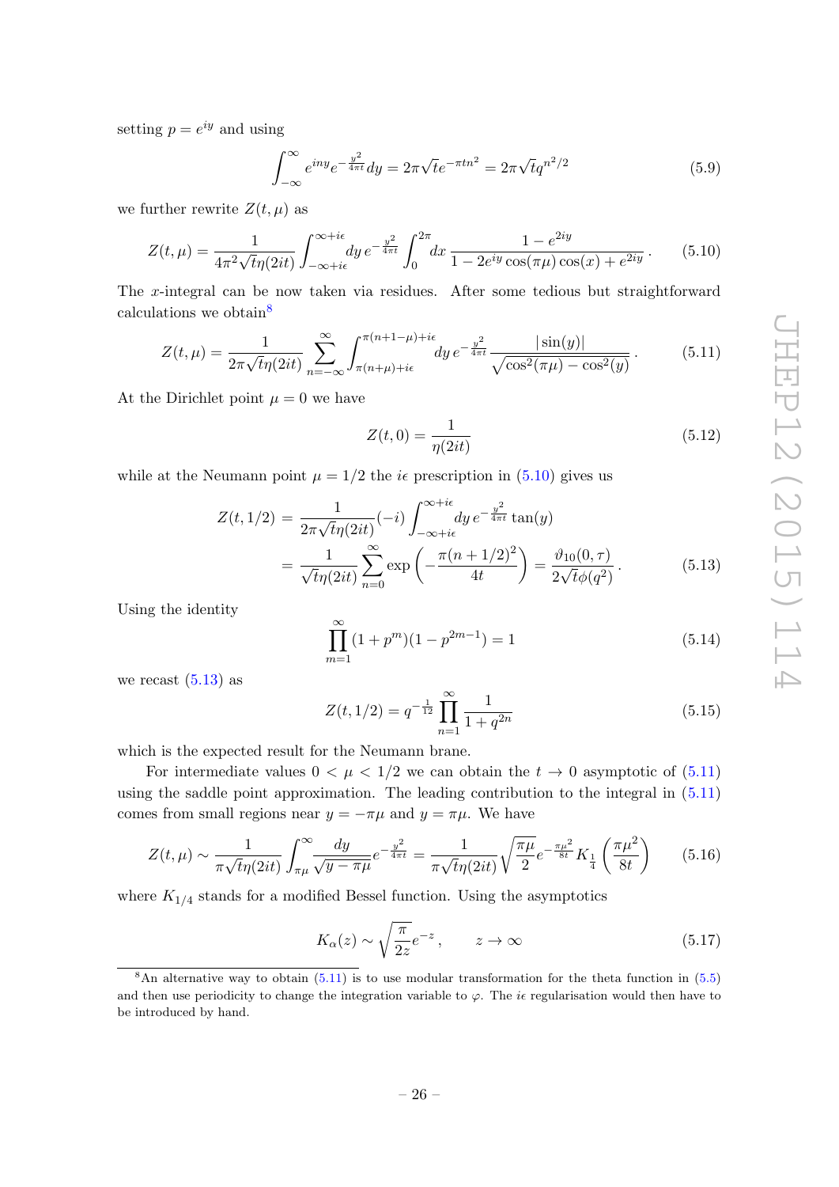setting  $p = e^{iy}$  and using

$$
\int_{-\infty}^{\infty} e^{iny} e^{-\frac{y^2}{4\pi t}} dy = 2\pi \sqrt{t} e^{-\pi t n^2} = 2\pi \sqrt{t} q^{n^2/2}
$$
\n(5.9)

we further rewrite  $Z(t, \mu)$  as

<span id="page-27-1"></span>
$$
Z(t,\mu) = \frac{1}{4\pi^2 \sqrt{t}\eta(2it)} \int_{-\infty + i\epsilon}^{\infty + i\epsilon} dy \, e^{-\frac{y^2}{4\pi t}} \int_0^{2\pi} dx \, \frac{1 - e^{2iy}}{1 - 2e^{iy} \cos(\pi\mu) \cos(x) + e^{2iy}}.
$$
 (5.10)

The x-integral can be now taken via residues. After some tedious but straightforward calculations we obtain<sup>[8](#page-27-0)</sup>

<span id="page-27-3"></span>
$$
Z(t,\mu) = \frac{1}{2\pi\sqrt{t}\eta(2it)} \sum_{n=-\infty}^{\infty} \int_{\pi(n+\mu)+i\epsilon}^{\pi(n+1-\mu)+i\epsilon} dy \, e^{-\frac{y^2}{4\pi t}} \frac{|\sin(y)|}{\sqrt{\cos^2(\pi\mu) - \cos^2(y)}}.
$$
(5.11)

At the Dirichlet point  $\mu = 0$  we have

$$
Z(t,0) = \frac{1}{\eta(2it)}\tag{5.12}
$$

while at the Neumann point  $\mu = 1/2$  the *i* $\epsilon$  prescription in [\(5.10\)](#page-27-1) gives us

<span id="page-27-2"></span>
$$
Z(t, 1/2) = \frac{1}{2\pi\sqrt{t}\eta(2it)}(-i) \int_{-\infty + i\epsilon}^{\infty + i\epsilon} dy \, e^{-\frac{y^2}{4\pi t}} \tan(y)
$$
  
= 
$$
\frac{1}{\sqrt{t}\eta(2it)} \sum_{n=0}^{\infty} \exp\left(-\frac{\pi(n+1/2)^2}{4t}\right) = \frac{\vartheta_{10}(0, \tau)}{2\sqrt{t}\phi(q^2)}.
$$
(5.13)

Using the identity

$$
\prod_{m=1}^{\infty} (1 + p^m)(1 - p^{2m-1}) = 1
$$
\n(5.14)

we recast  $(5.13)$  as

$$
Z(t, 1/2) = q^{-\frac{1}{12}} \prod_{n=1}^{\infty} \frac{1}{1 + q^{2n}}
$$
(5.15)

which is the expected result for the Neumann brane.

For intermediate values  $0 < \mu < 1/2$  we can obtain the  $t \to 0$  asymptotic of  $(5.11)$ using the saddle point approximation. The leading contribution to the integral in  $(5.11)$ comes from small regions near  $y = -\pi\mu$  and  $y = \pi\mu$ . We have

$$
Z(t,\mu) \sim \frac{1}{\pi\sqrt{t\eta(2it)}} \int_{\pi\mu}^{\infty} \frac{dy}{\sqrt{y-\pi\mu}} e^{-\frac{y^2}{4\pi t}} = \frac{1}{\pi\sqrt{t\eta(2it)}} \sqrt{\frac{\pi\mu}{2}} e^{-\frac{\pi\mu^2}{8t}} K_{\frac{1}{4}}\left(\frac{\pi\mu^2}{8t}\right) \tag{5.16}
$$

where  $K_{1/4}$  stands for a modified Bessel function. Using the asymptotics

$$
K_{\alpha}(z) \sim \sqrt{\frac{\pi}{2z}}e^{-z}, \qquad z \to \infty \tag{5.17}
$$

<span id="page-27-0"></span><sup>&</sup>lt;sup>8</sup>An alternative way to obtain  $(5.11)$  is to use modular transformation for the theta function in  $(5.5)$ and then use periodicity to change the integration variable to  $\varphi$ . The ie regularisation would then have to be introduced by hand.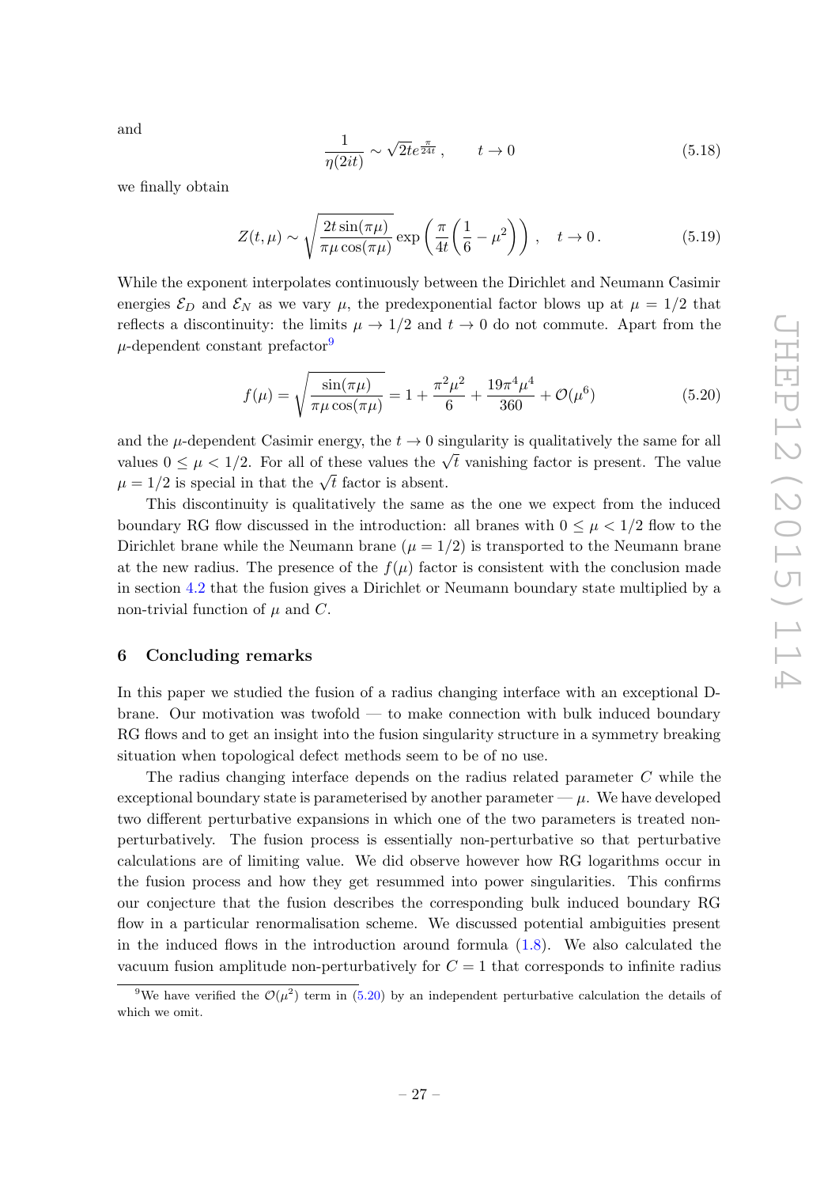and

$$
\frac{1}{\eta(2it)} \sim \sqrt{2t} e^{\frac{\pi}{24t}}, \qquad t \to 0 \tag{5.18}
$$

we finally obtain

$$
Z(t,\mu) \sim \sqrt{\frac{2t\sin(\pi\mu)}{\pi\mu\cos(\pi\mu)}} \exp\left(\frac{\pi}{4t}\left(\frac{1}{6}-\mu^2\right)\right), \quad t \to 0. \tag{5.19}
$$

While the exponent interpolates continuously between the Dirichlet and Neumann Casimir energies  $\mathcal{E}_D$  and  $\mathcal{E}_N$  as we vary  $\mu$ , the predexponential factor blows up at  $\mu = 1/2$  that reflects a discontinuity: the limits  $\mu \to 1/2$  and  $t \to 0$  do not commute. Apart from the  $\mu$ -dependent constant prefactor<sup>[9](#page-28-1)</sup>

<span id="page-28-2"></span>
$$
f(\mu) = \sqrt{\frac{\sin(\pi \mu)}{\pi \mu \cos(\pi \mu)}} = 1 + \frac{\pi^2 \mu^2}{6} + \frac{19\pi^4 \mu^4}{360} + \mathcal{O}(\mu^6)
$$
(5.20)

and the  $\mu$ -dependent Casimir energy, the  $t \to 0$  singularity is qualitatively the same for all values  $0 \leq \mu < 1/2$ . For all of these values the  $\sqrt{t}$  vanishing factor is present. The value values  $0 \le \mu \le 1/2$ . For all of these values the  $\sqrt{t}$ <br> $\mu = 1/2$  is special in that the  $\sqrt{t}$  factor is absent.

This discontinuity is qualitatively the same as the one we expect from the induced boundary RG flow discussed in the introduction: all branes with  $0 \leq \mu \leq 1/2$  flow to the Dirichlet brane while the Neumann brane  $(\mu = 1/2)$  is transported to the Neumann brane at the new radius. The presence of the  $f(\mu)$  factor is consistent with the conclusion made in section [4.2](#page-22-0) that the fusion gives a Dirichlet or Neumann boundary state multiplied by a non-trivial function of  $\mu$  and C.

## <span id="page-28-0"></span>6 Concluding remarks

In this paper we studied the fusion of a radius changing interface with an exceptional Dbrane. Our motivation was twofold — to make connection with bulk induced boundary RG flows and to get an insight into the fusion singularity structure in a symmetry breaking situation when topological defect methods seem to be of no use.

The radius changing interface depends on the radius related parameter C while the exceptional boundary state is parameterised by another parameter  $-\mu$ . We have developed two different perturbative expansions in which one of the two parameters is treated nonperturbatively. The fusion process is essentially non-perturbative so that perturbative calculations are of limiting value. We did observe however how RG logarithms occur in the fusion process and how they get resummed into power singularities. This confirms our conjecture that the fusion describes the corresponding bulk induced boundary RG flow in a particular renormalisation scheme. We discussed potential ambiguities present in the induced flows in the introduction around formula  $(1.8)$ . We also calculated the vacuum fusion amplitude non-perturbatively for  $C = 1$  that corresponds to infinite radius

<span id="page-28-1"></span><sup>&</sup>lt;sup>9</sup>We have verified the  $\mathcal{O}(\mu^2)$  term in [\(5.20\)](#page-28-2) by an independent perturbative calculation the details of which we omit.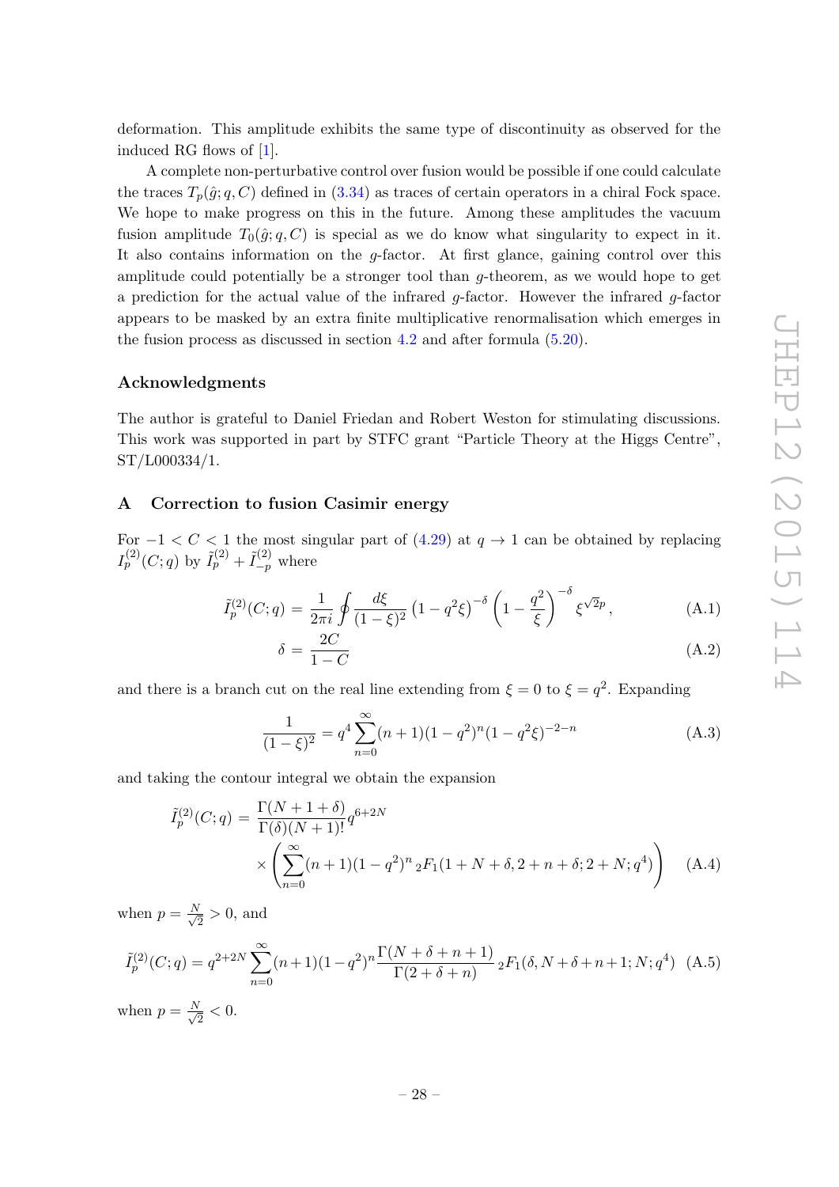deformation. This amplitude exhibits the same type of discontinuity as observed for the induced RG flows of [\[1\]](#page-31-0).

A complete non-perturbative control over fusion would be possible if one could calculate the traces  $T_p(\hat{g}; q, C)$  defined in [\(3.34\)](#page-19-3) as traces of certain operators in a chiral Fock space. We hope to make progress on this in the future. Among these amplitudes the vacuum fusion amplitude  $T_0(\hat{g}; q, C)$  is special as we do know what singularity to expect in it. It also contains information on the  $q$ -factor. At first glance, gaining control over this amplitude could potentially be a stronger tool than  $q$ -theorem, as we would hope to get a prediction for the actual value of the infrared  $g$ -factor. However the infrared  $g$ -factor appears to be masked by an extra finite multiplicative renormalisation which emerges in the fusion process as discussed in section [4.2](#page-22-0) and after formula [\(5.20\)](#page-28-2).

# Acknowledgments

The author is grateful to Daniel Friedan and Robert Weston for stimulating discussions. This work was supported in part by STFC grant "Particle Theory at the Higgs Centre", ST/L000334/1.

# <span id="page-29-0"></span>A Correction to fusion Casimir energy

For  $-1 < C < 1$  the most singular part of [\(4.29\)](#page-24-3) at  $q \to 1$  can be obtained by replacing  $I_p^{(2)}(C;q)$  by  $\tilde{I}_p^{(2)} + \tilde{I}_{-p}^{(2)}$  where

$$
\tilde{I}_p^{(2)}(C;q) = \frac{1}{2\pi i} \oint \frac{d\xi}{(1-\xi)^2} \left(1 - q^2 \xi\right)^{-\delta} \left(1 - \frac{q^2}{\xi}\right)^{-\delta} \xi^{\sqrt{2}p},\tag{A.1}
$$

$$
\delta = \frac{2C}{1 - C} \tag{A.2}
$$

and there is a branch cut on the real line extending from  $\xi = 0$  to  $\xi = q^2$ . Expanding

$$
\frac{1}{(1-\xi)^2} = q^4 \sum_{n=0}^{\infty} (n+1)(1-q^2)^n (1-q^2\xi)^{-2-n}
$$
 (A.3)

and taking the contour integral we obtain the expansion

<span id="page-29-1"></span>
$$
\tilde{I}_p^{(2)}(C;q) = \frac{\Gamma(N+1+\delta)}{\Gamma(\delta)(N+1)!} q^{6+2N}
$$
\n
$$
\times \left( \sum_{n=0}^{\infty} (n+1)(1-q^2)^n {}_2F_1(1+N+\delta, 2+n+\delta; 2+N; q^4) \right) \quad \text{(A.4)}
$$

when  $p = \frac{N}{\sqrt{2}}$  $\frac{1}{2} > 0$ , and

<span id="page-29-2"></span>
$$
\tilde{I}_p^{(2)}(C;q) = q^{2+2N} \sum_{n=0}^{\infty} (n+1)(1-q^2)^n \frac{\Gamma(N+\delta+n+1)}{\Gamma(2+\delta+n)} \, _2F_1(\delta, N+\delta+n+1; N; q^4) \tag{A.5}
$$

when  $p = \frac{N}{\sqrt{2}}$  $\frac{1}{2}$  < 0.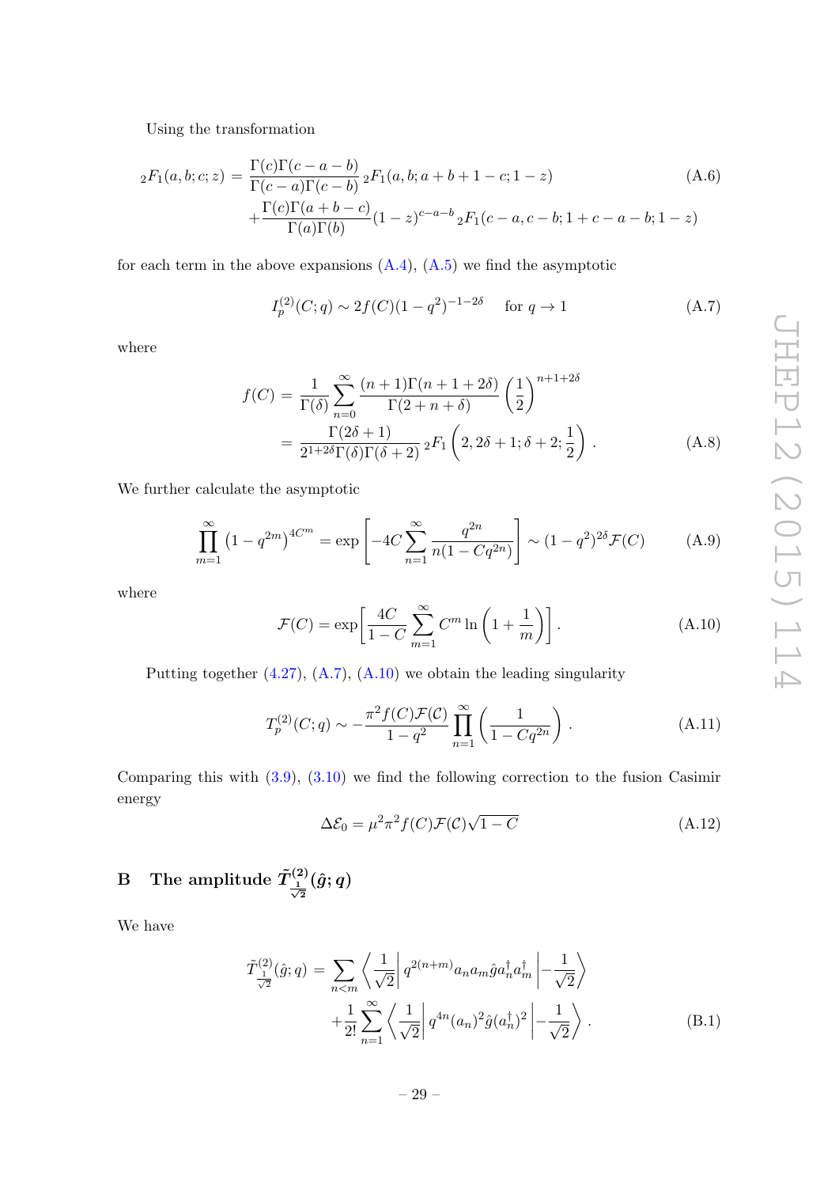Using the transformation

$$
{}_2F_1(a,b;c;z) = \frac{\Gamma(c)\Gamma(c-a-b)}{\Gamma(c-a)\Gamma(c-b)} {}_2F_1(a,b;a+b+1-c;1-z) +\frac{\Gamma(c)\Gamma(a+b-c)}{\Gamma(a)\Gamma(b)}(1-z)^{c-a-b} {}_2F_1(c-a,c-b;1+c-a-b;1-z)
$$
(A.6)

for each term in the above expansions  $(A.4)$ ,  $(A.5)$  we find the asymptotic

<span id="page-30-1"></span>
$$
I_p^{(2)}(C;q) \sim 2f(C)(1-q^2)^{-1-2\delta} \quad \text{for } q \to 1
$$
 (A.7)

where

$$
f(C) = \frac{1}{\Gamma(\delta)} \sum_{n=0}^{\infty} \frac{(n+1)\Gamma(n+1+2\delta)}{\Gamma(2+n+\delta)} \left(\frac{1}{2}\right)^{n+1+2\delta}
$$
  
= 
$$
\frac{\Gamma(2\delta+1)}{2^{1+2\delta}\Gamma(\delta)\Gamma(\delta+2)} {}_2F_1\left(2, 2\delta+1; \delta+2; \frac{1}{2}\right).
$$
 (A.8)

We further calculate the asymptotic

$$
\prod_{m=1}^{\infty} (1 - q^{2m})^{4C^m} = \exp\left[ -4C \sum_{n=1}^{\infty} \frac{q^{2n}}{n(1 - Cq^{2n})} \right] \sim (1 - q^2)^{2\delta} \mathcal{F}(C) \tag{A.9}
$$

where

<span id="page-30-2"></span>
$$
\mathcal{F}(C) = \exp\left[\frac{4C}{1-C} \sum_{m=1}^{\infty} C^m \ln\left(1 + \frac{1}{m}\right)\right].
$$
 (A.10)

Putting together [\(4.27\)](#page-23-4), [\(A.7\)](#page-30-1), [\(A.10\)](#page-30-2) we obtain the leading singularity

$$
T_p^{(2)}(C;q) \sim -\frac{\pi^2 f(C)\mathcal{F}(C)}{1-q^2} \prod_{n=1}^{\infty} \left( \frac{1}{1-Cq^{2n}} \right).
$$
 (A.11)

Comparing this with [\(3.9\)](#page-15-3), [\(3.10\)](#page-16-0) we find the following correction to the fusion Casimir energy

$$
\Delta \mathcal{E}_0 = \mu^2 \pi^2 f(C) \mathcal{F}(\mathcal{C}) \sqrt{1 - C}
$$
 (A.12)

<span id="page-30-0"></span> $\mathrm{B} \quad \text{The amplitude} \; \tilde{T}^{(2)}_{\frac{1}{\sqrt{2}}}(\hat{g};q)$ 

We have

$$
\tilde{T}^{(2)}_{\frac{1}{\sqrt{2}}}(\hat{g};q) = \sum_{n\n(B.1)
$$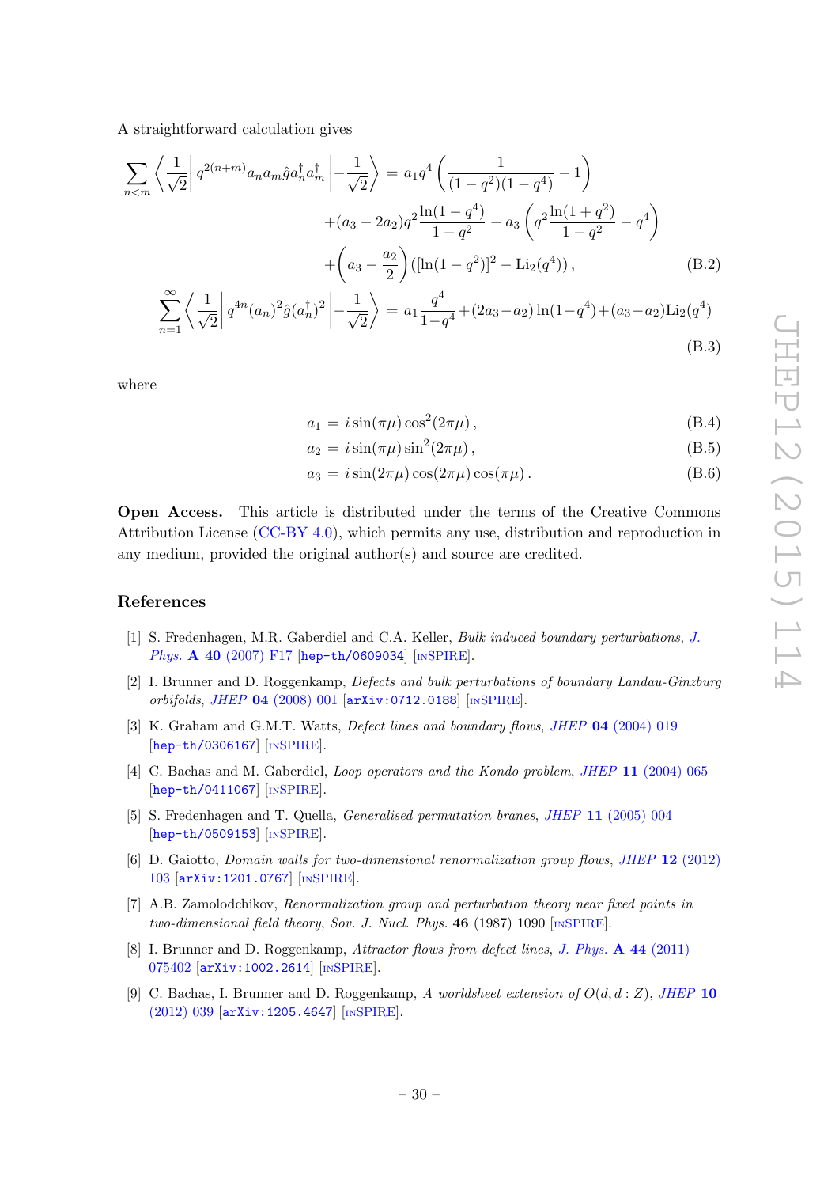(B.3)

A straightforward calculation gives

$$
\sum_{n \le m} \left\langle \frac{1}{\sqrt{2}} \right| q^{2(n+m)} a_n a_m \hat{g} a_n^{\dagger} a_m^{\dagger} \left| -\frac{1}{\sqrt{2}} \right\rangle = a_1 q^4 \left( \frac{1}{(1-q^2)(1-q^4)} - 1 \right) \n+ (a_3 - 2a_2) q^2 \frac{\ln(1-q^4)}{1-q^2} - a_3 \left( q^2 \frac{\ln(1+q^2)}{1-q^2} - q^4 \right) \n+ \left( a_3 - \frac{a_2}{2} \right) ([\ln(1-q^2)]^2 - \text{Li}_2(q^4)),
$$
\n(B.2)\n
$$
\sum_{n=1}^{\infty} \left\langle \frac{1}{\sqrt{2}} \right| q^{4n} (a_n)^2 \hat{g} (a_n^{\dagger})^2 \left| -\frac{1}{\sqrt{2}} \right\rangle = a_1 \frac{q^4}{1-q^4} + (2a_3 - a_2) \ln(1-q^4) + (a_3 - a_2) \text{Li}_2(q^4)
$$

where

$$
a_1 = i\sin(\pi\mu)\cos^2(2\pi\mu), \qquad (B.4)
$$

$$
a_2 = i\sin(\pi\mu)\sin^2(2\pi\mu),\tag{B.5}
$$

$$
a_3 = i \sin(2\pi\mu) \cos(2\pi\mu) \cos(\pi\mu).
$$
 (B.6)

Open Access. This article is distributed under the terms of the Creative Commons Attribution License [\(CC-BY 4.0\)](http://creativecommons.org/licenses/by/4.0/), which permits any use, distribution and reproduction in any medium, provided the original author(s) and source are credited.

# References

- <span id="page-31-0"></span>[1] S. Fredenhagen, M.R. Gaberdiel and C.A. Keller, Bulk induced boundary perturbations, [J.](http://dx.doi.org/10.1088/1751-8113/40/1/F03) Phys. A 40 [\(2007\) F17](http://dx.doi.org/10.1088/1751-8113/40/1/F03) [[hep-th/0609034](http://arxiv.org/abs/hep-th/0609034)] [IN[SPIRE](http://inspirehep.net/search?p=find+EPRINT+hep-th/0609034)].
- <span id="page-31-1"></span>[2] I. Brunner and D. Roggenkamp, Defects and bulk perturbations of boundary Landau-Ginzburg orbifolds, JHEP 04 [\(2008\) 001](http://dx.doi.org/10.1088/1126-6708/2008/04/001) [[arXiv:0712.0188](http://arxiv.org/abs/0712.0188)] [IN[SPIRE](http://inspirehep.net/search?p=find+EPRINT+arXiv:0712.0188)].
- <span id="page-31-2"></span>[3] K. Graham and G.M.T. Watts, *Defect lines and boundary flows*, *JHEP* **04** [\(2004\) 019](http://dx.doi.org/10.1088/1126-6708/2004/04/019) [[hep-th/0306167](http://arxiv.org/abs/hep-th/0306167)] [IN[SPIRE](http://inspirehep.net/search?p=find+EPRINT+hep-th/0306167)].
- <span id="page-31-3"></span>[4] C. Bachas and M. Gaberdiel, Loop operators and the Kondo problem, JHEP 11 [\(2004\) 065](http://dx.doi.org/10.1088/1126-6708/2004/11/065) [[hep-th/0411067](http://arxiv.org/abs/hep-th/0411067)] [IN[SPIRE](http://inspirehep.net/search?p=find+EPRINT+hep-th/0411067)].
- <span id="page-31-4"></span>[5] S. Fredenhagen and T. Quella, Generalised permutation branes, JHEP 11 [\(2005\) 004](http://dx.doi.org/10.1088/1126-6708/2005/11/004) [[hep-th/0509153](http://arxiv.org/abs/hep-th/0509153)] [IN[SPIRE](http://inspirehep.net/search?p=find+EPRINT+hep-th/0509153)].
- <span id="page-31-5"></span>[6] D. Gaiotto, Domain walls for two-dimensional renormalization group flows, JHEP 12 [\(2012\)](http://dx.doi.org/10.1007/JHEP12(2012)103) [103](http://dx.doi.org/10.1007/JHEP12(2012)103) [[arXiv:1201.0767](http://arxiv.org/abs/1201.0767)] [IN[SPIRE](http://inspirehep.net/search?p=find+EPRINT+arXiv:1201.0767)].
- <span id="page-31-6"></span>[7] A.B. Zamolodchikov, Renormalization group and perturbation theory near fixed points in two-dimensional field theory, Sov. J. Nucl. Phys.  $46$  (1987) 1090 [IN[SPIRE](http://inspirehep.net/search?p=find+J+"Sov.J.Nucl.Phys.,46,1090")].
- <span id="page-31-7"></span>[8] I. Brunner and D. Roggenkamp, Attractor flows from defect lines, [J. Phys.](http://dx.doi.org/10.1088/1751-8113/44/7/075402) A 44 (2011) [075402](http://dx.doi.org/10.1088/1751-8113/44/7/075402) [[arXiv:1002.2614](http://arxiv.org/abs/1002.2614)] [IN[SPIRE](http://inspirehep.net/search?p=find+EPRINT+arXiv:1002.2614)].
- <span id="page-31-8"></span>[9] C. Bachas, I. Brunner and D. Roggenkamp, A worldsheet extension of  $O(d, d : Z)$ , [JHEP](http://dx.doi.org/10.1007/JHEP10(2012)039) 10 [\(2012\) 039](http://dx.doi.org/10.1007/JHEP10(2012)039) [[arXiv:1205.4647](http://arxiv.org/abs/1205.4647)] [IN[SPIRE](http://inspirehep.net/search?p=find+EPRINT+arXiv:1205.4647)].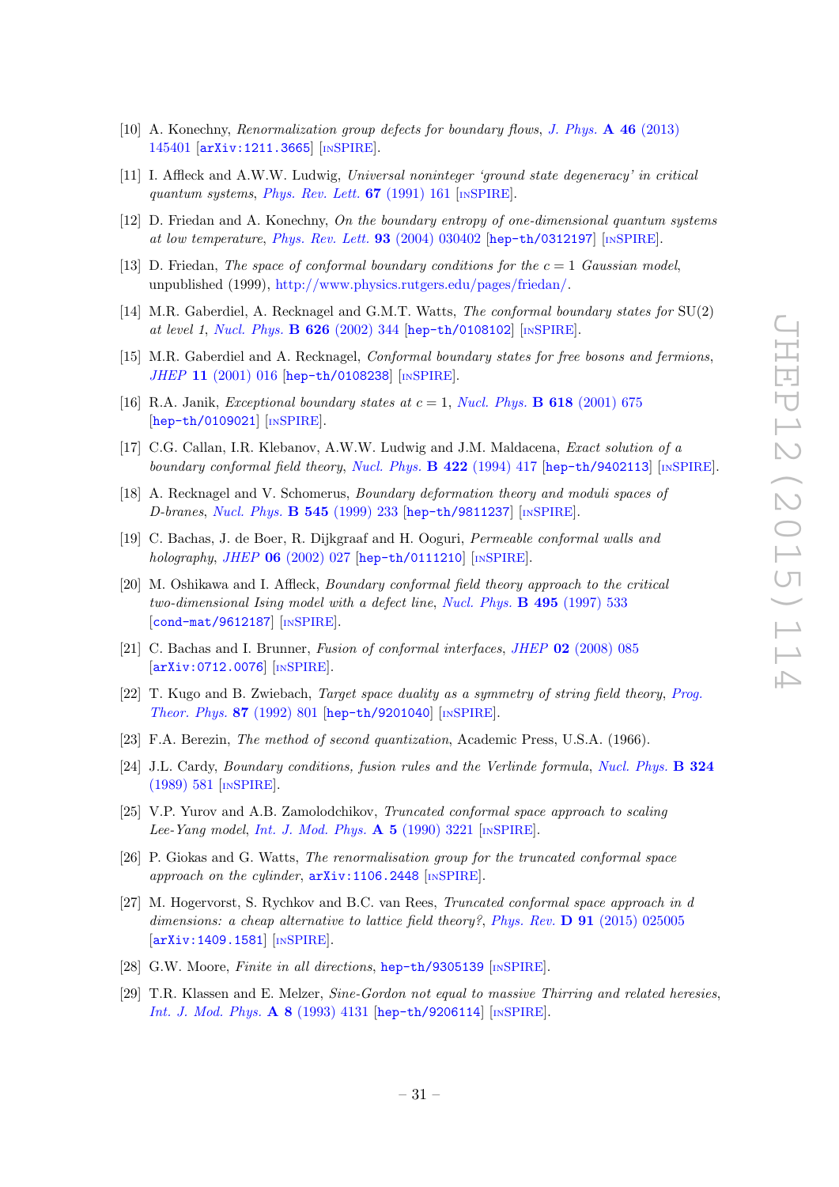- <span id="page-32-1"></span>[10] A. Konechny, Renormalization group defects for boundary flows, [J. Phys.](http://dx.doi.org/10.1088/1751-8113/46/14/145401) A 46 (2013) [145401](http://dx.doi.org/10.1088/1751-8113/46/14/145401) [[arXiv:1211.3665](http://arxiv.org/abs/1211.3665)] [IN[SPIRE](http://inspirehep.net/search?p=find+EPRINT+arXiv:1211.3665)].
- <span id="page-32-2"></span>[11] I. Affleck and A.W.W. Ludwig, Universal noninteger 'ground state degeneracy' in critical quantum systems, [Phys. Rev. Lett.](http://dx.doi.org/10.1103/PhysRevLett.67.161) 67 (1991) 161 [IN[SPIRE](http://inspirehep.net/search?p=find+J+"Phys.Rev.Lett.,67,161")].
- <span id="page-32-3"></span>[12] D. Friedan and A. Konechny, On the boundary entropy of one-dimensional quantum systems at low temperature, [Phys. Rev. Lett.](http://dx.doi.org/10.1103/PhysRevLett.93.030402) 93 (2004) 030402 [[hep-th/0312197](http://arxiv.org/abs/hep-th/0312197)] [IN[SPIRE](http://inspirehep.net/search?p=find+EPRINT+hep-th/0312197)].
- <span id="page-32-4"></span>[13] D. Friedan, The space of conformal boundary conditions for the  $c = 1$  Gaussian model, unpublished (1999), [http://www.physics.rutgers.edu/pages/friedan/.](http://www.physics.rutgers.edu/pages/friedan/)
- <span id="page-32-5"></span>[14] M.R. Gaberdiel, A. Recknagel and G.M.T. Watts, The conformal boundary states for SU(2) at level 1, [Nucl. Phys.](http://dx.doi.org/10.1016/S0550-3213(02)00033-0) B 626 (2002) 344 [[hep-th/0108102](http://arxiv.org/abs/hep-th/0108102)] [IN[SPIRE](http://inspirehep.net/search?p=find+EPRINT+hep-th/0108102)].
- <span id="page-32-7"></span>[15] M.R. Gaberdiel and A. Recknagel, Conformal boundary states for free bosons and fermions, JHEP 11 [\(2001\) 016](http://dx.doi.org/10.1088/1126-6708/2001/11/016) [[hep-th/0108238](http://arxiv.org/abs/hep-th/0108238)] [IN[SPIRE](http://inspirehep.net/search?p=find+EPRINT+hep-th/0108238)].
- <span id="page-32-6"></span>[16] R.A. Janik, *Exceptional boundary states at*  $c = 1$ *, [Nucl. Phys.](http://dx.doi.org/10.1016/S0550-3213(01)00486-2)* **B 618** (2001) 675 [[hep-th/0109021](http://arxiv.org/abs/hep-th/0109021)] [IN[SPIRE](http://inspirehep.net/search?p=find+EPRINT+hep-th/0109021)].
- <span id="page-32-8"></span>[17] C.G. Callan, I.R. Klebanov, A.W.W. Ludwig and J.M. Maldacena, Exact solution of a boundary conformal field theory, [Nucl. Phys.](http://dx.doi.org/10.1016/0550-3213(94)90440-5) **B 422** (1994) 417 [[hep-th/9402113](http://arxiv.org/abs/hep-th/9402113)] [IN[SPIRE](http://inspirehep.net/search?p=find+EPRINT+hep-th/9402113)].
- <span id="page-32-9"></span>[18] A. Recknagel and V. Schomerus, Boundary deformation theory and moduli spaces of D-branes, [Nucl. Phys.](http://dx.doi.org/10.1016/S0550-3213(99)00060-7) B 545 (1999) 233 [[hep-th/9811237](http://arxiv.org/abs/hep-th/9811237)] [IN[SPIRE](http://inspirehep.net/search?p=find+EPRINT+hep-th/9811237)].
- <span id="page-32-10"></span>[19] C. Bachas, J. de Boer, R. Dijkgraaf and H. Ooguri, Permeable conformal walls and holography, JHEP  $06$  [\(2002\) 027](http://dx.doi.org/10.1088/1126-6708/2002/06/027) [[hep-th/0111210](http://arxiv.org/abs/hep-th/0111210)] [IN[SPIRE](http://inspirehep.net/search?p=find+J+"JHEP,0206,027")].
- <span id="page-32-0"></span>[20] M. Oshikawa and I. Affleck, Boundary conformal field theory approach to the critical two-dimensional Ising model with a defect line, [Nucl. Phys.](http://dx.doi.org/10.1016/S0550-3213(97)00219-8) B 495 (1997) 533 [[cond-mat/9612187](http://arxiv.org/abs/cond-mat/9612187)] [IN[SPIRE](http://inspirehep.net/search?p=find+EPRINT+cond-mat/9612187)].
- <span id="page-32-11"></span>[21] C. Bachas and I. Brunner, Fusion of conformal interfaces, JHEP 02 [\(2008\) 085](http://dx.doi.org/10.1088/1126-6708/2008/02/085) [[arXiv:0712.0076](http://arxiv.org/abs/0712.0076)] [IN[SPIRE](http://inspirehep.net/search?p=find+EPRINT+arXiv:0712.0076)].
- <span id="page-32-12"></span>[22] T. Kugo and B. Zwiebach, Target space duality as a symmetry of string field theory, [Prog.](http://dx.doi.org/10.1143/PTP.87.801) [Theor. Phys.](http://dx.doi.org/10.1143/PTP.87.801) 87 (1992) 801 [[hep-th/9201040](http://arxiv.org/abs/hep-th/9201040)] [IN[SPIRE](http://inspirehep.net/search?p=find+EPRINT+hep-th/9201040)].
- <span id="page-32-13"></span>[23] F.A. Berezin, The method of second quantization, Academic Press, U.S.A. (1966).
- <span id="page-32-14"></span>[24] J.L. Cardy, Boundary conditions, fusion rules and the Verlinde formula, [Nucl. Phys.](http://dx.doi.org/10.1016/0550-3213(89)90521-X) **B** 324 [\(1989\) 581](http://dx.doi.org/10.1016/0550-3213(89)90521-X) [IN[SPIRE](http://inspirehep.net/search?p=find+J+"Nucl.Phys.,B324,581")].
- <span id="page-32-15"></span>[25] V.P. Yurov and A.B. Zamolodchikov, Truncated conformal space approach to scaling Lee-Yang model, [Int. J. Mod. Phys.](http://dx.doi.org/10.1142/S0217751X9000218X)  $\mathbf{A}$  5 (1990) 3221 [IN[SPIRE](http://inspirehep.net/search?p=find+J+"Int.J.Mod.Phys.,A5,3221")].
- <span id="page-32-16"></span>[26] P. Giokas and G. Watts, The renormalisation group for the truncated conformal space approach on the cylinder,  $arXiv:1106.2448$  [IN[SPIRE](http://inspirehep.net/search?p=find+EPRINT+arXiv:1106.2448)].
- <span id="page-32-17"></span>[27] M. Hogervorst, S. Rychkov and B.C. van Rees, Truncated conformal space approach in d dimensions: a cheap alternative to lattice field theory?, Phys. Rev.  $\bf{D}$  91 [\(2015\) 025005](http://dx.doi.org/10.1103/PhysRevD.91.025005) [[arXiv:1409.1581](http://arxiv.org/abs/1409.1581)] [IN[SPIRE](http://inspirehep.net/search?p=find+EPRINT+arXiv:1409.1581)].
- <span id="page-32-18"></span>[28] G.W. Moore, Finite in all directions, [hep-th/9305139](http://arxiv.org/abs/hep-th/9305139) [IN[SPIRE](http://inspirehep.net/search?p=find+EPRINT+hep-th/9305139)].
- <span id="page-32-19"></span>[29] T.R. Klassen and E. Melzer, Sine-Gordon not equal to massive Thirring and related heresies, [Int. J. Mod. Phys.](http://dx.doi.org/10.1142/S0217751X93001703) A 8 (1993) 4131 [[hep-th/9206114](http://arxiv.org/abs/hep-th/9206114)] [IN[SPIRE](http://inspirehep.net/search?p=find+EPRINT+hep-th/9206114)].